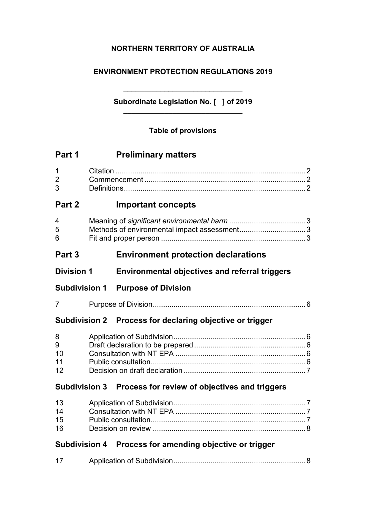# **NORTHERN TERRITORY OF AUSTRALIA**

## **ENVIRONMENT PROTECTION REGULATIONS 2019**

# \_\_\_\_\_\_\_\_\_\_\_\_\_\_\_\_\_\_\_\_\_\_\_\_\_\_\_\_\_ **Subordinate Legislation No. [ ] of 2019** \_\_\_\_\_\_\_\_\_\_\_\_\_\_\_\_\_\_\_\_\_\_\_\_\_\_\_\_\_

## **Table of provisions**

| Part 1    | <b>Preliminary matters</b> |  |
|-----------|----------------------------|--|
|           |                            |  |
| $\cdot$ 3 |                            |  |
| Part 2    | <b>Important concepts</b>  |  |
|           |                            |  |

# **Part 3 Environment protection declarations**

| <b>Division 1</b> | <b>Environmental objectives and referral triggers</b> |  |  |
|-------------------|-------------------------------------------------------|--|--|
|                   |                                                       |  |  |

**Subdivision 1 Purpose of Division**

. Links

7 Purpose of Division..........................................................................6

5 Methods of environmental impact assessment................................3 6 Fit and proper person ......................................................................3

## **Subdivision 2 Process for declaring objective or trigger**

| 8  |  |
|----|--|
| 9  |  |
| 10 |  |
| 11 |  |
| 12 |  |

## **Subdivision 3 Process for review of objectives and triggers**

| $13 \quad$ |  |
|------------|--|
| 14         |  |
| 15         |  |
| 16 —       |  |

# **Subdivision 4 Process for amending objective or trigger**

| 17 |  |
|----|--|
|    |  |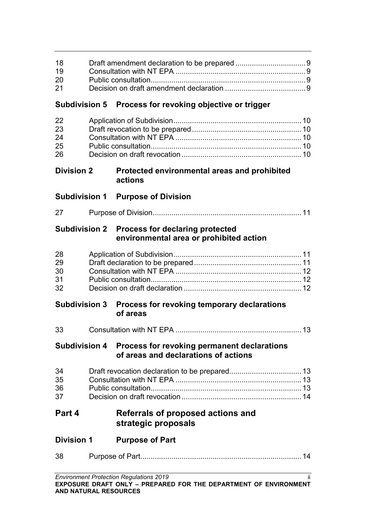| 18<br>19<br>20<br>21       |  |                                                                                                          |     |
|----------------------------|--|----------------------------------------------------------------------------------------------------------|-----|
| <b>Subdivision 5</b>       |  | Process for revoking objective or trigger                                                                |     |
| 22<br>23<br>24<br>25<br>26 |  |                                                                                                          |     |
| <b>Division 2</b>          |  | Protected environmental areas and prohibited<br>actions                                                  |     |
| <b>Subdivision 1</b>       |  | <b>Purpose of Division</b>                                                                               |     |
| 27                         |  |                                                                                                          |     |
| <b>Subdivision 2</b>       |  | <b>Process for declaring protected</b><br>environmental area or prohibited action                        |     |
| 28<br>29<br>30<br>31<br>32 |  |                                                                                                          |     |
| <b>Subdivision 3</b>       |  | Process for revoking temporary declarations<br>of areas                                                  |     |
| 33                         |  |                                                                                                          | 13  |
|                            |  | Subdivision 4 Process for revoking permanent declarations<br>of areas and declarations of actions        |     |
| 34<br>35<br>36<br>37       |  |                                                                                                          |     |
| Part 4                     |  | Referrals of proposed actions and<br>strategic proposals                                                 |     |
| <b>Division 1</b>          |  | <b>Purpose of Part</b>                                                                                   |     |
| 38                         |  |                                                                                                          |     |
|                            |  | Environment Protection Regulations 2019<br>EXPOSURE RRAFT ONLY REFRARED FOR THE REBARTMENT OF ENVIRONMEN | ii. |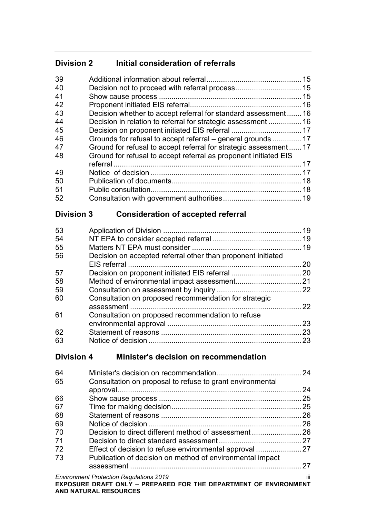# **Division 2 Initial consideration of referrals**

| 39 |                                                                   |    |
|----|-------------------------------------------------------------------|----|
| 40 |                                                                   |    |
| 41 |                                                                   |    |
| 42 |                                                                   |    |
| 43 | Decision whether to accept referral for standard assessment 16    |    |
| 44 | Decision in relation to referral for strategic assessment  16     |    |
| 45 |                                                                   |    |
| 46 | Grounds for refusal to accept referral – general grounds  17      |    |
| 47 | Ground for refusal to accept referral for strategic assessment 17 |    |
| 48 | Ground for refusal to accept referral as proponent initiated EIS  |    |
|    |                                                                   | 17 |
| 49 |                                                                   |    |
| 50 |                                                                   |    |
| 51 |                                                                   |    |
| 52 |                                                                   |    |

# **Division 3 Consideration of accepted referral**

| Decision on accepted referral other than proponent initiated |    |
|--------------------------------------------------------------|----|
|                                                              | 20 |
|                                                              |    |
|                                                              |    |
|                                                              |    |
| Consultation on proposed recommendation for strategic        |    |
|                                                              | 22 |
| Consultation on proposed recommendation to refuse            |    |
|                                                              | 23 |
|                                                              | 23 |
|                                                              | 23 |
|                                                              |    |

# **Division 4 Minister's decision on recommendation**

| 64<br>65 | Consultation on proposal to refuse to grant environmental | -24 |
|----------|-----------------------------------------------------------|-----|
|          |                                                           | 24  |
| 66       |                                                           | 25  |
| 67       |                                                           | 25  |
| 68       |                                                           | 26  |
| 69       |                                                           | 26  |
| 70       |                                                           |     |
| 71       |                                                           |     |
| 72       | Effect of decision to refuse environmental approval  27   |     |
| 73       | Publication of decision on method of environmental impact |     |
|          |                                                           |     |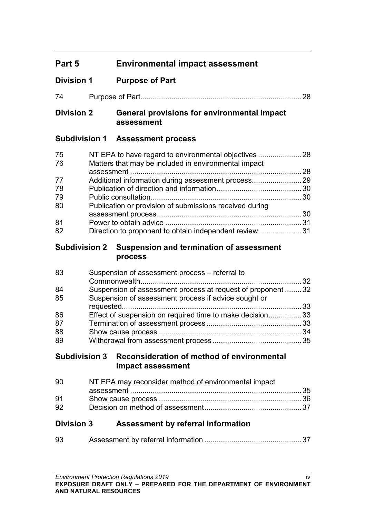# **Part 5 Environmental impact assessment**

# **Division 1 Purpose of Part**

# **Division 2 General provisions for environmental impact assessment**

# **Subdivision 1 Assessment process**

| 75 |                                                         |  |
|----|---------------------------------------------------------|--|
| 76 | Matters that may be included in environmental impact    |  |
|    |                                                         |  |
| 77 |                                                         |  |
| 78 |                                                         |  |
| 79 |                                                         |  |
| 80 | Publication or provision of submissions received during |  |
|    |                                                         |  |
| 81 |                                                         |  |
| 82 | Direction to proponent to obtain independent review31   |  |

### **Subdivision 2 Suspension and termination of assessment process**

| 83 | Suspension of assessment process - referral to               |  |
|----|--------------------------------------------------------------|--|
|    |                                                              |  |
| 84 | Suspension of assessment process at request of proponent  32 |  |
| 85 | Suspension of assessment process if advice sought or         |  |
|    |                                                              |  |
| 86 | Effect of suspension on required time to make decision 33    |  |
| 87 |                                                              |  |
| 88 |                                                              |  |
| 89 |                                                              |  |

## **Subdivision 3 Reconsideration of method of environmental impact assessment**

| 90 | NT EPA may reconsider method of environmental impact |  |
|----|------------------------------------------------------|--|
|    |                                                      |  |
| 91 |                                                      |  |
| 92 |                                                      |  |

# **Division 3 Assessment by referral information**

| 93 |  |
|----|--|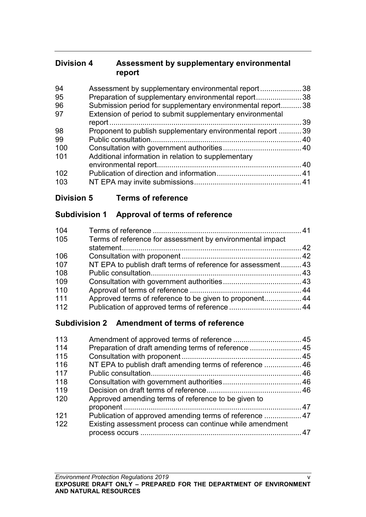# **Division 4 Assessment by supplementary environmental report**

| Assessment by supplementary environmental report<br>38          |
|-----------------------------------------------------------------|
| Preparation of supplementary environmental report38             |
| Submission period for supplementary environmental report<br>.38 |
| Extension of period to submit supplementary environmental       |
| 39                                                              |
| Proponent to publish supplementary environmental report  39     |
| 40                                                              |
|                                                                 |
| Additional information in relation to supplementary             |
| 40                                                              |
|                                                                 |
|                                                                 |
|                                                                 |

# **Division 5 Terms of reference**

# **Subdivision 1 Approval of terms of reference**

| 104 |                                                              |  |
|-----|--------------------------------------------------------------|--|
| 105 | Terms of reference for assessment by environmental impact    |  |
|     |                                                              |  |
| 106 |                                                              |  |
| 107 | NT EPA to publish draft terms of reference for assessment 43 |  |
| 108 |                                                              |  |
| 109 |                                                              |  |
| 110 |                                                              |  |
| 111 |                                                              |  |
| 112 |                                                              |  |

# **Subdivision 2 Amendment of terms of reference**

| Preparation of draft amending terms of reference  45     |  |
|----------------------------------------------------------|--|
|                                                          |  |
| NT EPA to publish draft amending terms of reference 46   |  |
|                                                          |  |
|                                                          |  |
|                                                          |  |
| Approved amending terms of reference to be given to      |  |
|                                                          |  |
| Publication of approved amending terms of reference  47  |  |
| Existing assessment process can continue while amendment |  |
|                                                          |  |
|                                                          |  |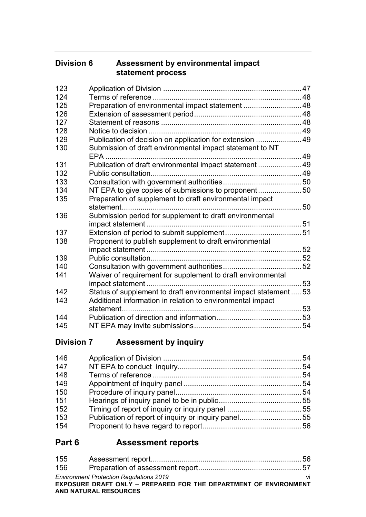# **Division 6 Assessment by environmental impact statement process**

| 123 |                                                                  |  |
|-----|------------------------------------------------------------------|--|
| 124 |                                                                  |  |
| 125 | Preparation of environmental impact statement  48                |  |
| 126 |                                                                  |  |
| 127 |                                                                  |  |
| 128 |                                                                  |  |
| 129 | Publication of decision on application for extension  49         |  |
| 130 | Submission of draft environmental impact statement to NT         |  |
|     |                                                                  |  |
| 131 | Publication of draft environmental impact statement  49          |  |
| 132 |                                                                  |  |
| 133 |                                                                  |  |
| 134 |                                                                  |  |
| 135 | Preparation of supplement to draft environmental impact          |  |
|     |                                                                  |  |
| 136 | Submission period for supplement to draft environmental          |  |
|     |                                                                  |  |
| 137 |                                                                  |  |
| 138 | Proponent to publish supplement to draft environmental           |  |
|     |                                                                  |  |
| 139 |                                                                  |  |
| 140 |                                                                  |  |
| 141 | Waiver of requirement for supplement to draft environmental      |  |
|     |                                                                  |  |
| 142 | Status of supplement to draft environmental impact statement  53 |  |
| 143 | Additional information in relation to environmental impact       |  |
|     | statement.                                                       |  |
| 144 |                                                                  |  |
| 145 |                                                                  |  |

**Division 7 Assessment by inquiry**

# **Part 6 Assessment reports**

| 155 |                                                                  |    |
|-----|------------------------------------------------------------------|----|
| 156 |                                                                  |    |
|     | <b>Environment Protection Regulations 2019</b>                   | vi |
|     | EXPOSURE DRAFT ONLY - PREPARED FOR THE DEPARTMENT OF ENVIRONMENT |    |
|     | AND NATURAL RESOURCES                                            |    |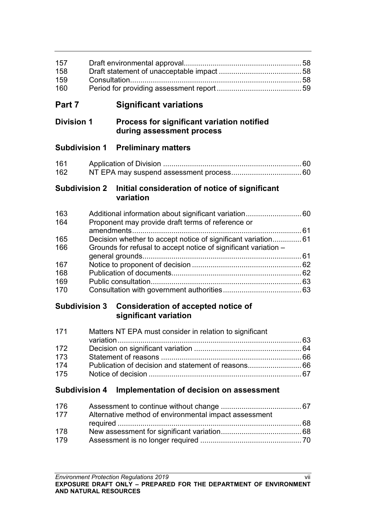| 157 |  |
|-----|--|
| 158 |  |
| 159 |  |
| 160 |  |

# **Part 7 Significant variations**

# **Division 1 Process for significant variation notified during assessment process**

# **Subdivision 1 Preliminary matters**

| 161 |  |
|-----|--|
| 162 |  |

# **Subdivision 2 Initial consideration of notice of significant variation**

| 163 |                                                                 |  |
|-----|-----------------------------------------------------------------|--|
| 164 | Proponent may provide draft terms of reference or               |  |
|     |                                                                 |  |
| 165 |                                                                 |  |
| 166 | Grounds for refusal to accept notice of significant variation - |  |
|     |                                                                 |  |
| 167 |                                                                 |  |
| 168 |                                                                 |  |
| 169 |                                                                 |  |
| 170 |                                                                 |  |

# **Subdivision 3 Consideration of accepted notice of significant variation**

| 171 | Matters NT EPA must consider in relation to significant |  |
|-----|---------------------------------------------------------|--|
|     |                                                         |  |
| 172 |                                                         |  |
| 173 |                                                         |  |
| 174 |                                                         |  |
| 175 |                                                         |  |

# **Subdivision 4 Implementation of decision on assessment**

| 176 |                                                       |  |
|-----|-------------------------------------------------------|--|
| 177 | Alternative method of environmental impact assessment |  |
|     |                                                       |  |
| 178 |                                                       |  |
| 179 |                                                       |  |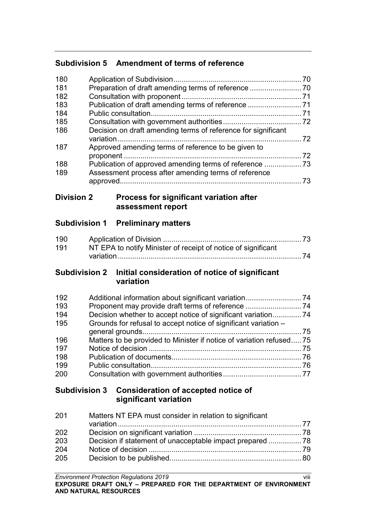# **Subdivision 5 Amendment of terms of reference**

| 180 |                                                               | . 70 |
|-----|---------------------------------------------------------------|------|
| 181 |                                                               |      |
| 182 |                                                               |      |
| 183 | Publication of draft amending terms of reference 71           |      |
| 184 |                                                               |      |
| 185 |                                                               |      |
| 186 | Decision on draft amending terms of reference for significant | 72   |
| 187 |                                                               |      |
|     | Approved amending terms of reference to be given to           | 72   |
| 188 |                                                               |      |
| 189 | Assessment process after amending terms of reference          |      |
|     | approved.                                                     | 73   |
|     |                                                               |      |

## **Division 2 Process for significant variation after assessment report**

# **Subdivision 1 Preliminary matters**

| 190 |                                                               |  |
|-----|---------------------------------------------------------------|--|
| 191 | NT EPA to notify Minister of receipt of notice of significant |  |
|     |                                                               |  |

## **Subdivision 2 Initial consideration of notice of significant variation**

| 192 |                                                                      |  |
|-----|----------------------------------------------------------------------|--|
| 193 |                                                                      |  |
| 194 | Decision whether to accept notice of significant variation 74        |  |
| 195 | Grounds for refusal to accept notice of significant variation -      |  |
|     |                                                                      |  |
| 196 | Matters to be provided to Minister if notice of variation refused 75 |  |
| 197 |                                                                      |  |
| 198 |                                                                      |  |
| 199 |                                                                      |  |
| 200 |                                                                      |  |

# **Subdivision 3 Consideration of accepted notice of significant variation**

| 201 | Matters NT EPA must consider in relation to significant |  |
|-----|---------------------------------------------------------|--|
|     |                                                         |  |
| 202 |                                                         |  |
| 203 |                                                         |  |
| 204 |                                                         |  |
| 205 |                                                         |  |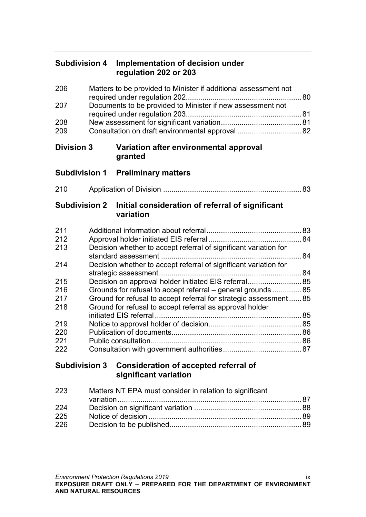# **Subdivision 4 Implementation of decision under regulation 202 or 203**

| 206 | Matters to be provided to Minister if additional assessment not |  |
|-----|-----------------------------------------------------------------|--|
| 207 | Documents to be provided to Minister if new assessment not      |  |
|     |                                                                 |  |
| 208 |                                                                 |  |
| 209 | Consultation on draft environmental approval  82                |  |

## **Division 3 Variation after environmental approval granted**

# **Subdivision 1 Preliminary matters**

210 Application of Division ................................................................... 83

## **Subdivision 2 Initial consideration of referral of significant variation**

| 211 |                                                                  | 83 |
|-----|------------------------------------------------------------------|----|
| 212 |                                                                  | 84 |
| 213 | Decision whether to accept referral of significant variation for |    |
|     |                                                                  | 84 |
| 214 | Decision whether to accept referral of significant variation for |    |
|     |                                                                  | 84 |
| 215 | Decision on approval holder initiated EIS referral 85            |    |
| 216 | Grounds for refusal to accept referral – general grounds  85     |    |
| 217 | Ground for refusal to accept referral for strategic assessment85 |    |
| 218 | Ground for refusal to accept referral as approval holder         |    |
|     |                                                                  | 85 |
| 219 |                                                                  | 85 |
| 220 |                                                                  | 86 |
| 221 |                                                                  | 86 |
| 222 |                                                                  | 87 |

# **Subdivision 3 Consideration of accepted referral of significant variation**

| 223 | Matters NT EPA must consider in relation to significant |  |
|-----|---------------------------------------------------------|--|
|     |                                                         |  |
| 224 |                                                         |  |
| 225 |                                                         |  |
| 226 |                                                         |  |
|     |                                                         |  |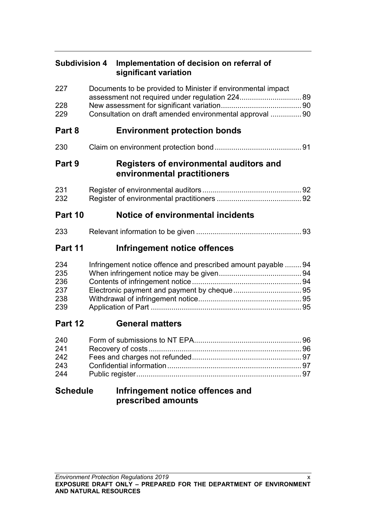| <b>Subdivision 4</b>                   |  | Implementation of decision on referral of<br>significant variation                                              |  |
|----------------------------------------|--|-----------------------------------------------------------------------------------------------------------------|--|
| 227                                    |  | Documents to be provided to Minister if environmental impact<br>assessment not required under regulation 224 89 |  |
| 228<br>229                             |  | Consultation on draft amended environmental approval  90                                                        |  |
| Part 8                                 |  | <b>Environment protection bonds</b>                                                                             |  |
| 230                                    |  |                                                                                                                 |  |
| Part 9                                 |  | Registers of environmental auditors and<br>environmental practitioners                                          |  |
| 231<br>232                             |  |                                                                                                                 |  |
| Part 10                                |  | <b>Notice of environmental incidents</b>                                                                        |  |
| 233                                    |  |                                                                                                                 |  |
| Part 11                                |  | Infringement notice offences                                                                                    |  |
| 234<br>235<br>236<br>237<br>238<br>239 |  | Infringement notice offence and prescribed amount payable  94                                                   |  |
| Part 12                                |  | <b>General matters</b>                                                                                          |  |
| 240<br>241<br>242<br>243<br>244        |  |                                                                                                                 |  |
| <b>Schedule</b>                        |  | Infringement notice offences and<br>prescribed amounts                                                          |  |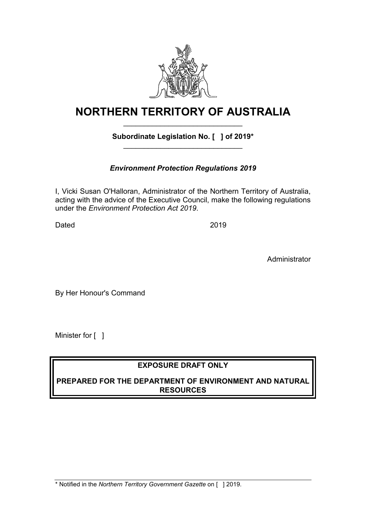

# **NORTHERN TERRITORY OF AUSTRALIA** \_\_\_\_\_\_\_\_\_\_\_\_\_\_\_\_\_\_\_\_\_\_\_\_\_\_\_\_\_

### **Subordinate Legislation No. [ ] of 2019\*** \_\_\_\_\_\_\_\_\_\_\_\_\_\_\_\_\_\_\_\_\_\_\_\_\_\_\_\_\_

# *Environment Protection Regulations 2019*

I, Vicki Susan O'Halloran, Administrator of the Northern Territory of Australia, acting with the advice of the Executive Council, make the following regulations under the *Environment Protection Act 2019*.

Dated 2019

Administrator

By Her Honour's Command

Minister for [ ]

# **EXPOSURE DRAFT ONLY**

## **PREPARED FOR THE DEPARTMENT OF ENVIRONMENT AND NATURAL RESOURCES**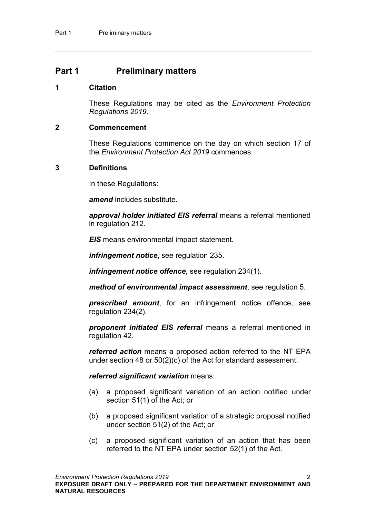### **Part 1 Preliminary matters**

#### **1 Citation**

These Regulations may be cited as the *Environment Protection Regulations 2019*.

#### **2 Commencement**

These Regulations commence on the day on which section 17 of the *Environment Protection Act 2019* commences.

#### **3 Definitions**

In these Regulations:

*amend* includes substitute.

*approval holder initiated EIS referral* means a referral mentioned in regulation [212.](#page-93-0)

*EIS* means environmental impact statement.

*infringement notice*, see regulation [235.](#page-103-0)

*infringement notice offence*, see regulation [234\(](#page-103-1)1).

*method of environmental impact assessment*, see regulation [5.](#page-12-0)

*prescribed amount*, for an infringement notice offence, see regulation [234\(](#page-103-1)2).

*proponent initiated EIS referral* means a referral mentioned in regulation [42.](#page-25-0)

*referred action* means a proposed action referred to the NT EPA under section 48 or 50(2)(c) of the Act for standard assessment.

#### *referred significant variation* means:

- (a) a proposed significant variation of an action notified under section 51(1) of the Act; or
- (b) a proposed significant variation of a strategic proposal notified under section 51(2) of the Act; or
- (c) a proposed significant variation of an action that has been referred to the NT EPA under section 52(1) of the Act.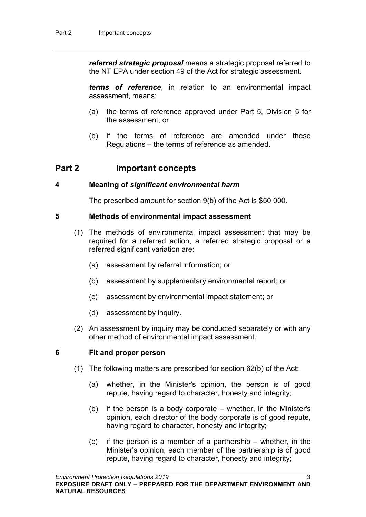*referred strategic proposal* means a strategic proposal referred to the NT EPA under section 49 of the Act for strategic assessment.

*terms of reference*, in relation to an environmental impact assessment, means:

- (a) the terms of reference approved under Part 5, Division 5 for the assessment; or
- (b) if the terms of reference are amended under these Regulations – the terms of reference as amended.

# **Part 2 Important concepts**

#### **4 Meaning of** *significant environmental harm*

The prescribed amount for section 9(b) of the Act is \$50 000.

#### <span id="page-12-0"></span>**5 Methods of environmental impact assessment**

- (1) The methods of environmental impact assessment that may be required for a referred action, a referred strategic proposal or a referred significant variation are:
	- (a) assessment by referral information; or
	- (b) assessment by supplementary environmental report; or
	- (c) assessment by environmental impact statement; or
	- (d) assessment by inquiry.
- (2) An assessment by inquiry may be conducted separately or with any other method of environmental impact assessment.

### **6 Fit and proper person**

- (1) The following matters are prescribed for section 62(b) of the Act:
	- (a) whether, in the Minister's opinion, the person is of good repute, having regard to character, honesty and integrity;
	- (b) if the person is a body corporate whether, in the Minister's opinion, each director of the body corporate is of good repute, having regard to character, honesty and integrity;
	- (c) if the person is a member of a partnership whether, in the Minister's opinion, each member of the partnership is of good repute, having regard to character, honesty and integrity;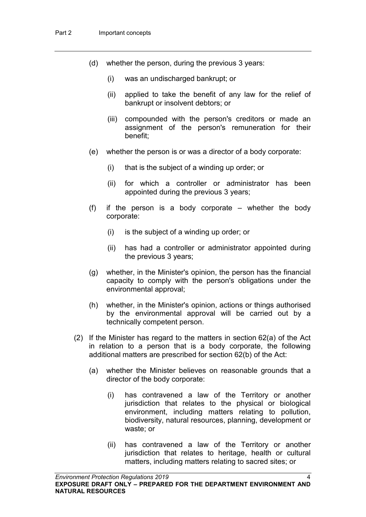- (d) whether the person, during the previous 3 years:
	- (i) was an undischarged bankrupt; or
	- (ii) applied to take the benefit of any law for the relief of bankrupt or insolvent debtors; or
	- (iii) compounded with the person's creditors or made an assignment of the person's remuneration for their benefit;
- (e) whether the person is or was a director of a body corporate:
	- (i) that is the subject of a winding up order; or
	- (ii) for which a controller or administrator has been appointed during the previous 3 years;
- (f) if the person is a body corporate whether the body corporate:
	- (i) is the subject of a winding up order; or
	- (ii) has had a controller or administrator appointed during the previous 3 years;
- (g) whether, in the Minister's opinion, the person has the financial capacity to comply with the person's obligations under the environmental approval;
- (h) whether, in the Minister's opinion, actions or things authorised by the environmental approval will be carried out by a technically competent person.
- (2) If the Minister has regard to the matters in section 62(a) of the Act in relation to a person that is a body corporate, the following additional matters are prescribed for section 62(b) of the Act:
	- (a) whether the Minister believes on reasonable grounds that a director of the body corporate:
		- (i) has contravened a law of the Territory or another jurisdiction that relates to the physical or biological environment, including matters relating to pollution, biodiversity, natural resources, planning, development or waste; or
		- (ii) has contravened a law of the Territory or another jurisdiction that relates to heritage, health or cultural matters, including matters relating to sacred sites; or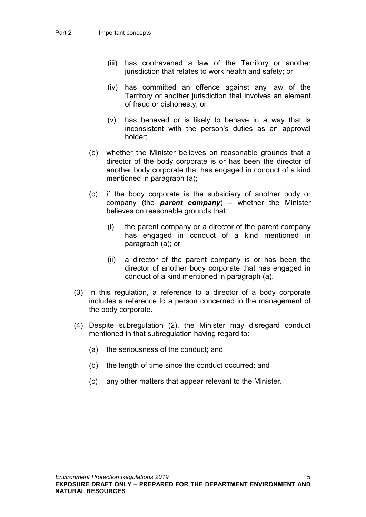- (iii) has contravened a law of the Territory or another jurisdiction that relates to work health and safety; or
- (iv) has committed an offence against any law of the Territory or another jurisdiction that involves an element of fraud or dishonesty; or
- (v) has behaved or is likely to behave in a way that is inconsistent with the person's duties as an approval holder;
- (b) whether the Minister believes on reasonable grounds that a director of the body corporate is or has been the director of another body corporate that has engaged in conduct of a kind mentioned in paragraph (a);
- (c) if the body corporate is the subsidiary of another body or company (the *parent company*) – whether the Minister believes on reasonable grounds that:
	- (i) the parent company or a director of the parent company has engaged in conduct of a kind mentioned in paragraph (a); or
	- (ii) a director of the parent company is or has been the director of another body corporate that has engaged in conduct of a kind mentioned in paragraph (a).
- (3) In this regulation, a reference to a director of a body corporate includes a reference to a person concerned in the management of the body corporate.
- (4) Despite subregulation (2), the Minister may disregard conduct mentioned in that subregulation having regard to:
	- (a) the seriousness of the conduct; and
	- (b) the length of time since the conduct occurred; and
	- (c) any other matters that appear relevant to the Minister.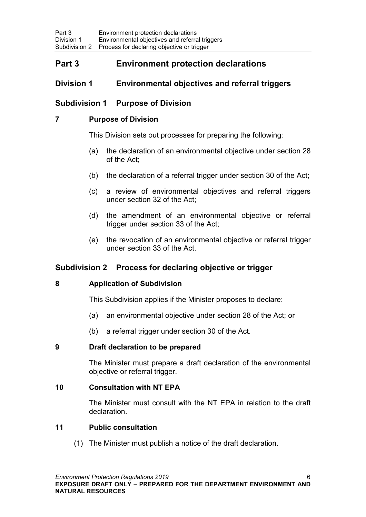# **Part 3 Environment protection declarations**

### **Division 1 Environmental objectives and referral triggers**

### **Subdivision 1 Purpose of Division**

#### **7 Purpose of Division**

This Division sets out processes for preparing the following:

- (a) the declaration of an environmental objective under section 28 of the Act;
- (b) the declaration of a referral trigger under section 30 of the Act;
- (c) a review of environmental objectives and referral triggers under section 32 of the Act;
- (d) the amendment of an environmental objective or referral trigger under section 33 of the Act;
- (e) the revocation of an environmental objective or referral trigger under section 33 of the Act.

## **Subdivision 2 Process for declaring objective or trigger**

### **8 Application of Subdivision**

This Subdivision applies if the Minister proposes to declare:

- (a) an environmental objective under section 28 of the Act; or
- (b) a referral trigger under section 30 of the Act.

### **9 Draft declaration to be prepared**

The Minister must prepare a draft declaration of the environmental objective or referral trigger.

#### **10 Consultation with NT EPA**

The Minister must consult with the NT EPA in relation to the draft declaration.

#### **11 Public consultation**

(1) The Minister must publish a notice of the draft declaration.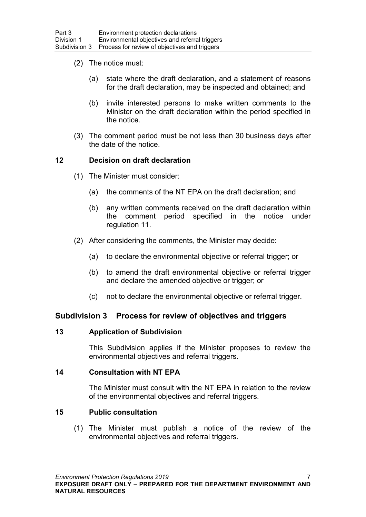- (2) The notice must:
	- (a) state where the draft declaration, and a statement of reasons for the draft declaration, may be inspected and obtained; and
	- (b) invite interested persons to make written comments to the Minister on the draft declaration within the period specified in the notice.
- (3) The comment period must be not less than 30 business days after the date of the notice.

#### **12 Decision on draft declaration**

- (1) The Minister must consider:
	- (a) the comments of the NT EPA on the draft declaration; and
	- (b) any written comments received on the draft declaration within the comment period specified in the notice under regulation 11.
- (2) After considering the comments, the Minister may decide:
	- (a) to declare the environmental objective or referral trigger; or
	- (b) to amend the draft environmental objective or referral trigger and declare the amended objective or trigger; or
	- (c) not to declare the environmental objective or referral trigger.

#### **Subdivision 3 Process for review of objectives and triggers**

#### **13 Application of Subdivision**

This Subdivision applies if the Minister proposes to review the environmental objectives and referral triggers.

#### **14 Consultation with NT EPA**

The Minister must consult with the NT EPA in relation to the review of the environmental objectives and referral triggers.

#### <span id="page-16-0"></span>**15 Public consultation**

(1) The Minister must publish a notice of the review of the environmental objectives and referral triggers.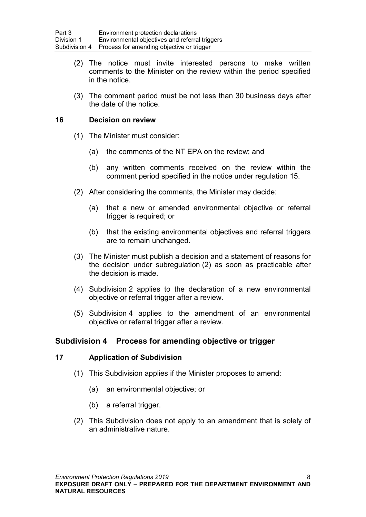- (2) The notice must invite interested persons to make written comments to the Minister on the review within the period specified in the notice.
- (3) The comment period must be not less than 30 business days after the date of the notice.

#### **16 Decision on review**

- (1) The Minister must consider:
	- (a) the comments of the NT EPA on the review; and
	- (b) any written comments received on the review within the comment period specified in the notice under regulation [15.](#page-16-0)
- (2) After considering the comments, the Minister may decide:
	- (a) that a new or amended environmental objective or referral trigger is required; or
	- (b) that the existing environmental objectives and referral triggers are to remain unchanged.
- (3) The Minister must publish a decision and a statement of reasons for the decision under subregulation (2) as soon as practicable after the decision is made.
- (4) Subdivision 2 applies to the declaration of a new environmental objective or referral trigger after a review.
- (5) Subdivision 4 applies to the amendment of an environmental objective or referral trigger after a review.

### **Subdivision 4 Process for amending objective or trigger**

#### **17 Application of Subdivision**

- (1) This Subdivision applies if the Minister proposes to amend:
	- (a) an environmental objective; or
	- (b) a referral trigger.
- (2) This Subdivision does not apply to an amendment that is solely of an administrative nature.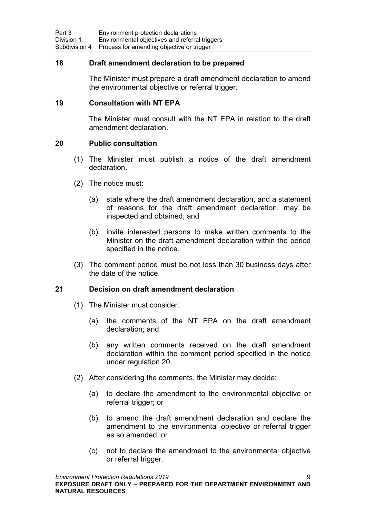#### **18 Draft amendment declaration to be prepared**

The Minister must prepare a draft amendment declaration to amend the environmental objective or referral trigger.

#### **19 Consultation with NT EPA**

The Minister must consult with the NT EPA in relation to the draft amendment declaration.

#### <span id="page-18-0"></span>**20 Public consultation**

- (1) The Minister must publish a notice of the draft amendment declaration.
- (2) The notice must:
	- (a) state where the draft amendment declaration, and a statement of reasons for the draft amendment declaration, may be inspected and obtained; and
	- (b) invite interested persons to make written comments to the Minister on the draft amendment declaration within the period specified in the notice.
- (3) The comment period must be not less than 30 business days after the date of the notice.

#### **21 Decision on draft amendment declaration**

- (1) The Minister must consider:
	- (a) the comments of the NT EPA on the draft amendment declaration; and
	- (b) any written comments received on the draft amendment declaration within the comment period specified in the notice under regulation [20.](#page-18-0)
- (2) After considering the comments, the Minister may decide:
	- (a) to declare the amendment to the environmental objective or referral trigger; or
	- (b) to amend the draft amendment declaration and declare the amendment to the environmental objective or referral trigger as so amended; or
	- (c) not to declare the amendment to the environmental objective or referral trigger.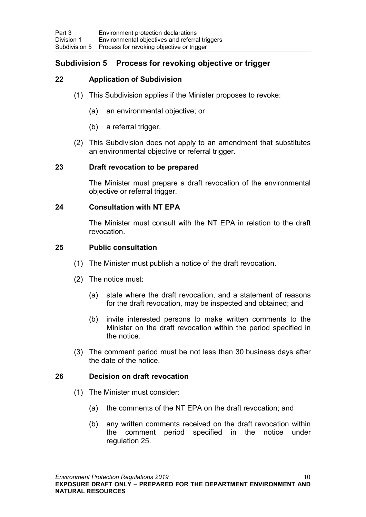## **Subdivision 5 Process for revoking objective or trigger**

### **22 Application of Subdivision**

- (1) This Subdivision applies if the Minister proposes to revoke:
	- (a) an environmental objective; or
	- (b) a referral trigger.
- (2) This Subdivision does not apply to an amendment that substitutes an environmental objective or referral trigger.

#### **23 Draft revocation to be prepared**

The Minister must prepare a draft revocation of the environmental objective or referral trigger.

#### **24 Consultation with NT EPA**

The Minister must consult with the NT EPA in relation to the draft revocation.

#### <span id="page-19-0"></span>**25 Public consultation**

- (1) The Minister must publish a notice of the draft revocation.
- (2) The notice must:
	- (a) state where the draft revocation, and a statement of reasons for the draft revocation, may be inspected and obtained; and
	- (b) invite interested persons to make written comments to the Minister on the draft revocation within the period specified in the notice.
- (3) The comment period must be not less than 30 business days after the date of the notice.

#### **26 Decision on draft revocation**

- (1) The Minister must consider:
	- (a) the comments of the NT EPA on the draft revocation; and
	- (b) any written comments received on the draft revocation within the comment period specified in the notice under regulation [25.](#page-19-0)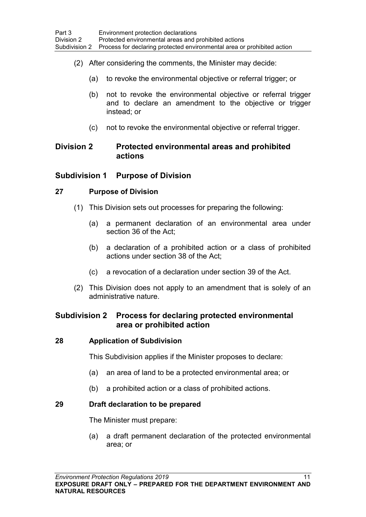- (2) After considering the comments, the Minister may decide:
	- (a) to revoke the environmental objective or referral trigger; or
	- (b) not to revoke the environmental objective or referral trigger and to declare an amendment to the objective or trigger instead; or
	- (c) not to revoke the environmental objective or referral trigger.

### **Division 2 Protected environmental areas and prohibited actions**

### **Subdivision 1 Purpose of Division**

### **27 Purpose of Division**

- (1) This Division sets out processes for preparing the following:
	- (a) a permanent declaration of an environmental area under section 36 of the Act;
	- (b) a declaration of a prohibited action or a class of prohibited actions under section 38 of the Act;
	- (c) a revocation of a declaration under section 39 of the Act.
- (2) This Division does not apply to an amendment that is solely of an administrative nature.

## **Subdivision 2 Process for declaring protected environmental area or prohibited action**

### **28 Application of Subdivision**

This Subdivision applies if the Minister proposes to declare:

- (a) an area of land to be a protected environmental area; or
- (b) a prohibited action or a class of prohibited actions.

### **29 Draft declaration to be prepared**

The Minister must prepare:

(a) a draft permanent declaration of the protected environmental area; or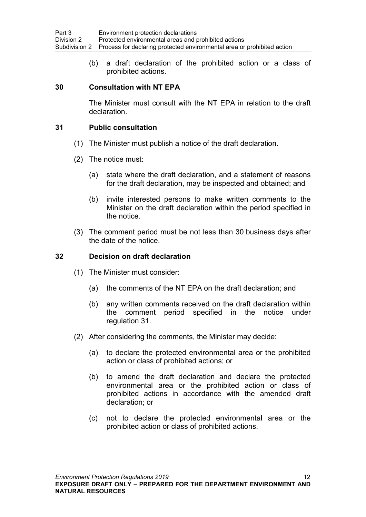(b) a draft declaration of the prohibited action or a class of prohibited actions.

#### **30 Consultation with NT EPA**

The Minister must consult with the NT EPA in relation to the draft declaration.

#### <span id="page-21-0"></span>**31 Public consultation**

- (1) The Minister must publish a notice of the draft declaration.
- (2) The notice must:
	- (a) state where the draft declaration, and a statement of reasons for the draft declaration, may be inspected and obtained; and
	- (b) invite interested persons to make written comments to the Minister on the draft declaration within the period specified in the notice.
- (3) The comment period must be not less than 30 business days after the date of the notice.

#### **32 Decision on draft declaration**

- (1) The Minister must consider:
	- (a) the comments of the NT EPA on the draft declaration; and
	- (b) any written comments received on the draft declaration within the comment period specified in the notice under regulation [31.](#page-21-0)
- (2) After considering the comments, the Minister may decide:
	- (a) to declare the protected environmental area or the prohibited action or class of prohibited actions; or
	- (b) to amend the draft declaration and declare the protected environmental area or the prohibited action or class of prohibited actions in accordance with the amended draft declaration; or
	- (c) not to declare the protected environmental area or the prohibited action or class of prohibited actions.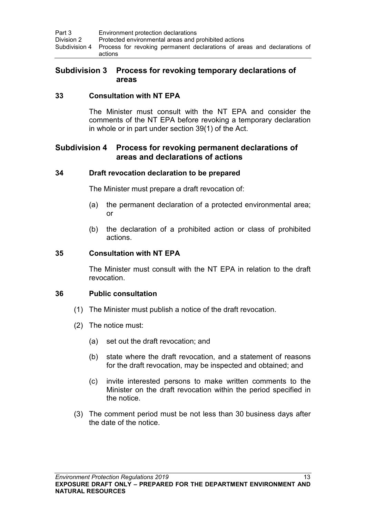| Part 3     | Environment protection declarations                                                               |
|------------|---------------------------------------------------------------------------------------------------|
| Division 2 | Protected environmental areas and prohibited actions                                              |
|            | Subdivision 4 Process for revoking permanent declarations of areas and declarations of<br>actions |

### **Subdivision 3 Process for revoking temporary declarations of areas**

#### **33 Consultation with NT EPA**

The Minister must consult with the NT EPA and consider the comments of the NT EPA before revoking a temporary declaration in whole or in part under section 39(1) of the Act.

### **Subdivision 4 Process for revoking permanent declarations of areas and declarations of actions**

#### **34 Draft revocation declaration to be prepared**

The Minister must prepare a draft revocation of:

- (a) the permanent declaration of a protected environmental area; or
- (b) the declaration of a prohibited action or class of prohibited actions.

#### **35 Consultation with NT EPA**

The Minister must consult with the NT EPA in relation to the draft revocation.

#### <span id="page-22-0"></span>**36 Public consultation**

- (1) The Minister must publish a notice of the draft revocation.
- (2) The notice must:
	- (a) set out the draft revocation; and
	- (b) state where the draft revocation, and a statement of reasons for the draft revocation, may be inspected and obtained; and
	- (c) invite interested persons to make written comments to the Minister on the draft revocation within the period specified in the notice.
- (3) The comment period must be not less than 30 business days after the date of the notice.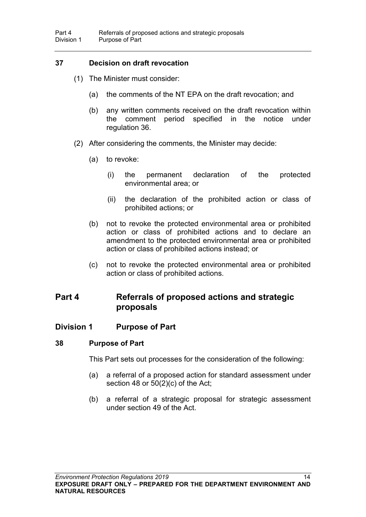### **37 Decision on draft revocation**

- (1) The Minister must consider:
	- (a) the comments of the NT EPA on the draft revocation; and
	- (b) any written comments received on the draft revocation within the comment period specified in the notice under regulation [36.](#page-22-0)
- (2) After considering the comments, the Minister may decide:
	- (a) to revoke:
		- (i) the permanent declaration of the protected environmental area; or
		- (ii) the declaration of the prohibited action or class of prohibited actions; or
	- (b) not to revoke the protected environmental area or prohibited action or class of prohibited actions and to declare an amendment to the protected environmental area or prohibited action or class of prohibited actions instead; or
	- (c) not to revoke the protected environmental area or prohibited action or class of prohibited actions.

# **Part 4 Referrals of proposed actions and strategic proposals**

### **Division 1 Purpose of Part**

### **38 Purpose of Part**

This Part sets out processes for the consideration of the following:

- (a) a referral of a proposed action for standard assessment under section 48 or 50(2)(c) of the Act;
- (b) a referral of a strategic proposal for strategic assessment under section 49 of the Act.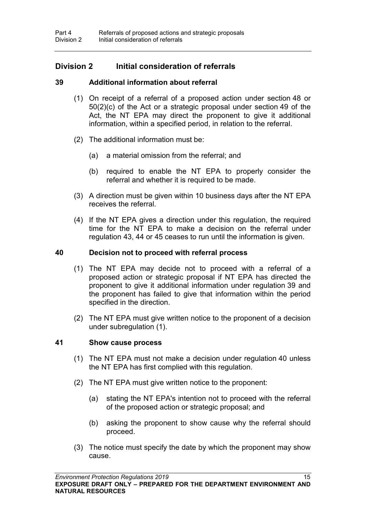### **Division 2 Initial consideration of referrals**

#### **39 Additional information about referral**

- <span id="page-24-0"></span>(1) On receipt of a referral of a proposed action under section 48 or 50(2)(c) of the Act or a strategic proposal under section 49 of the Act, the NT EPA may direct the proponent to give it additional information, within a specified period, in relation to the referral.
- (2) The additional information must be:
	- (a) a material omission from the referral; and
	- (b) required to enable the NT EPA to properly consider the referral and whether it is required to be made.
- (3) A direction must be given within 10 business days after the NT EPA receives the referral.
- (4) If the NT EPA gives a direction under this regulation, the required time for the NT EPA to make a decision on the referral under regulation [43,](#page-25-1) [44](#page-25-2) or [45](#page-26-0) ceases to run until the information is given.

#### <span id="page-24-1"></span>**40 Decision not to proceed with referral process**

- (1) The NT EPA may decide not to proceed with a referral of a proposed action or strategic proposal if NT EPA has directed the proponent to give it additional information under regulation [39](#page-24-0) and the proponent has failed to give that information within the period specified in the direction.
- (2) The NT EPA must give written notice to the proponent of a decision under subregulation (1).

#### **41 Show cause process**

- (1) The NT EPA must not make a decision under regulation [40](#page-24-1) unless the NT EPA has first complied with this regulation.
- (2) The NT EPA must give written notice to the proponent:
	- (a) stating the NT EPA's intention not to proceed with the referral of the proposed action or strategic proposal; and
	- (b) asking the proponent to show cause why the referral should proceed.
- (3) The notice must specify the date by which the proponent may show cause.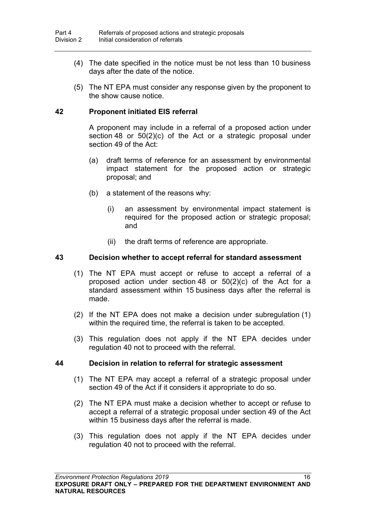- (4) The date specified in the notice must be not less than 10 business days after the date of the notice.
- (5) The NT EPA must consider any response given by the proponent to the show cause notice.

#### <span id="page-25-0"></span>**42 Proponent initiated EIS referral**

A proponent may include in a referral of a proposed action under section 48 or 50(2)(c) of the Act or a strategic proposal under section 49 of the Act:

- (a) draft terms of reference for an assessment by environmental impact statement for the proposed action or strategic proposal; and
- (b) a statement of the reasons why:
	- (i) an assessment by environmental impact statement is required for the proposed action or strategic proposal; and
	- (ii) the draft terms of reference are appropriate.

#### <span id="page-25-1"></span>**43 Decision whether to accept referral for standard assessment**

- (1) The NT EPA must accept or refuse to accept a referral of a proposed action under section 48 or 50(2)(c) of the Act for a standard assessment within 15 business days after the referral is made.
- (2) If the NT EPA does not make a decision under subregulation (1) within the required time, the referral is taken to be accepted.
- (3) This regulation does not apply if the NT EPA decides under regulation [40](#page-24-1) not to proceed with the referral.

#### <span id="page-25-2"></span>**44 Decision in relation to referral for strategic assessment**

- (1) The NT EPA may accept a referral of a strategic proposal under section 49 of the Act if it considers it appropriate to do so.
- (2) The NT EPA must make a decision whether to accept or refuse to accept a referral of a strategic proposal under section 49 of the Act within 15 business days after the referral is made.
- (3) This regulation does not apply if the NT EPA decides under regulation [40](#page-24-1) not to proceed with the referral.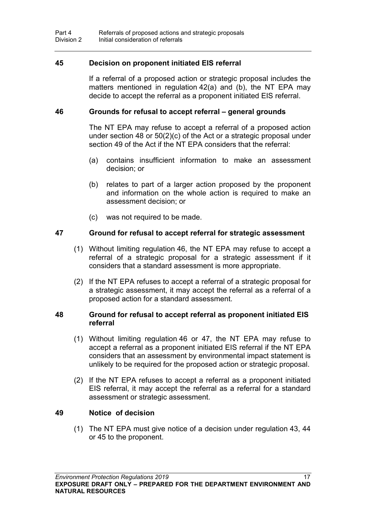#### <span id="page-26-0"></span>**45 Decision on proponent initiated EIS referral**

If a referral of a proposed action or strategic proposal includes the matters mentioned in regulation [42\(](#page-25-0)a) and (b), the NT EPA may decide to accept the referral as a proponent initiated EIS referral.

#### <span id="page-26-1"></span>**46 Grounds for refusal to accept referral – general grounds**

The NT EPA may refuse to accept a referral of a proposed action under section 48 or 50(2)(c) of the Act or a strategic proposal under section 49 of the Act if the NT EPA considers that the referral:

- (a) contains insufficient information to make an assessment decision; or
- (b) relates to part of a larger action proposed by the proponent and information on the whole action is required to make an assessment decision; or
- (c) was not required to be made.

#### <span id="page-26-2"></span>**47 Ground for refusal to accept referral for strategic assessment**

- (1) Without limiting regulation [46,](#page-26-1) the NT EPA may refuse to accept a referral of a strategic proposal for a strategic assessment if it considers that a standard assessment is more appropriate.
- (2) If the NT EPA refuses to accept a referral of a strategic proposal for a strategic assessment, it may accept the referral as a referral of a proposed action for a standard assessment.

#### **48 Ground for refusal to accept referral as proponent initiated EIS referral**

- (1) Without limiting regulation [46](#page-26-1) or [47,](#page-26-2) the NT EPA may refuse to accept a referral as a proponent initiated EIS referral if the NT EPA considers that an assessment by environmental impact statement is unlikely to be required for the proposed action or strategic proposal.
- (2) If the NT EPA refuses to accept a referral as a proponent initiated EIS referral, it may accept the referral as a referral for a standard assessment or strategic assessment.

#### **49 Notice of decision**

(1) The NT EPA must give notice of a decision under regulation [43,](#page-25-1) [44](#page-25-2) or [45](#page-26-0) to the proponent.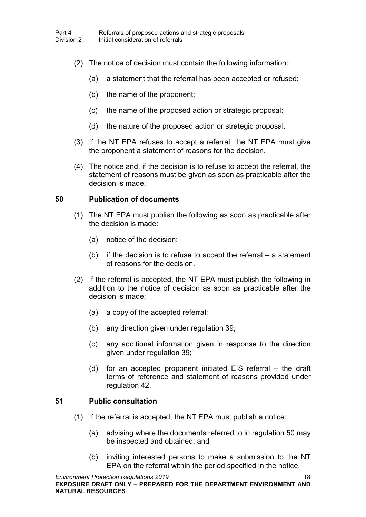- (2) The notice of decision must contain the following information:
	- (a) a statement that the referral has been accepted or refused;
	- (b) the name of the proponent;
	- (c) the name of the proposed action or strategic proposal;
	- (d) the nature of the proposed action or strategic proposal.
- (3) If the NT EPA refuses to accept a referral, the NT EPA must give the proponent a statement of reasons for the decision.
- (4) The notice and, if the decision is to refuse to accept the referral, the statement of reasons must be given as soon as practicable after the decision is made.

#### **50 Publication of documents**

- (1) The NT EPA must publish the following as soon as practicable after the decision is made:
	- (a) notice of the decision;
	- (b) if the decision is to refuse to accept the referral  $-$  a statement of reasons for the decision.
- (2) If the referral is accepted, the NT EPA must publish the following in addition to the notice of decision as soon as practicable after the decision is made:
	- (a) a copy of the accepted referral;
	- (b) any direction given under regulation [39;](#page-24-0)
	- (c) any additional information given in response to the direction given under regulation 39;
	- (d) for an accepted proponent initiated EIS referral the draft terms of reference and statement of reasons provided under regulation [42.](#page-25-0)

### <span id="page-27-0"></span>**51 Public consultation**

- (1) If the referral is accepted, the NT EPA must publish a notice:
	- (a) advising where the documents referred to in regulation 50 may be inspected and obtained; and
	- (b) inviting interested persons to make a submission to the NT EPA on the referral within the period specified in the notice.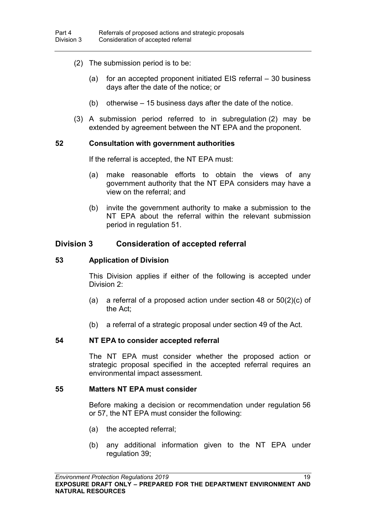- (2) The submission period is to be:
	- (a) for an accepted proponent initiated EIS referral 30 business days after the date of the notice; or
	- (b) otherwise 15 business days after the date of the notice.
- (3) A submission period referred to in subregulation (2) may be extended by agreement between the NT EPA and the proponent.

#### <span id="page-28-0"></span>**52 Consultation with government authorities**

If the referral is accepted, the NT EPA must:

- (a) make reasonable efforts to obtain the views of any government authority that the NT EPA considers may have a view on the referral; and
- (b) invite the government authority to make a submission to the NT EPA about the referral within the relevant submission period in regulation [51.](#page-27-0)

#### **Division 3 Consideration of accepted referral**

#### **53 Application of Division**

This Division applies if either of the following is accepted under Division 2:

- (a) a referral of a proposed action under section 48 or 50(2)(c) of the Act;
- (b) a referral of a strategic proposal under section 49 of the Act.

#### **54 NT EPA to consider accepted referral**

The NT EPA must consider whether the proposed action or strategic proposal specified in the accepted referral requires an environmental impact assessment.

#### **55 Matters NT EPA must consider**

Before making a decision or recommendation under regulation [56](#page-29-0) or [57,](#page-29-1) the NT EPA must consider the following:

- (a) the accepted referral;
- (b) any additional information given to the NT EPA under regulation [39;](#page-24-0)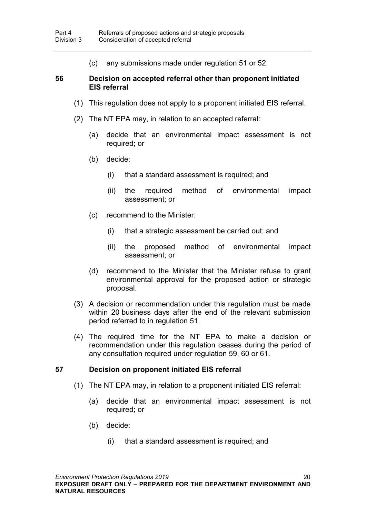(c) any submissions made under regulation [51](#page-27-0) or [52.](#page-28-0)

#### <span id="page-29-0"></span>**56 Decision on accepted referral other than proponent initiated EIS referral**

- (1) This regulation does not apply to a proponent initiated EIS referral.
- (2) The NT EPA may, in relation to an accepted referral:
	- (a) decide that an environmental impact assessment is not required; or
	- (b) decide:
		- (i) that a standard assessment is required; and
		- (ii) the required method of environmental impact assessment; or
	- (c) recommend to the Minister:
		- (i) that a strategic assessment be carried out; and
		- (ii) the proposed method of environmental impact assessment; or
	- (d) recommend to the Minister that the Minister refuse to grant environmental approval for the proposed action or strategic proposal.
- (3) A decision or recommendation under this regulation must be made within 20 business days after the end of the relevant submission period referred to in regulation [51.](#page-27-0)
- (4) The required time for the NT EPA to make a decision or recommendation under this regulation ceases during the period of any consultation required under regulation [59,](#page-31-0) [60](#page-31-1) or [61.](#page-32-0)

#### <span id="page-29-1"></span>**57 Decision on proponent initiated EIS referral**

- (1) The NT EPA may, in relation to a proponent initiated EIS referral:
	- (a) decide that an environmental impact assessment is not required; or
	- (b) decide:
		- (i) that a standard assessment is required; and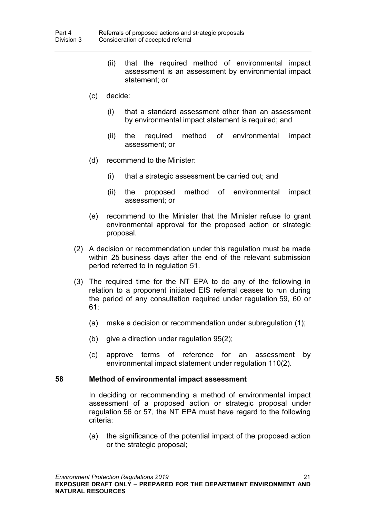- (ii) that the required method of environmental impact assessment is an assessment by environmental impact statement; or
- (c) decide:
	- (i) that a standard assessment other than an assessment by environmental impact statement is required; and
	- (ii) the required method of environmental impact assessment; or
- (d) recommend to the Minister:
	- (i) that a strategic assessment be carried out; and
	- (ii) the proposed method of environmental impact assessment; or
- (e) recommend to the Minister that the Minister refuse to grant environmental approval for the proposed action or strategic proposal.
- (2) A decision or recommendation under this regulation must be made within 25 business days after the end of the relevant submission period referred to in regulation [51.](#page-27-0)
- (3) The required time for the NT EPA to do any of the following in relation to a proponent initiated EIS referral ceases to run during the period of any consultation required under regulation [59,](#page-31-0) [60](#page-31-1) or [61:](#page-32-0)
	- (a) make a decision or recommendation under subregulation (1);
	- (b) give a direction under regulation [95\(](#page-47-0)2);
	- (c) approve terms of reference for an assessment by environmental impact statement under regulation [110\(](#page-53-0)2).

#### **58 Method of environmental impact assessment**

In deciding or recommending a method of environmental impact assessment of a proposed action or strategic proposal under regulation [56](#page-29-0) or [57,](#page-29-1) the NT EPA must have regard to the following criteria:

(a) the significance of the potential impact of the proposed action or the strategic proposal;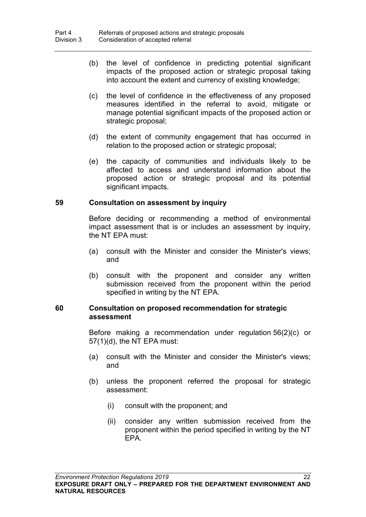- (b) the level of confidence in predicting potential significant impacts of the proposed action or strategic proposal taking into account the extent and currency of existing knowledge;
- (c) the level of confidence in the effectiveness of any proposed measures identified in the referral to avoid, mitigate or manage potential significant impacts of the proposed action or strategic proposal;
- (d) the extent of community engagement that has occurred in relation to the proposed action or strategic proposal;
- (e) the capacity of communities and individuals likely to be affected to access and understand information about the proposed action or strategic proposal and its potential significant impacts.

#### <span id="page-31-0"></span>**59 Consultation on assessment by inquiry**

Before deciding or recommending a method of environmental impact assessment that is or includes an assessment by inquiry, the NT EPA must:

- (a) consult with the Minister and consider the Minister's views; and
- (b) consult with the proponent and consider any written submission received from the proponent within the period specified in writing by the NT EPA.

#### <span id="page-31-1"></span>**60 Consultation on proposed recommendation for strategic assessment**

Before making a recommendation under regulation [56\(](#page-29-0)2)(c) or [57\(](#page-29-1)1)(d), the NT EPA must:

- (a) consult with the Minister and consider the Minister's views; and
- (b) unless the proponent referred the proposal for strategic assessment:
	- (i) consult with the proponent; and
	- (ii) consider any written submission received from the proponent within the period specified in writing by the NT EPA.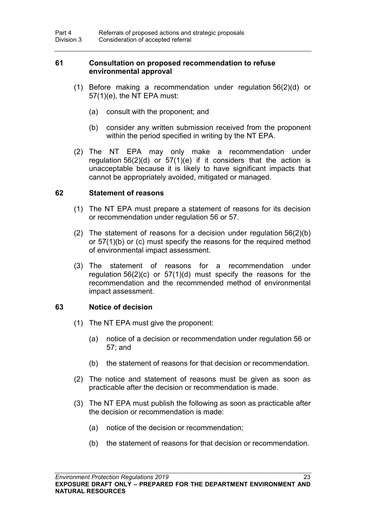#### <span id="page-32-0"></span>**61 Consultation on proposed recommendation to refuse environmental approval**

- (1) Before making a recommendation under regulation [56\(](#page-29-0)2)(d) or [57\(](#page-29-1)1)(e), the NT EPA must:
	- (a) consult with the proponent; and
	- (b) consider any written submission received from the proponent within the period specified in writing by the NT EPA.
- (2) The NT EPA may only make a recommendation under regulation  $56(2)(d)$  $56(2)(d)$  or  $57(1)(e)$  $57(1)(e)$  if it considers that the action is unacceptable because it is likely to have significant impacts that cannot be appropriately avoided, mitigated or managed.

#### **62 Statement of reasons**

- (1) The NT EPA must prepare a statement of reasons for its decision or recommendation under regulation [56](#page-29-0) or [57.](#page-29-1)
- (2) The statement of reasons for a decision under regulation [56\(](#page-29-0)2)(b) or [57\(](#page-29-1)1)(b) or (c) must specify the reasons for the required method of environmental impact assessment.
- (3) The statement of reasons for a recommendation under regulation [56\(](#page-29-0)2)(c) or [57\(](#page-29-1)1)(d) must specify the reasons for the recommendation and the recommended method of environmental impact assessment.

#### **63 Notice of decision**

- (1) The NT EPA must give the proponent:
	- (a) notice of a decision or recommendation under regulation [56](#page-29-0) or [57;](#page-29-1) and
	- (b) the statement of reasons for that decision or recommendation.
- (2) The notice and statement of reasons must be given as soon as practicable after the decision or recommendation is made.
- (3) The NT EPA must publish the following as soon as practicable after the decision or recommendation is made:
	- (a) notice of the decision or recommendation;
	- (b) the statement of reasons for that decision or recommendation.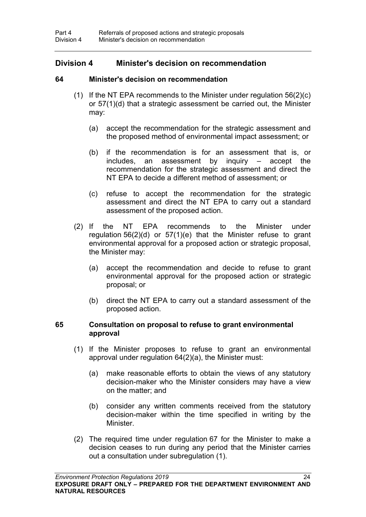### **Division 4 Minister's decision on recommendation**

#### **64 Minister's decision on recommendation**

- <span id="page-33-0"></span>(1) If the NT EPA recommends to the Minister under regulation  $56(2)(c)$  $56(2)(c)$ or [57\(](#page-29-1)1)(d) that a strategic assessment be carried out, the Minister may:
	- (a) accept the recommendation for the strategic assessment and the proposed method of environmental impact assessment; or
	- (b) if the recommendation is for an assessment that is, or includes, an assessment by inquiry – accept the recommendation for the strategic assessment and direct the NT EPA to decide a different method of assessment; or
	- (c) refuse to accept the recommendation for the strategic assessment and direct the NT EPA to carry out a standard assessment of the proposed action.
- (2) If the NT EPA recommends to the Minister under regulation [56\(](#page-29-0)2)(d) or [57\(](#page-29-1)1)(e) that the Minister refuse to grant environmental approval for a proposed action or strategic proposal, the Minister may:
	- (a) accept the recommendation and decide to refuse to grant environmental approval for the proposed action or strategic proposal; or
	- (b) direct the NT EPA to carry out a standard assessment of the proposed action.

#### **65 Consultation on proposal to refuse to grant environmental approval**

- (1) If the Minister proposes to refuse to grant an environmental approval under regulation [64\(](#page-33-0)2)(a), the Minister must:
	- (a) make reasonable efforts to obtain the views of any statutory decision-maker who the Minister considers may have a view on the matter; and
	- (b) consider any written comments received from the statutory decision-maker within the time specified in writing by the Minister.
- (2) The required time under regulation [67](#page-34-0) for the Minister to make a decision ceases to run during any period that the Minister carries out a consultation under subregulation (1).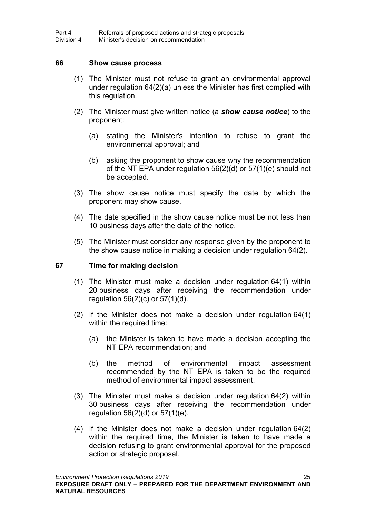#### **66 Show cause process**

- (1) The Minister must not refuse to grant an environmental approval under regulation [64\(](#page-33-0)2)(a) unless the Minister has first complied with this regulation.
- (2) The Minister must give written notice (a *show cause notice*) to the proponent:
	- (a) stating the Minister's intention to refuse to grant the environmental approval; and
	- (b) asking the proponent to show cause why the recommendation of the NT EPA under regulation [56\(](#page-29-0)2)(d) or [57\(](#page-29-1)1)(e) should not be accepted.
- (3) The show cause notice must specify the date by which the proponent may show cause.
- (4) The date specified in the show cause notice must be not less than 10 business days after the date of the notice.
- (5) The Minister must consider any response given by the proponent to the show cause notice in making a decision under regulation [64\(](#page-33-0)2).

#### <span id="page-34-0"></span>**67 Time for making decision**

- (1) The Minister must make a decision under regulation [64\(](#page-33-0)1) within 20 business days after receiving the recommendation under regulation [56\(](#page-29-0)2)(c) or [57\(](#page-29-1)1)(d).
- (2) If the Minister does not make a decision under regulation [64\(](#page-33-0)1) within the required time:
	- (a) the Minister is taken to have made a decision accepting the NT EPA recommendation; and
	- (b) the method of environmental impact assessment recommended by the NT EPA is taken to be the required method of environmental impact assessment.
- (3) The Minister must make a decision under regulation [64\(](#page-33-0)2) within 30 business days after receiving the recommendation under regulation [56\(](#page-29-0)2)(d) or [57\(](#page-29-1)1)(e).
- (4) If the Minister does not make a decision under regulation [64\(](#page-33-0)2) within the required time, the Minister is taken to have made a decision refusing to grant environmental approval for the proposed action or strategic proposal.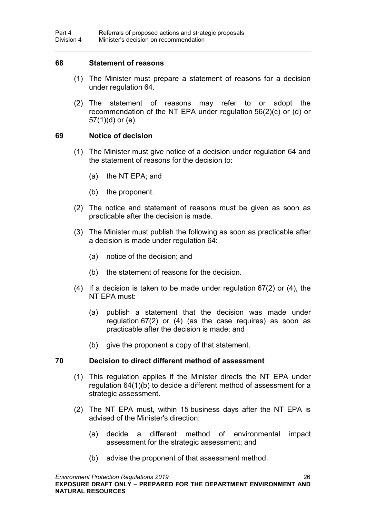#### **68 Statement of reasons**

- (1) The Minister must prepare a statement of reasons for a decision under regulation [64.](#page-33-0)
- (2) The statement of reasons may refer to or adopt the recommendation of the NT EPA under regulation [56\(](#page-29-0)2)(c) or (d) or [57\(](#page-29-1)1)(d) or (e).

#### **69 Notice of decision**

- (1) The Minister must give notice of a decision under regulation [64](#page-33-0) and the statement of reasons for the decision to:
	- (a) the NT EPA; and
	- (b) the proponent.
- (2) The notice and statement of reasons must be given as soon as practicable after the decision is made.
- (3) The Minister must publish the following as soon as practicable after a decision is made under regulation [64:](#page-33-0)
	- (a) notice of the decision; and
	- (b) the statement of reasons for the decision.
- (4) If a decision is taken to be made under regulation [67\(](#page-34-0)2) or (4), the NT EPA must:
	- (a) publish a statement that the decision was made under regulation [67\(](#page-34-0)2) or (4) (as the case requires) as soon as practicable after the decision is made; and
	- (b) give the proponent a copy of that statement.

#### **70 Decision to direct different method of assessment**

- (1) This regulation applies if the Minister directs the NT EPA under regulation [64\(](#page-33-0)1)(b) to decide a different method of assessment for a strategic assessment.
- (2) The NT EPA must, within 15 business days after the NT EPA is advised of the Minister's direction:
	- (a) decide a different method of environmental impact assessment for the strategic assessment; and
	- (b) advise the proponent of that assessment method.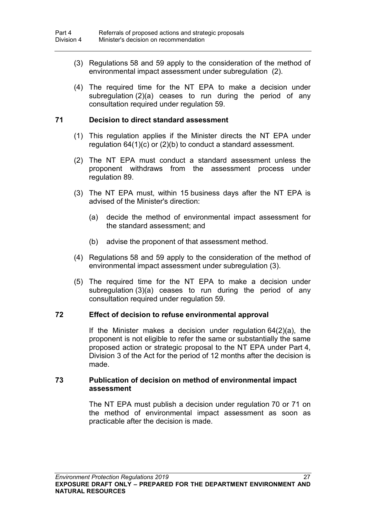- (3) Regulations [58](#page-30-0) and [59](#page-31-0) apply to the consideration of the method of environmental impact assessment under subregulation (2).
- (4) The required time for the NT EPA to make a decision under subregulation (2)(a) ceases to run during the period of any consultation required under regulation [59.](#page-31-0)

### <span id="page-36-0"></span>**71 Decision to direct standard assessment**

- (1) This regulation applies if the Minister directs the NT EPA under regulation [64\(](#page-33-0)1)(c) or (2)(b) to conduct a standard assessment.
- (2) The NT EPA must conduct a standard assessment unless the proponent withdraws from the assessment process under regulation [89.](#page-44-0)
- (3) The NT EPA must, within 15 business days after the NT EPA is advised of the Minister's direction:
	- (a) decide the method of environmental impact assessment for the standard assessment; and
	- (b) advise the proponent of that assessment method.
- (4) Regulations [58](#page-30-0) and [59](#page-31-0) apply to the consideration of the method of environmental impact assessment under subregulation (3).
- (5) The required time for the NT EPA to make a decision under subregulation (3)(a) ceases to run during the period of any consultation required under regulation [59.](#page-31-0)

### **72 Effect of decision to refuse environmental approval**

If the Minister makes a decision under regulation [64\(](#page-33-0)2)(a), the proponent is not eligible to refer the same or substantially the same proposed action or strategic proposal to the NT EPA under Part 4, Division 3 of the Act for the period of 12 months after the decision is made.

#### **73 Publication of decision on method of environmental impact assessment**

The NT EPA must publish a decision under regulation [70](#page-35-0) or [71](#page-36-0) on the method of environmental impact assessment as soon as practicable after the decision is made.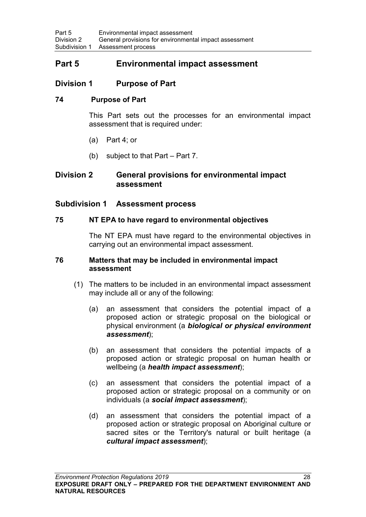## **Part 5 Environmental impact assessment**

## **Division 1 Purpose of Part**

### **74 Purpose of Part**

This Part sets out the processes for an environmental impact assessment that is required under:

- (a) Part 4; or
- (b) subject to that Part Part 7.

## **Division 2 General provisions for environmental impact assessment**

### **Subdivision 1 Assessment process**

### **75 NT EPA to have regard to environmental objectives**

The NT EPA must have regard to the environmental objectives in carrying out an environmental impact assessment.

#### **76 Matters that may be included in environmental impact assessment**

- (1) The matters to be included in an environmental impact assessment may include all or any of the following:
	- (a) an assessment that considers the potential impact of a proposed action or strategic proposal on the biological or physical environment (a *biological or physical environment assessment*);
	- (b) an assessment that considers the potential impacts of a proposed action or strategic proposal on human health or wellbeing (a *health impact assessment*);
	- (c) an assessment that considers the potential impact of a proposed action or strategic proposal on a community or on individuals (a *social impact assessment*);
	- (d) an assessment that considers the potential impact of a proposed action or strategic proposal on Aboriginal culture or sacred sites or the Territory's natural or built heritage (a *cultural impact assessment*);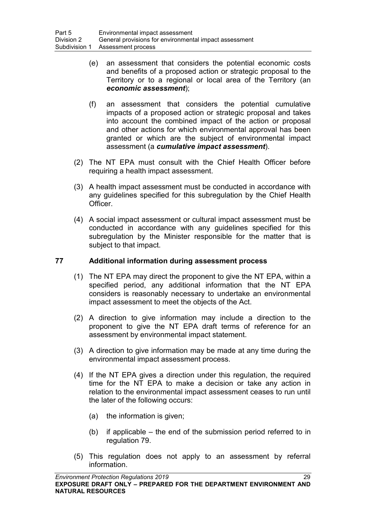- (e) an assessment that considers the potential economic costs and benefits of a proposed action or strategic proposal to the Territory or to a regional or local area of the Territory (an *economic assessment*);
- (f) an assessment that considers the potential cumulative impacts of a proposed action or strategic proposal and takes into account the combined impact of the action or proposal and other actions for which environmental approval has been granted or which are the subject of environmental impact assessment (a *cumulative impact assessment*).
- (2) The NT EPA must consult with the Chief Health Officer before requiring a health impact assessment.
- (3) A health impact assessment must be conducted in accordance with any guidelines specified for this subregulation by the Chief Health Officer.
- (4) A social impact assessment or cultural impact assessment must be conducted in accordance with any guidelines specified for this subregulation by the Minister responsible for the matter that is subject to that impact.

## <span id="page-38-0"></span>**77 Additional information during assessment process**

- (1) The NT EPA may direct the proponent to give the NT EPA, within a specified period, any additional information that the NT EPA considers is reasonably necessary to undertake an environmental impact assessment to meet the objects of the Act.
- (2) A direction to give information may include a direction to the proponent to give the NT EPA draft terms of reference for an assessment by environmental impact statement.
- (3) A direction to give information may be made at any time during the environmental impact assessment process.
- (4) If the NT EPA gives a direction under this regulation, the required time for the NT EPA to make a decision or take any action in relation to the environmental impact assessment ceases to run until the later of the following occurs:
	- (a) the information is given;
	- (b) if applicable the end of the submission period referred to in regulation [79.](#page-39-0)
- (5) This regulation does not apply to an assessment by referral information.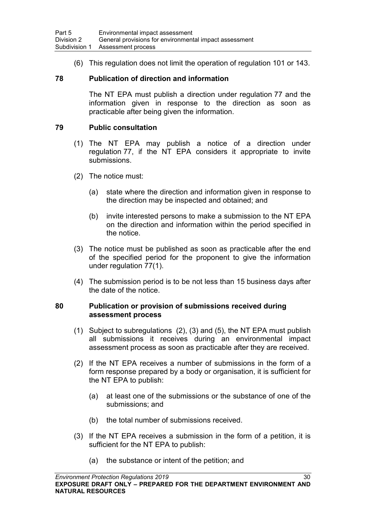(6) This regulation does not limit the operation of regulation [101](#page-49-0) or [143.](#page-62-0)

### **78 Publication of direction and information**

The NT EPA must publish a direction under regulation [77](#page-38-0) and the information given in response to the direction as soon as practicable after being given the information.

### <span id="page-39-0"></span>**79 Public consultation**

- (1) The NT EPA may publish a notice of a direction under regulation [77,](#page-38-0) if the NT EPA considers it appropriate to invite submissions.
- (2) The notice must:
	- (a) state where the direction and information given in response to the direction may be inspected and obtained; and
	- (b) invite interested persons to make a submission to the NT EPA on the direction and information within the period specified in the notice.
- (3) The notice must be published as soon as practicable after the end of the specified period for the proponent to give the information under regulation 77(1).
- (4) The submission period is to be not less than 15 business days after the date of the notice.

### <span id="page-39-1"></span>**80 Publication or provision of submissions received during assessment process**

- (1) Subject to subregulations (2), (3) and (5), the NT EPA must publish all submissions it receives during an environmental impact assessment process as soon as practicable after they are received.
- (2) If the NT EPA receives a number of submissions in the form of a form response prepared by a body or organisation, it is sufficient for the NT EPA to publish:
	- (a) at least one of the submissions or the substance of one of the submissions; and
	- (b) the total number of submissions received.
- (3) If the NT EPA receives a submission in the form of a petition, it is sufficient for the NT EPA to publish:
	- (a) the substance or intent of the petition; and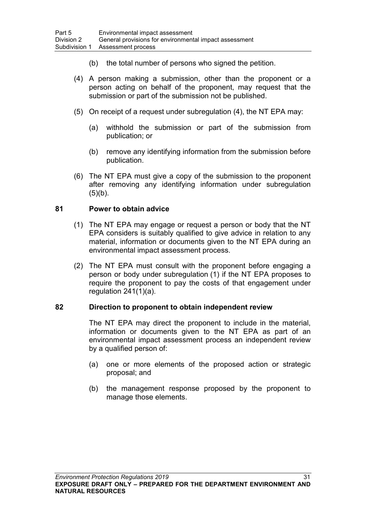- (b) the total number of persons who signed the petition.
- (4) A person making a submission, other than the proponent or a person acting on behalf of the proponent, may request that the submission or part of the submission not be published.
- (5) On receipt of a request under subregulation (4), the NT EPA may:
	- (a) withhold the submission or part of the submission from publication; or
	- (b) remove any identifying information from the submission before publication.
- (6) The NT EPA must give a copy of the submission to the proponent after removing any identifying information under subregulation  $(5)(b)$ .

### <span id="page-40-0"></span>**81 Power to obtain advice**

- (1) The NT EPA may engage or request a person or body that the NT EPA considers is suitably qualified to give advice in relation to any material, information or documents given to the NT EPA during an environmental impact assessment process.
- (2) The NT EPA must consult with the proponent before engaging a person or body under subregulation (1) if the NT EPA proposes to require the proponent to pay the costs of that engagement under regulation [241\(](#page-105-0)1)(a).

### <span id="page-40-1"></span>**82 Direction to proponent to obtain independent review**

The NT EPA may direct the proponent to include in the material, information or documents given to the NT EPA as part of an environmental impact assessment process an independent review by a qualified person of:

- (a) one or more elements of the proposed action or strategic proposal; and
- (b) the management response proposed by the proponent to manage those elements.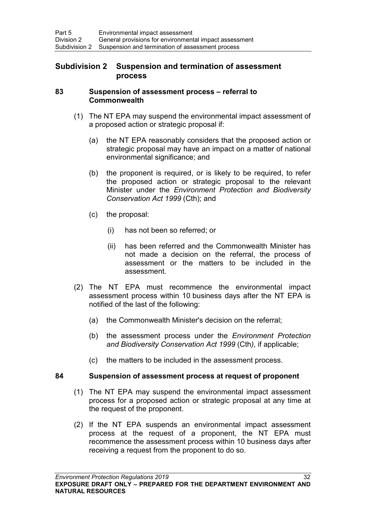## **Subdivision 2 Suspension and termination of assessment process**

#### <span id="page-41-0"></span>**83 Suspension of assessment process – referral to Commonwealth**

- (1) The NT EPA may suspend the environmental impact assessment of a proposed action or strategic proposal if:
	- (a) the NT EPA reasonably considers that the proposed action or strategic proposal may have an impact on a matter of national environmental significance; and
	- (b) the proponent is required, or is likely to be required, to refer the proposed action or strategic proposal to the relevant Minister under the *Environment Protection and Biodiversity Conservation Act 1999* (Cth); and
	- (c) the proposal:
		- (i) has not been so referred; or
		- (ii) has been referred and the Commonwealth Minister has not made a decision on the referral, the process of assessment or the matters to be included in the assessment.
- (2) The NT EPA must recommence the environmental impact assessment process within 10 business days after the NT EPA is notified of the last of the following:
	- (a) the Commonwealth Minister's decision on the referral;
	- (b) the assessment process under the *Environment Protection and Biodiversity Conservation Act 1999* (Cth*)*, if applicable;
	- (c) the matters to be included in the assessment process.

### <span id="page-41-1"></span>**84 Suspension of assessment process at request of proponent**

- (1) The NT EPA may suspend the environmental impact assessment process for a proposed action or strategic proposal at any time at the request of the proponent.
- (2) If the NT EPA suspends an environmental impact assessment process at the request of a proponent, the NT EPA must recommence the assessment process within 10 business days after receiving a request from the proponent to do so.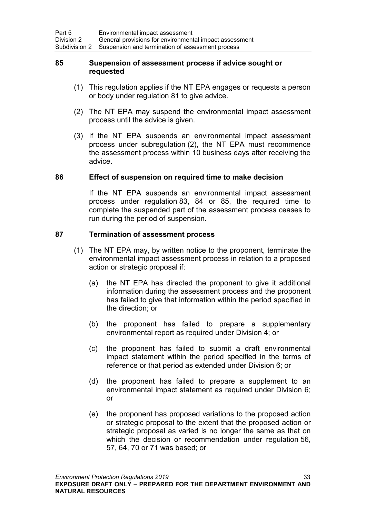### <span id="page-42-0"></span>**85 Suspension of assessment process if advice sought or requested**

- (1) This regulation applies if the NT EPA engages or requests a person or body under regulation [81](#page-40-0) to give advice.
- (2) The NT EPA may suspend the environmental impact assessment process until the advice is given.
- (3) If the NT EPA suspends an environmental impact assessment process under subregulation (2), the NT EPA must recommence the assessment process within 10 business days after receiving the advice.

### **86 Effect of suspension on required time to make decision**

If the NT EPA suspends an environmental impact assessment process under regulation [83,](#page-41-0) [84](#page-41-1) or [85,](#page-42-0) the required time to complete the suspended part of the assessment process ceases to run during the period of suspension.

### <span id="page-42-1"></span>**87 Termination of assessment process**

- (1) The NT EPA may, by written notice to the proponent, terminate the environmental impact assessment process in relation to a proposed action or strategic proposal if:
	- (a) the NT EPA has directed the proponent to give it additional information during the assessment process and the proponent has failed to give that information within the period specified in the direction; or
	- (b) the proponent has failed to prepare a supplementary environmental report as required under Division 4; or
	- (c) the proponent has failed to submit a draft environmental impact statement within the period specified in the terms of reference or that period as extended under Division 6; or
	- (d) the proponent has failed to prepare a supplement to an environmental impact statement as required under Division 6; or
	- (e) the proponent has proposed variations to the proposed action or strategic proposal to the extent that the proposed action or strategic proposal as varied is no longer the same as that on which the decision or recommendation under regulation [56,](#page-29-0) [57,](#page-29-1) [64,](#page-33-0) [70](#page-35-0) or [71](#page-36-0) was based; or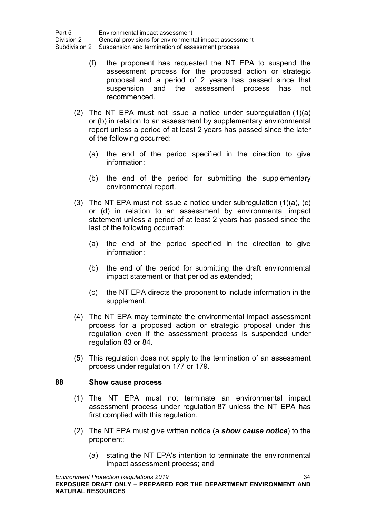- (f) the proponent has requested the NT EPA to suspend the assessment process for the proposed action or strategic proposal and a period of 2 years has passed since that suspension and the assessment process has not recommenced.
- (2) The NT EPA must not issue a notice under subregulation (1)(a) or (b) in relation to an assessment by supplementary environmental report unless a period of at least 2 years has passed since the later of the following occurred:
	- (a) the end of the period specified in the direction to give information;
	- (b) the end of the period for submitting the supplementary environmental report.
- (3) The NT EPA must not issue a notice under subregulation (1)(a), (c) or (d) in relation to an assessment by environmental impact statement unless a period of at least 2 years has passed since the last of the following occurred:
	- (a) the end of the period specified in the direction to give information;
	- (b) the end of the period for submitting the draft environmental impact statement or that period as extended;
	- (c) the NT EPA directs the proponent to include information in the supplement.
- (4) The NT EPA may terminate the environmental impact assessment process for a proposed action or strategic proposal under this regulation even if the assessment process is suspended under regulation [83](#page-41-0) or [84.](#page-41-1)
- (5) This regulation does not apply to the termination of an assessment process under regulation [177](#page-77-0) or [179.](#page-79-0)

### **88 Show cause process**

- (1) The NT EPA must not terminate an environmental impact assessment process under regulation [87](#page-42-1) unless the NT EPA has first complied with this regulation.
- (2) The NT EPA must give written notice (a *show cause notice*) to the proponent:
	- (a) stating the NT EPA's intention to terminate the environmental impact assessment process; and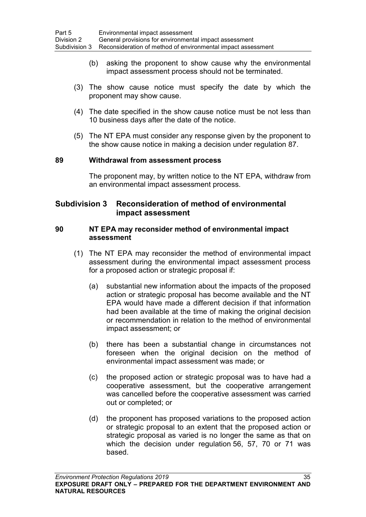- (b) asking the proponent to show cause why the environmental impact assessment process should not be terminated.
- (3) The show cause notice must specify the date by which the proponent may show cause.
- (4) The date specified in the show cause notice must be not less than 10 business days after the date of the notice.
- (5) The NT EPA must consider any response given by the proponent to the show cause notice in making a decision under regulation [87.](#page-42-1)

#### <span id="page-44-0"></span>**89 Withdrawal from assessment process**

The proponent may, by written notice to the NT EPA, withdraw from an environmental impact assessment process.

## **Subdivision 3 Reconsideration of method of environmental impact assessment**

#### <span id="page-44-1"></span>**90 NT EPA may reconsider method of environmental impact assessment**

- (1) The NT EPA may reconsider the method of environmental impact assessment during the environmental impact assessment process for a proposed action or strategic proposal if:
	- (a) substantial new information about the impacts of the proposed action or strategic proposal has become available and the NT EPA would have made a different decision if that information had been available at the time of making the original decision or recommendation in relation to the method of environmental impact assessment; or
	- (b) there has been a substantial change in circumstances not foreseen when the original decision on the method of environmental impact assessment was made; or
	- (c) the proposed action or strategic proposal was to have had a cooperative assessment, but the cooperative arrangement was cancelled before the cooperative assessment was carried out or completed; or
	- (d) the proponent has proposed variations to the proposed action or strategic proposal to an extent that the proposed action or strategic proposal as varied is no longer the same as that on which the decision under regulation [56,](#page-29-0) [57,](#page-29-1) [70](#page-35-0) or [71](#page-36-0) was based.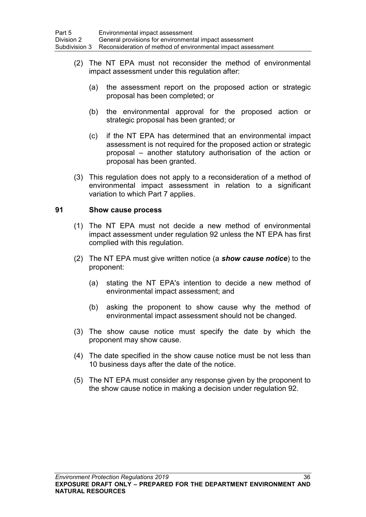- (2) The NT EPA must not reconsider the method of environmental impact assessment under this regulation after:
	- (a) the assessment report on the proposed action or strategic proposal has been completed; or
	- (b) the environmental approval for the proposed action or strategic proposal has been granted; or
	- (c) if the NT EPA has determined that an environmental impact assessment is not required for the proposed action or strategic proposal – another statutory authorisation of the action or proposal has been granted.
- (3) This regulation does not apply to a reconsideration of a method of environmental impact assessment in relation to a significant variation to which Part 7 applies.

### <span id="page-45-0"></span>**91 Show cause process**

- (1) The NT EPA must not decide a new method of environmental impact assessment under regulation [92](#page-46-0) unless the NT EPA has first complied with this regulation.
- (2) The NT EPA must give written notice (a *show cause notice*) to the proponent:
	- (a) stating the NT EPA's intention to decide a new method of environmental impact assessment; and
	- (b) asking the proponent to show cause why the method of environmental impact assessment should not be changed.
- (3) The show cause notice must specify the date by which the proponent may show cause.
- (4) The date specified in the show cause notice must be not less than 10 business days after the date of the notice.
- (5) The NT EPA must consider any response given by the proponent to the show cause notice in making a decision under regulation [92.](#page-46-0)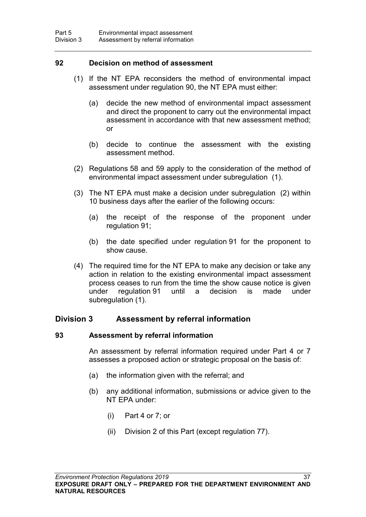### <span id="page-46-0"></span>**92 Decision on method of assessment**

- (1) If the NT EPA reconsiders the method of environmental impact assessment under regulation [90,](#page-44-1) the NT EPA must either:
	- (a) decide the new method of environmental impact assessment and direct the proponent to carry out the environmental impact assessment in accordance with that new assessment method; or
	- (b) decide to continue the assessment with the existing assessment method.
- (2) Regulations [58](#page-30-0) and [59](#page-31-0) apply to the consideration of the method of environmental impact assessment under subregulation (1).
- (3) The NT EPA must make a decision under subregulation (2) within 10 business days after the earlier of the following occurs:
	- (a) the receipt of the response of the proponent under regulation [91;](#page-45-0)
	- (b) the date specified under regulation [91](#page-45-0) for the proponent to show cause.
- (4) The required time for the NT EPA to make any decision or take any action in relation to the existing environmental impact assessment process ceases to run from the time the show cause notice is given under regulation [91](#page-45-0) until a decision is made under subregulation (1).

### **Division 3 Assessment by referral information**

#### **93 Assessment by referral information**

An assessment by referral information required under Part 4 or 7 assesses a proposed action or strategic proposal on the basis of:

- (a) the information given with the referral; and
- (b) any additional information, submissions or advice given to the NT EPA under:
	- (i) Part 4 or 7; or
	- (ii) Division 2 of this Part (except regulation [77\)](#page-38-0).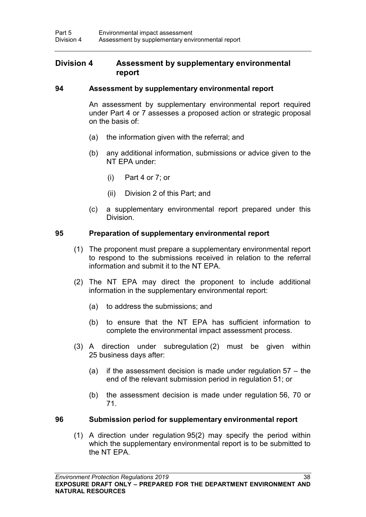### **Division 4 Assessment by supplementary environmental report**

### **94 Assessment by supplementary environmental report**

An assessment by supplementary environmental report required under Part 4 or 7 assesses a proposed action or strategic proposal on the basis of:

- (a) the information given with the referral; and
- (b) any additional information, submissions or advice given to the NT EPA under:
	- (i) Part 4 or 7; or
	- (ii) Division 2 of this Part; and
- (c) a supplementary environmental report prepared under this Division.

### <span id="page-47-0"></span>**95 Preparation of supplementary environmental report**

- (1) The proponent must prepare a supplementary environmental report to respond to the submissions received in relation to the referral information and submit it to the NT EPA.
- (2) The NT EPA may direct the proponent to include additional information in the supplementary environmental report:
	- (a) to address the submissions; and
	- (b) to ensure that the NT EPA has sufficient information to complete the environmental impact assessment process.
- (3) A direction under subregulation (2) must be given within 25 business days after:
	- (a) if the assessment decision is made under regulation [57](#page-29-1) the end of the relevant submission period in regulation [51;](#page-27-0) or
	- (b) the assessment decision is made under regulation [56,](#page-29-0) [70](#page-35-0) or [71.](#page-36-0)

#### <span id="page-47-1"></span>**96 Submission period for supplementary environmental report**

(1) A direction under regulation [95\(](#page-47-0)2) may specify the period within which the supplementary environmental report is to be submitted to the NT EPA.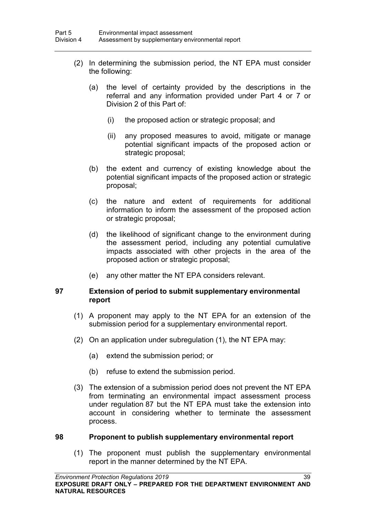- (2) In determining the submission period, the NT EPA must consider the following:
	- (a) the level of certainty provided by the descriptions in the referral and any information provided under Part 4 or 7 or Division 2 of this Part of:
		- (i) the proposed action or strategic proposal; and
		- (ii) any proposed measures to avoid, mitigate or manage potential significant impacts of the proposed action or strategic proposal;
	- (b) the extent and currency of existing knowledge about the potential significant impacts of the proposed action or strategic proposal;
	- (c) the nature and extent of requirements for additional information to inform the assessment of the proposed action or strategic proposal;
	- (d) the likelihood of significant change to the environment during the assessment period, including any potential cumulative impacts associated with other projects in the area of the proposed action or strategic proposal;
	- (e) any other matter the NT EPA considers relevant.

### <span id="page-48-0"></span>**97 Extension of period to submit supplementary environmental report**

- (1) A proponent may apply to the NT EPA for an extension of the submission period for a supplementary environmental report.
- (2) On an application under subregulation (1), the NT EPA may:
	- (a) extend the submission period; or
	- (b) refuse to extend the submission period.
- (3) The extension of a submission period does not prevent the NT EPA from terminating an environmental impact assessment process under regulation [87](#page-42-1) but the NT EPA must take the extension into account in considering whether to terminate the assessment process.

#### **98 Proponent to publish supplementary environmental report**

(1) The proponent must publish the supplementary environmental report in the manner determined by the NT EPA.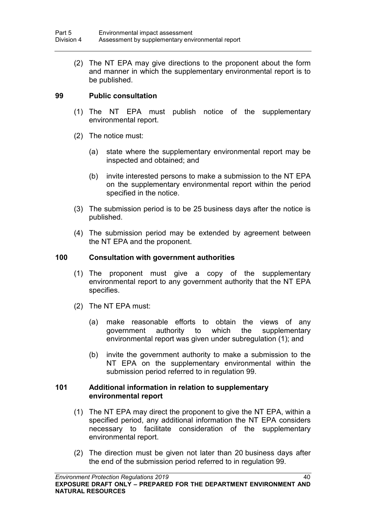(2) The NT EPA may give directions to the proponent about the form and manner in which the supplementary environmental report is to be published.

### <span id="page-49-1"></span>**99 Public consultation**

- (1) The NT EPA must publish notice of the supplementary environmental report.
- (2) The notice must:
	- (a) state where the supplementary environmental report may be inspected and obtained; and
	- (b) invite interested persons to make a submission to the NT EPA on the supplementary environmental report within the period specified in the notice.
- (3) The submission period is to be 25 business days after the notice is published.
- (4) The submission period may be extended by agreement between the NT EPA and the proponent.

#### **100 Consultation with government authorities**

- (1) The proponent must give a copy of the supplementary environmental report to any government authority that the NT EPA specifies.
- (2) The NT EPA must:
	- (a) make reasonable efforts to obtain the views of any government authority to which the supplementary environmental report was given under subregulation (1); and
	- (b) invite the government authority to make a submission to the NT EPA on the supplementary environmental within the submission period referred to in regulation [99.](#page-49-1)

### <span id="page-49-0"></span>**101 Additional information in relation to supplementary environmental report**

- (1) The NT EPA may direct the proponent to give the NT EPA, within a specified period, any additional information the NT EPA considers necessary to facilitate consideration of the supplementary environmental report.
- (2) The direction must be given not later than 20 business days after the end of the submission period referred to in regulation [99.](#page-49-1)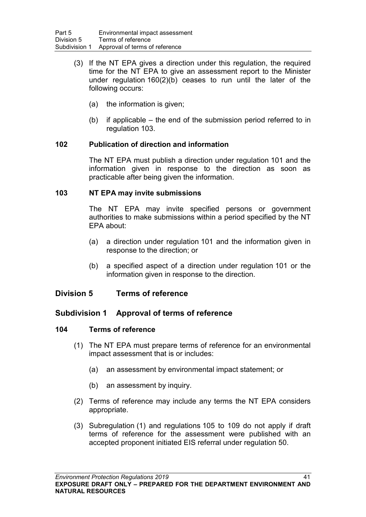- (3) If the NT EPA gives a direction under this regulation, the required time for the NT EPA to give an assessment report to the Minister under regulation [160\(](#page-68-0)2)(b) ceases to run until the later of the following occurs:
	- (a) the information is given;
	- (b) if applicable the end of the submission period referred to in regulation [103.](#page-50-0)

### **102 Publication of direction and information**

The NT EPA must publish a direction under regulation [101](#page-49-0) and the information given in response to the direction as soon as practicable after being given the information.

### <span id="page-50-0"></span>**103 NT EPA may invite submissions**

The NT EPA may invite specified persons or government authorities to make submissions within a period specified by the NT EPA about:

- (a) a direction under regulation [101](#page-49-0) and the information given in response to the direction; or
- (b) a specified aspect of a direction under regulation [101](#page-49-0) or the information given in response to the direction.

## **Division 5 Terms of reference**

## **Subdivision 1 Approval of terms of reference**

## <span id="page-50-1"></span>**104 Terms of reference**

- (1) The NT EPA must prepare terms of reference for an environmental impact assessment that is or includes:
	- (a) an assessment by environmental impact statement; or
	- (b) an assessment by inquiry.
- (2) Terms of reference may include any terms the NT EPA considers appropriate.
- (3) Subregulation (1) and regulations [105](#page-51-0) to [109](#page-52-0) do not apply if draft terms of reference for the assessment were published with an accepted proponent initiated EIS referral under regulation 50.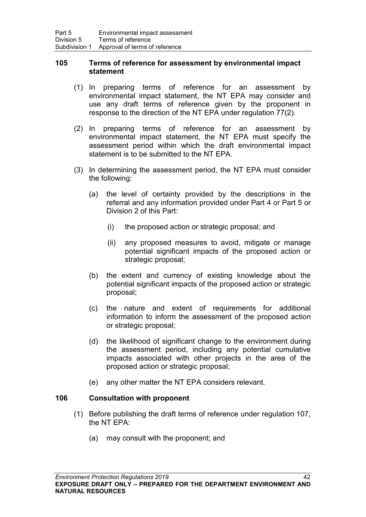### <span id="page-51-0"></span>**105 Terms of reference for assessment by environmental impact statement**

- (1) In preparing terms of reference for an assessment by environmental impact statement, the NT EPA may consider and use any draft terms of reference given by the proponent in response to the direction of the NT EPA under regulation [77\(](#page-38-0)2).
- (2) In preparing terms of reference for an assessment by environmental impact statement, the NT EPA must specify the assessment period within which the draft environmental impact statement is to be submitted to the NT EPA.
- (3) In determining the assessment period, the NT EPA must consider the following:
	- (a) the level of certainty provided by the descriptions in the referral and any information provided under Part 4 or Part 5 or Division 2 of this Part:
		- (i) the proposed action or strategic proposal; and
		- (ii) any proposed measures to avoid, mitigate or manage potential significant impacts of the proposed action or strategic proposal;
	- (b) the extent and currency of existing knowledge about the potential significant impacts of the proposed action or strategic proposal;
	- (c) the nature and extent of requirements for additional information to inform the assessment of the proposed action or strategic proposal;
	- (d) the likelihood of significant change to the environment during the assessment period, including any potential cumulative impacts associated with other projects in the area of the proposed action or strategic proposal;
	- (e) any other matter the NT EPA considers relevant.

## **106 Consultation with proponent**

- (1) Before publishing the draft terms of reference under regulation [107,](#page-52-1) the NT EPA:
	- (a) may consult with the proponent; and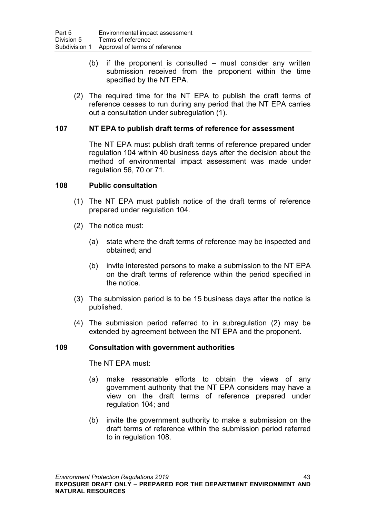- (b) if the proponent is consulted must consider any written submission received from the proponent within the time specified by the NT EPA.
- (2) The required time for the NT EPA to publish the draft terms of reference ceases to run during any period that the NT EPA carries out a consultation under subregulation (1).

### <span id="page-52-1"></span>**107 NT EPA to publish draft terms of reference for assessment**

The NT EPA must publish draft terms of reference prepared under regulation [104](#page-50-1) within 40 business days after the decision about the method of environmental impact assessment was made under regulation [56,](#page-29-0) [70](#page-35-0) or [71.](#page-36-0)

### <span id="page-52-2"></span>**108 Public consultation**

- (1) The NT EPA must publish notice of the draft terms of reference prepared under regulation [104.](#page-50-1)
- (2) The notice must:
	- (a) state where the draft terms of reference may be inspected and obtained; and
	- (b) invite interested persons to make a submission to the NT EPA on the draft terms of reference within the period specified in the notice.
- (3) The submission period is to be 15 business days after the notice is published.
- (4) The submission period referred to in subregulation (2) may be extended by agreement between the NT EPA and the proponent.

### <span id="page-52-0"></span>**109 Consultation with government authorities**

The NT EPA must:

- (a) make reasonable efforts to obtain the views of any government authority that the NT EPA considers may have a view on the draft terms of reference prepared under regulation [104;](#page-50-1) and
- (b) invite the government authority to make a submission on the draft terms of reference within the submission period referred to in regulation [108.](#page-52-2)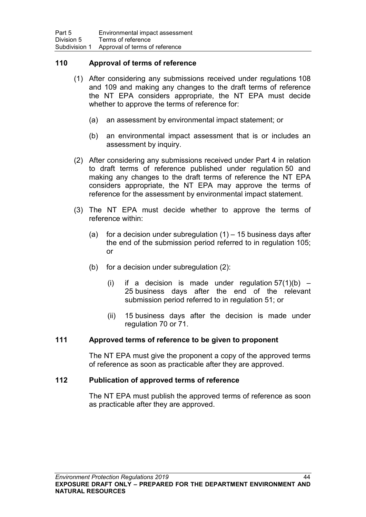### **110 Approval of terms of reference**

- (1) After considering any submissions received under regulations [108](#page-52-2) and [109](#page-52-0) and making any changes to the draft terms of reference the NT EPA considers appropriate, the NT EPA must decide whether to approve the terms of reference for:
	- (a) an assessment by environmental impact statement; or
	- (b) an environmental impact assessment that is or includes an assessment by inquiry.
- (2) After considering any submissions received under Part 4 in relation to draft terms of reference published under regulation [50](#page-27-1) and making any changes to the draft terms of reference the NT EPA considers appropriate, the NT EPA may approve the terms of reference for the assessment by environmental impact statement.
- (3) The NT EPA must decide whether to approve the terms of reference within:
	- (a) for a decision under subregulation  $(1)$  15 business days after the end of the submission period referred to in regulation 105; or
	- (b) for a decision under subregulation (2):
		- (i) if a decision is made under regulation  $57(1)(b)$  $57(1)(b)$  25 business days after the end of the relevant submission period referred to in regulation [51;](#page-27-0) or
		- (ii) 15 business days after the decision is made under regulation [70](#page-35-0) or [71.](#page-36-0)

### **111 Approved terms of reference to be given to proponent**

The NT EPA must give the proponent a copy of the approved terms of reference as soon as practicable after they are approved.

### **112 Publication of approved terms of reference**

The NT EPA must publish the approved terms of reference as soon as practicable after they are approved.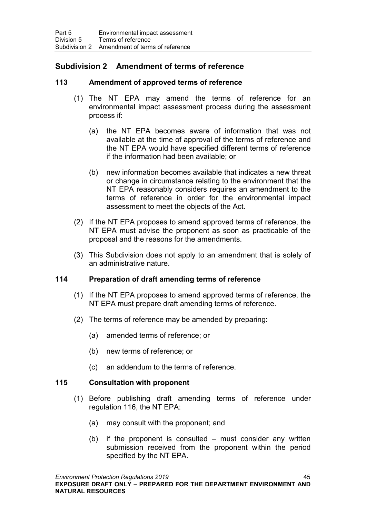## **Subdivision 2 Amendment of terms of reference**

## <span id="page-54-0"></span>**113 Amendment of approved terms of reference**

- (1) The NT EPA may amend the terms of reference for an environmental impact assessment process during the assessment process if:
	- (a) the NT EPA becomes aware of information that was not available at the time of approval of the terms of reference and the NT EPA would have specified different terms of reference if the information had been available; or
	- (b) new information becomes available that indicates a new threat or change in circumstance relating to the environment that the NT EPA reasonably considers requires an amendment to the terms of reference in order for the environmental impact assessment to meet the objects of the Act.
- (2) If the NT EPA proposes to amend approved terms of reference, the NT EPA must advise the proponent as soon as practicable of the proposal and the reasons for the amendments.
- (3) This Subdivision does not apply to an amendment that is solely of an administrative nature.

### **114 Preparation of draft amending terms of reference**

- (1) If the NT EPA proposes to amend approved terms of reference, the NT EPA must prepare draft amending terms of reference.
- (2) The terms of reference may be amended by preparing:
	- (a) amended terms of reference; or
	- (b) new terms of reference; or
	- (c) an addendum to the terms of reference.

### **115 Consultation with proponent**

- (1) Before publishing draft amending terms of reference under regulation [116,](#page-55-0) the NT EPA:
	- (a) may consult with the proponent; and
	- (b) if the proponent is consulted must consider any written submission received from the proponent within the period specified by the NT EPA.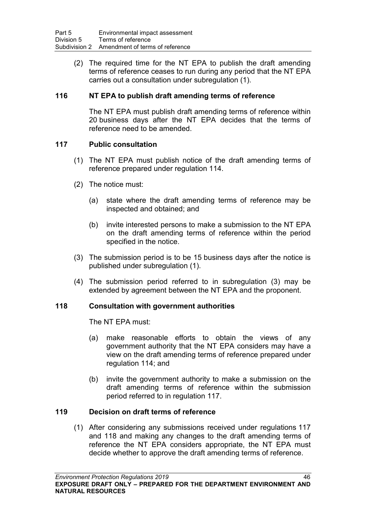(2) The required time for the NT EPA to publish the draft amending terms of reference ceases to run during any period that the NT EPA carries out a consultation under subregulation (1).

### <span id="page-55-0"></span>**116 NT EPA to publish draft amending terms of reference**

The NT EPA must publish draft amending terms of reference within 20 business days after the NT EPA decides that the terms of reference need to be amended.

### <span id="page-55-1"></span>**117 Public consultation**

- (1) The NT EPA must publish notice of the draft amending terms of reference prepared under regulation 114.
- (2) The notice must:
	- (a) state where the draft amending terms of reference may be inspected and obtained; and
	- (b) invite interested persons to make a submission to the NT EPA on the draft amending terms of reference within the period specified in the notice.
- (3) The submission period is to be 15 business days after the notice is published under subregulation (1).
- (4) The submission period referred to in subregulation (3) may be extended by agreement between the NT EPA and the proponent.

### <span id="page-55-2"></span>**118 Consultation with government authorities**

The NT EPA must:

- (a) make reasonable efforts to obtain the views of any government authority that the NT EPA considers may have a view on the draft amending terms of reference prepared under regulation 114; and
- (b) invite the government authority to make a submission on the draft amending terms of reference within the submission period referred to in regulation [117.](#page-55-1)

### **119 Decision on draft terms of reference**

(1) After considering any submissions received under regulations [117](#page-55-1) and [118](#page-55-2) and making any changes to the draft amending terms of reference the NT EPA considers appropriate, the NT EPA must decide whether to approve the draft amending terms of reference.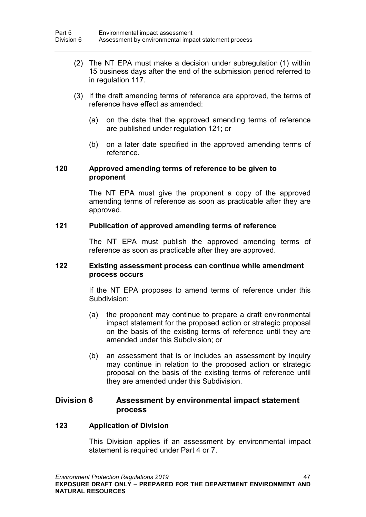- (2) The NT EPA must make a decision under subregulation (1) within 15 business days after the end of the submission period referred to in regulation [117.](#page-55-1)
- (3) If the draft amending terms of reference are approved, the terms of reference have effect as amended:
	- (a) on the date that the approved amending terms of reference are published under regulation [121;](#page-56-0) or
	- (b) on a later date specified in the approved amending terms of reference.

### **120 Approved amending terms of reference to be given to proponent**

The NT EPA must give the proponent a copy of the approved amending terms of reference as soon as practicable after they are approved.

### <span id="page-56-0"></span>**121 Publication of approved amending terms of reference**

The NT EPA must publish the approved amending terms of reference as soon as practicable after they are approved.

### **122 Existing assessment process can continue while amendment process occurs**

If the NT EPA proposes to amend terms of reference under this Subdivision:

- (a) the proponent may continue to prepare a draft environmental impact statement for the proposed action or strategic proposal on the basis of the existing terms of reference until they are amended under this Subdivision; or
- (b) an assessment that is or includes an assessment by inquiry may continue in relation to the proposed action or strategic proposal on the basis of the existing terms of reference until they are amended under this Subdivision.

## **Division 6 Assessment by environmental impact statement process**

### **123 Application of Division**

This Division applies if an assessment by environmental impact statement is required under Part 4 or 7.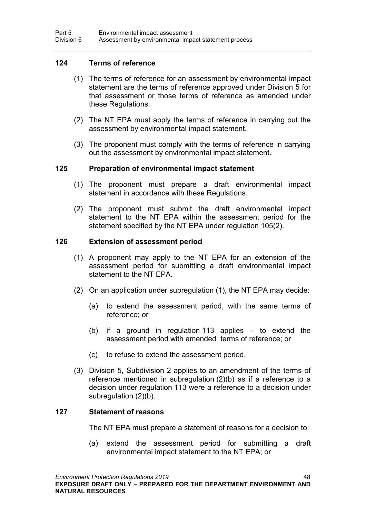### **124 Terms of reference**

- (1) The terms of reference for an assessment by environmental impact statement are the terms of reference approved under Division 5 for that assessment or those terms of reference as amended under these Regulations.
- (2) The NT EPA must apply the terms of reference in carrying out the assessment by environmental impact statement.
- (3) The proponent must comply with the terms of reference in carrying out the assessment by environmental impact statement.

### **125 Preparation of environmental impact statement**

- (1) The proponent must prepare a draft environmental impact statement in accordance with these Regulations.
- (2) The proponent must submit the draft environmental impact statement to the NT EPA within the assessment period for the statement specified by the NT EPA under regulation [105\(](#page-51-0)2).

### <span id="page-57-0"></span>**126 Extension of assessment period**

- (1) A proponent may apply to the NT EPA for an extension of the assessment period for submitting a draft environmental impact statement to the NT EPA.
- (2) On an application under subregulation (1), the NT EPA may decide:
	- (a) to extend the assessment period, with the same terms of reference; or
	- (b) if a ground in regulation [113](#page-54-0) applies to extend the assessment period with amended terms of reference; or
	- (c) to refuse to extend the assessment period.
- (3) Division 5, Subdivision 2 applies to an amendment of the terms of reference mentioned in subregulation (2)(b) as if a reference to a decision under regulation [113](#page-54-0) were a reference to a decision under subregulation (2)(b).

### <span id="page-57-1"></span>**127 Statement of reasons**

The NT EPA must prepare a statement of reasons for a decision to:

(a) extend the assessment period for submitting a draft environmental impact statement to the NT EPA; or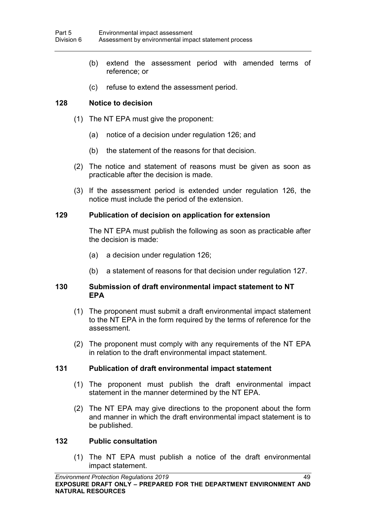- (b) extend the assessment period with amended terms of reference; or
- (c) refuse to extend the assessment period.

### **128 Notice to decision**

- (1) The NT EPA must give the proponent:
	- (a) notice of a decision under regulation [126;](#page-57-0) and
	- (b) the statement of the reasons for that decision.
- (2) The notice and statement of reasons must be given as soon as practicable after the decision is made.
- (3) If the assessment period is extended under regulation 126, the notice must include the period of the extension.

### **129 Publication of decision on application for extension**

The NT EPA must publish the following as soon as practicable after the decision is made:

- (a) a decision under regulation [126;](#page-57-0)
- (b) a statement of reasons for that decision under regulation [127.](#page-57-1)

#### **130 Submission of draft environmental impact statement to NT EPA**

- (1) The proponent must submit a draft environmental impact statement to the NT EPA in the form required by the terms of reference for the assessment.
- (2) The proponent must comply with any requirements of the NT EPA in relation to the draft environmental impact statement.

### **131 Publication of draft environmental impact statement**

- (1) The proponent must publish the draft environmental impact statement in the manner determined by the NT EPA.
- (2) The NT EPA may give directions to the proponent about the form and manner in which the draft environmental impact statement is to be published.

#### <span id="page-58-0"></span>**132 Public consultation**

(1) The NT EPA must publish a notice of the draft environmental impact statement.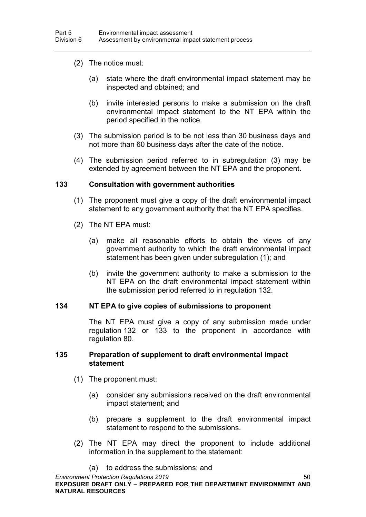- (2) The notice must:
	- (a) state where the draft environmental impact statement may be inspected and obtained; and
	- (b) invite interested persons to make a submission on the draft environmental impact statement to the NT EPA within the period specified in the notice.
- (3) The submission period is to be not less than 30 business days and not more than 60 business days after the date of the notice.
- (4) The submission period referred to in subregulation (3) may be extended by agreement between the NT EPA and the proponent.

#### <span id="page-59-0"></span>**133 Consultation with government authorities**

- (1) The proponent must give a copy of the draft environmental impact statement to any government authority that the NT EPA specifies.
- (2) The NT EPA must:
	- (a) make all reasonable efforts to obtain the views of any government authority to which the draft environmental impact statement has been given under subregulation (1); and
	- (b) invite the government authority to make a submission to the NT EPA on the draft environmental impact statement within the submission period referred to in regulation [132.](#page-58-0)

#### **134 NT EPA to give copies of submissions to proponent**

The NT EPA must give a copy of any submission made under regulation [132](#page-58-0) or [133](#page-59-0) to the proponent in accordance with regulation [80.](#page-39-1)

#### <span id="page-59-1"></span>**135 Preparation of supplement to draft environmental impact statement**

- (1) The proponent must:
	- (a) consider any submissions received on the draft environmental impact statement; and
	- (b) prepare a supplement to the draft environmental impact statement to respond to the submissions.
- (2) The NT EPA may direct the proponent to include additional information in the supplement to the statement:

(a) to address the submissions; and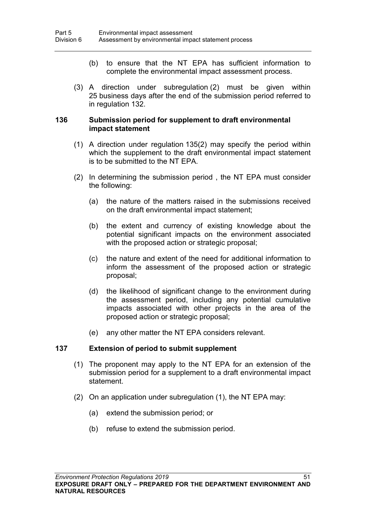- (b) to ensure that the NT EPA has sufficient information to complete the environmental impact assessment process.
- (3) A direction under subregulation (2) must be given within 25 business days after the end of the submission period referred to in regulation [132.](#page-58-0)

### <span id="page-60-0"></span>**136 Submission period for supplement to draft environmental impact statement**

- (1) A direction under regulation [135\(](#page-59-1)2) may specify the period within which the supplement to the draft environmental impact statement is to be submitted to the NT EPA.
- (2) In determining the submission period , the NT EPA must consider the following:
	- (a) the nature of the matters raised in the submissions received on the draft environmental impact statement;
	- (b) the extent and currency of existing knowledge about the potential significant impacts on the environment associated with the proposed action or strategic proposal;
	- (c) the nature and extent of the need for additional information to inform the assessment of the proposed action or strategic proposal;
	- (d) the likelihood of significant change to the environment during the assessment period, including any potential cumulative impacts associated with other projects in the area of the proposed action or strategic proposal;
	- (e) any other matter the NT EPA considers relevant.

#### <span id="page-60-1"></span>**137 Extension of period to submit supplement**

- (1) The proponent may apply to the NT EPA for an extension of the submission period for a supplement to a draft environmental impact statement.
- (2) On an application under subregulation (1), the NT EPA may:
	- (a) extend the submission period; or
	- (b) refuse to extend the submission period.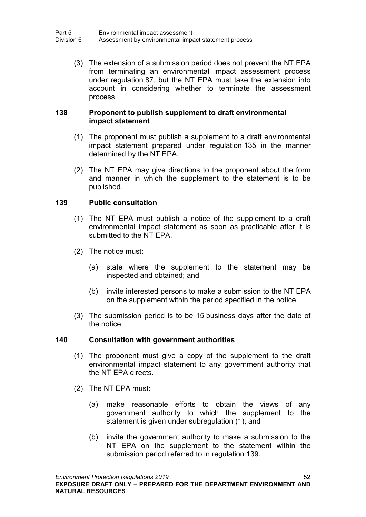(3) The extension of a submission period does not prevent the NT EPA from terminating an environmental impact assessment process under regulation [87,](#page-42-1) but the NT EPA must take the extension into account in considering whether to terminate the assessment process.

### **138 Proponent to publish supplement to draft environmental impact statement**

- (1) The proponent must publish a supplement to a draft environmental impact statement prepared under regulation [135](#page-59-1) in the manner determined by the NT EPA.
- (2) The NT EPA may give directions to the proponent about the form and manner in which the supplement to the statement is to be published.

### <span id="page-61-0"></span>**139 Public consultation**

- (1) The NT EPA must publish a notice of the supplement to a draft environmental impact statement as soon as practicable after it is submitted to the NT EPA.
- (2) The notice must:
	- (a) state where the supplement to the statement may be inspected and obtained; and
	- (b) invite interested persons to make a submission to the NT EPA on the supplement within the period specified in the notice.
- (3) The submission period is to be 15 business days after the date of the notice.

#### **140 Consultation with government authorities**

- (1) The proponent must give a copy of the supplement to the draft environmental impact statement to any government authority that the NT EPA directs.
- (2) The NT EPA must:
	- (a) make reasonable efforts to obtain the views of any government authority to which the supplement to the statement is given under subregulation (1); and
	- (b) invite the government authority to make a submission to the NT EPA on the supplement to the statement within the submission period referred to in regulation [139.](#page-61-0)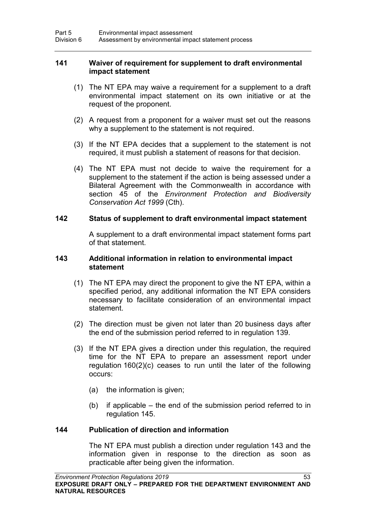### **141 Waiver of requirement for supplement to draft environmental impact statement**

- (1) The NT EPA may waive a requirement for a supplement to a draft environmental impact statement on its own initiative or at the request of the proponent.
- (2) A request from a proponent for a waiver must set out the reasons why a supplement to the statement is not required.
- (3) If the NT EPA decides that a supplement to the statement is not required, it must publish a statement of reasons for that decision.
- (4) The NT EPA must not decide to waive the requirement for a supplement to the statement if the action is being assessed under a Bilateral Agreement with the Commonwealth in accordance with section 45 of the *Environment Protection and Biodiversity Conservation Act 1999* (Cth).

#### **142 Status of supplement to draft environmental impact statement**

A supplement to a draft environmental impact statement forms part of that statement.

#### <span id="page-62-0"></span>**143 Additional information in relation to environmental impact statement**

- (1) The NT EPA may direct the proponent to give the NT EPA, within a specified period, any additional information the NT EPA considers necessary to facilitate consideration of an environmental impact statement.
- (2) The direction must be given not later than 20 business days after the end of the submission period referred to in regulation [139.](#page-61-0)
- (3) If the NT EPA gives a direction under this regulation, the required time for the NT EPA to prepare an assessment report under regulation [160\(](#page-68-0)2)(c) ceases to run until the later of the following occurs:
	- (a) the information is given;
	- (b) if applicable the end of the submission period referred to in regulation [145.](#page-63-0)

### **144 Publication of direction and information**

The NT EPA must publish a direction under regulation [143](#page-62-0) and the information given in response to the direction as soon as practicable after being given the information.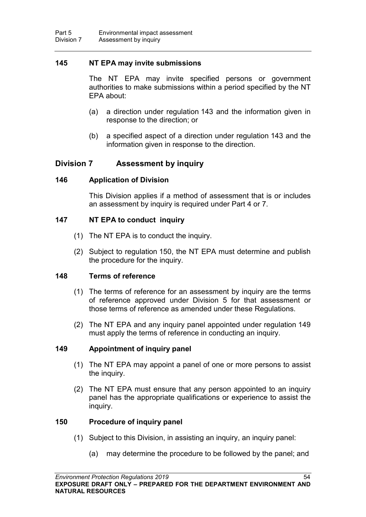### <span id="page-63-0"></span>**145 NT EPA may invite submissions**

The NT EPA may invite specified persons or government authorities to make submissions within a period specified by the NT EPA about:

- (a) a direction under regulation [143](#page-62-0) and the information given in response to the direction; or
- (b) a specified aspect of a direction under regulation [143](#page-62-0) and the information given in response to the direction.

## **Division 7 Assessment by inquiry**

### **146 Application of Division**

This Division applies if a method of assessment that is or includes an assessment by inquiry is required under Part 4 or 7.

### **147 NT EPA to conduct inquiry**

- (1) The NT EPA is to conduct the inquiry.
- (2) Subject to regulation [150,](#page-63-1) the NT EPA must determine and publish the procedure for the inquiry.

### **148 Terms of reference**

- (1) The terms of reference for an assessment by inquiry are the terms of reference approved under Division 5 for that assessment or those terms of reference as amended under these Regulations.
- (2) The NT EPA and any inquiry panel appointed under regulation [149](#page-63-2) must apply the terms of reference in conducting an inquiry.

## <span id="page-63-2"></span>**149 Appointment of inquiry panel**

- (1) The NT EPA may appoint a panel of one or more persons to assist the inquiry.
- (2) The NT EPA must ensure that any person appointed to an inquiry panel has the appropriate qualifications or experience to assist the inquiry.

### <span id="page-63-1"></span>**150 Procedure of inquiry panel**

- (1) Subject to this Division, in assisting an inquiry, an inquiry panel:
	- (a) may determine the procedure to be followed by the panel; and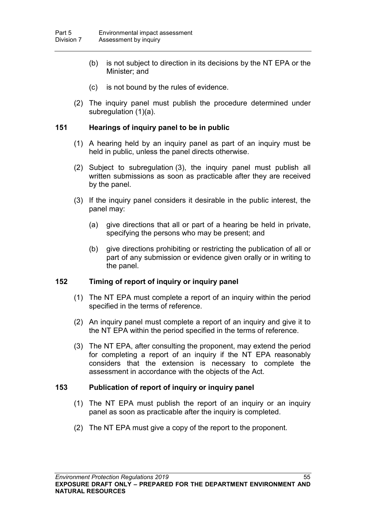- (b) is not subject to direction in its decisions by the NT EPA or the Minister; and
- (c) is not bound by the rules of evidence.
- (2) The inquiry panel must publish the procedure determined under subregulation (1)(a).

### <span id="page-64-0"></span>**151 Hearings of inquiry panel to be in public**

- (1) A hearing held by an inquiry panel as part of an inquiry must be held in public, unless the panel directs otherwise.
- (2) Subject to subregulation (3), the inquiry panel must publish all written submissions as soon as practicable after they are received by the panel.
- (3) If the inquiry panel considers it desirable in the public interest, the panel may:
	- (a) give directions that all or part of a hearing be held in private, specifying the persons who may be present; and
	- (b) give directions prohibiting or restricting the publication of all or part of any submission or evidence given orally or in writing to the panel.

## <span id="page-64-1"></span>**152 Timing of report of inquiry or inquiry panel**

- (1) The NT EPA must complete a report of an inquiry within the period specified in the terms of reference.
- (2) An inquiry panel must complete a report of an inquiry and give it to the NT EPA within the period specified in the terms of reference.
- (3) The NT EPA, after consulting the proponent, may extend the period for completing a report of an inquiry if the NT EPA reasonably considers that the extension is necessary to complete the assessment in accordance with the objects of the Act.

## **153 Publication of report of inquiry or inquiry panel**

- (1) The NT EPA must publish the report of an inquiry or an inquiry panel as soon as practicable after the inquiry is completed.
- (2) The NT EPA must give a copy of the report to the proponent.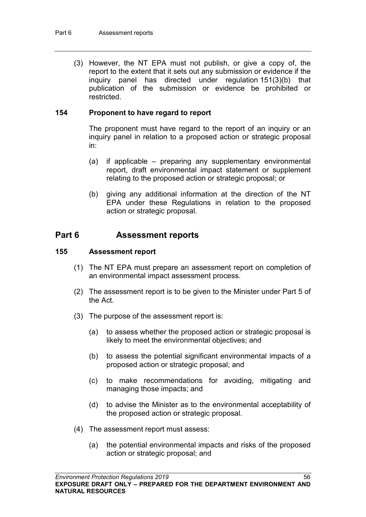(3) However, the NT EPA must not publish, or give a copy of, the report to the extent that it sets out any submission or evidence if the inquiry panel has directed under regulation [151\(](#page-64-0)3)(b) that publication of the submission or evidence be prohibited or restricted.

### **154 Proponent to have regard to report**

The proponent must have regard to the report of an inquiry or an inquiry panel in relation to a proposed action or strategic proposal in:

- (a) if applicable preparing any supplementary environmental report, draft environmental impact statement or supplement relating to the proposed action or strategic proposal; or
- (b) giving any additional information at the direction of the NT EPA under these Regulations in relation to the proposed action or strategic proposal.

## **Part 6 Assessment reports**

#### **155 Assessment report**

- (1) The NT EPA must prepare an assessment report on completion of an environmental impact assessment process.
- (2) The assessment report is to be given to the Minister under Part 5 of the Act.
- (3) The purpose of the assessment report is:
	- (a) to assess whether the proposed action or strategic proposal is likely to meet the environmental objectives; and
	- (b) to assess the potential significant environmental impacts of a proposed action or strategic proposal; and
	- (c) to make recommendations for avoiding, mitigating and managing those impacts; and
	- (d) to advise the Minister as to the environmental acceptability of the proposed action or strategic proposal.
- (4) The assessment report must assess:
	- (a) the potential environmental impacts and risks of the proposed action or strategic proposal; and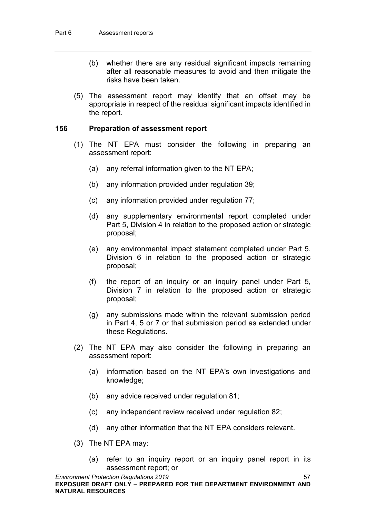- (b) whether there are any residual significant impacts remaining after all reasonable measures to avoid and then mitigate the risks have been taken.
- (5) The assessment report may identify that an offset may be appropriate in respect of the residual significant impacts identified in the report.

### **156 Preparation of assessment report**

- (1) The NT EPA must consider the following in preparing an assessment report:
	- (a) any referral information given to the NT EPA;
	- (b) any information provided under regulation [39;](#page-24-0)
	- (c) any information provided under regulation [77;](#page-38-0)
	- (d) any supplementary environmental report completed under Part 5, Division 4 in relation to the proposed action or strategic proposal;
	- (e) any environmental impact statement completed under Part 5, Division 6 in relation to the proposed action or strategic proposal;
	- (f) the report of an inquiry or an inquiry panel under Part 5, Division 7 in relation to the proposed action or strategic proposal;
	- (g) any submissions made within the relevant submission period in Part 4, 5 or 7 or that submission period as extended under these Regulations.
- (2) The NT EPA may also consider the following in preparing an assessment report:
	- (a) information based on the NT EPA's own investigations and knowledge;
	- (b) any advice received under regulation [81;](#page-40-0)
	- (c) any independent review received under regulation [82;](#page-40-1)
	- (d) any other information that the NT EPA considers relevant.
- (3) The NT EPA may:
	- (a) refer to an inquiry report or an inquiry panel report in its assessment report; or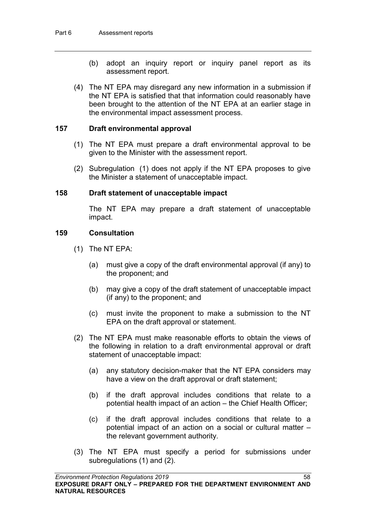- (b) adopt an inquiry report or inquiry panel report as its assessment report.
- (4) The NT EPA may disregard any new information in a submission if the NT EPA is satisfied that that information could reasonably have been brought to the attention of the NT EPA at an earlier stage in the environmental impact assessment process.

#### **157 Draft environmental approval**

- (1) The NT EPA must prepare a draft environmental approval to be given to the Minister with the assessment report.
- (2) Subregulation (1) does not apply if the NT EPA proposes to give the Minister a statement of unacceptable impact.

#### **158 Draft statement of unacceptable impact**

The NT EPA may prepare a draft statement of unacceptable impact.

### **159 Consultation**

- (1) The NT EPA:
	- (a) must give a copy of the draft environmental approval (if any) to the proponent; and
	- (b) may give a copy of the draft statement of unacceptable impact (if any) to the proponent; and
	- (c) must invite the proponent to make a submission to the NT EPA on the draft approval or statement.
- (2) The NT EPA must make reasonable efforts to obtain the views of the following in relation to a draft environmental approval or draft statement of unacceptable impact:
	- (a) any statutory decision-maker that the NT EPA considers may have a view on the draft approval or draft statement;
	- (b) if the draft approval includes conditions that relate to a potential health impact of an action – the Chief Health Officer;
	- (c) if the draft approval includes conditions that relate to a potential impact of an action on a social or cultural matter – the relevant government authority.
- (3) The NT EPA must specify a period for submissions under subregulations (1) and (2).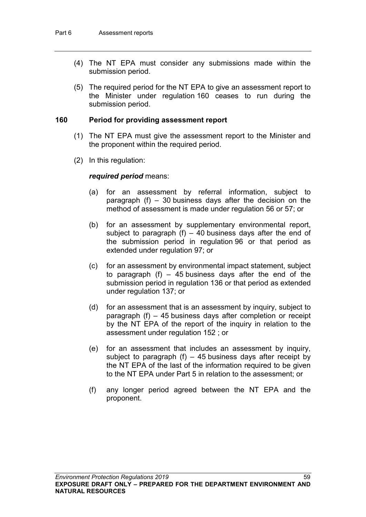- (4) The NT EPA must consider any submissions made within the submission period.
- (5) The required period for the NT EPA to give an assessment report to the Minister under regulation [160](#page-68-0) ceases to run during the submission period.

#### <span id="page-68-0"></span>**160 Period for providing assessment report**

- (1) The NT EPA must give the assessment report to the Minister and the proponent within the required period.
- (2) In this regulation:

#### *required period* means:

- (a) for an assessment by referral information, subject to paragraph (f) – 30 business days after the decision on the method of assessment is made under regulation [56](#page-29-0) or [57;](#page-29-1) or
- (b) for an assessment by supplementary environmental report, subject to paragraph  $(f)$  – 40 business days after the end of the submission period in regulation [96](#page-47-1) or that period as extended under regulation [97;](#page-48-0) or
- (c) for an assessment by environmental impact statement, subject to paragraph (f)  $-$  45 business days after the end of the submission period in regulation [136](#page-60-0) or that period as extended under regulation [137;](#page-60-1) or
- (d) for an assessment that is an assessment by inquiry, subject to paragraph (f) – 45 business days after completion or receipt by the NT EPA of the report of the inquiry in relation to the assessment under regulation [152](#page-64-1) ; or
- (e) for an assessment that includes an assessment by inquiry, subject to paragraph  $(f)$  – 45 business days after receipt by the NT EPA of the last of the information required to be given to the NT EPA under Part 5 in relation to the assessment; or
- (f) any longer period agreed between the NT EPA and the proponent.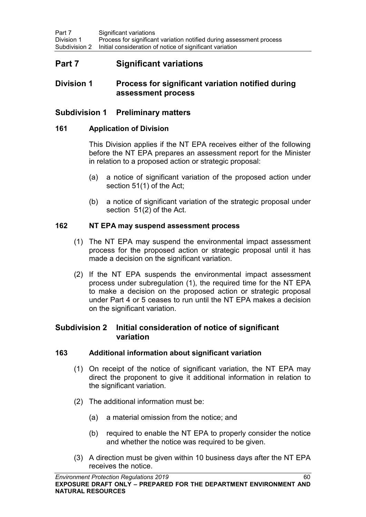# **Part 7 Significant variations**

## **Division 1 Process for significant variation notified during assessment process**

## **Subdivision 1 Preliminary matters**

### **161 Application of Division**

This Division applies if the NT EPA receives either of the following before the NT EPA prepares an assessment report for the Minister in relation to a proposed action or strategic proposal:

- (a) a notice of significant variation of the proposed action under section 51(1) of the Act;
- (b) a notice of significant variation of the strategic proposal under section 51(2) of the Act.

### **162 NT EPA may suspend assessment process**

- (1) The NT EPA may suspend the environmental impact assessment process for the proposed action or strategic proposal until it has made a decision on the significant variation.
- (2) If the NT EPA suspends the environmental impact assessment process under subregulation (1), the required time for the NT EPA to make a decision on the proposed action or strategic proposal under Part 4 or 5 ceases to run until the NT EPA makes a decision on the significant variation.

## **Subdivision 2 Initial consideration of notice of significant variation**

## <span id="page-69-0"></span>**163 Additional information about significant variation**

- (1) On receipt of the notice of significant variation, the NT EPA may direct the proponent to give it additional information in relation to the significant variation.
- (2) The additional information must be:
	- (a) a material omission from the notice; and
	- (b) required to enable the NT EPA to properly consider the notice and whether the notice was required to be given.
- (3) A direction must be given within 10 business days after the NT EPA receives the notice.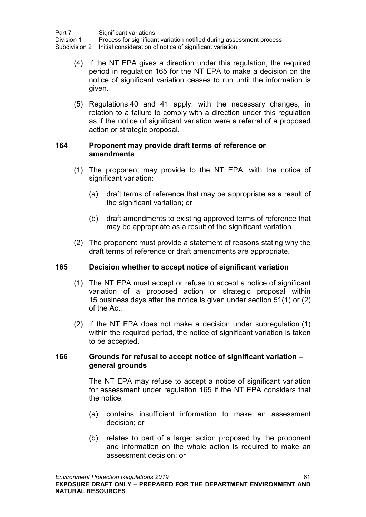- (4) If the NT EPA gives a direction under this regulation, the required period in regulation [165](#page-70-0) for the NT EPA to make a decision on the notice of significant variation ceases to run until the information is given.
- (5) Regulations [40](#page-24-1) and [41](#page-24-2) apply, with the necessary changes, in relation to a failure to comply with a direction under this regulation as if the notice of significant variation were a referral of a proposed action or strategic proposal.

### **164 Proponent may provide draft terms of reference or amendments**

- (1) The proponent may provide to the NT EPA, with the notice of significant variation:
	- (a) draft terms of reference that may be appropriate as a result of the significant variation; or
	- (b) draft amendments to existing approved terms of reference that may be appropriate as a result of the significant variation.
- (2) The proponent must provide a statement of reasons stating why the draft terms of reference or draft amendments are appropriate.

## <span id="page-70-0"></span>**165 Decision whether to accept notice of significant variation**

- (1) The NT EPA must accept or refuse to accept a notice of significant variation of a proposed action or strategic proposal within 15 business days after the notice is given under section 51(1) or (2) of the Act.
- (2) If the NT EPA does not make a decision under subregulation (1) within the required period, the notice of significant variation is taken to be accepted.

### **166 Grounds for refusal to accept notice of significant variation – general grounds**

The NT EPA may refuse to accept a notice of significant variation for assessment under regulation 165 if the NT EPA considers that the notice:

- (a) contains insufficient information to make an assessment decision; or
- (b) relates to part of a larger action proposed by the proponent and information on the whole action is required to make an assessment decision; or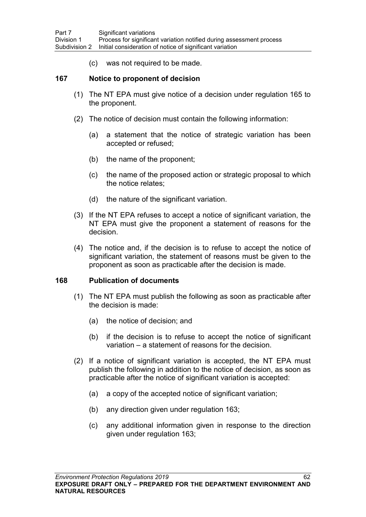(c) was not required to be made.

### **167 Notice to proponent of decision**

- (1) The NT EPA must give notice of a decision under regulation [165](#page-70-0) to the proponent.
- (2) The notice of decision must contain the following information:
	- (a) a statement that the notice of strategic variation has been accepted or refused;
	- (b) the name of the proponent;
	- (c) the name of the proposed action or strategic proposal to which the notice relates;
	- (d) the nature of the significant variation.
- (3) If the NT EPA refuses to accept a notice of significant variation, the NT EPA must give the proponent a statement of reasons for the decision.
- (4) The notice and, if the decision is to refuse to accept the notice of significant variation, the statement of reasons must be given to the proponent as soon as practicable after the decision is made.

### **168 Publication of documents**

- (1) The NT EPA must publish the following as soon as practicable after the decision is made:
	- (a) the notice of decision; and
	- (b) if the decision is to refuse to accept the notice of significant variation – a statement of reasons for the decision.
- (2) If a notice of significant variation is accepted, the NT EPA must publish the following in addition to the notice of decision, as soon as practicable after the notice of significant variation is accepted:
	- (a) a copy of the accepted notice of significant variation;
	- (b) any direction given under regulation [163;](#page-69-0)
	- (c) any additional information given in response to the direction given under regulation [163;](#page-69-0)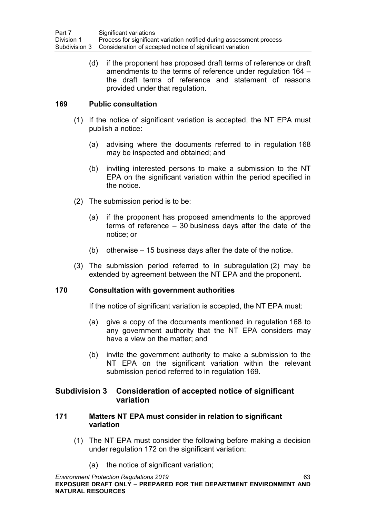(d) if the proponent has proposed draft terms of reference or draft amendments to the terms of reference under regulation [164](#page-70-0) – the draft terms of reference and statement of reasons provided under that regulation.

## <span id="page-72-0"></span>**169 Public consultation**

- (1) If the notice of significant variation is accepted, the NT EPA must publish a notice:
	- (a) advising where the documents referred to in regulation [168](#page-71-0) may be inspected and obtained; and
	- (b) inviting interested persons to make a submission to the NT EPA on the significant variation within the period specified in the notice.
- (2) The submission period is to be:
	- (a) if the proponent has proposed amendments to the approved terms of reference – 30 business days after the date of the notice; or
	- (b) otherwise 15 business days after the date of the notice.
- (3) The submission period referred to in subregulation (2) may be extended by agreement between the NT EPA and the proponent.

### <span id="page-72-1"></span>**170 Consultation with government authorities**

If the notice of significant variation is accepted, the NT EPA must:

- (a) give a copy of the documents mentioned in regulation [168](#page-71-0) to any government authority that the NT EPA considers may have a view on the matter; and
- (b) invite the government authority to make a submission to the NT EPA on the significant variation within the relevant submission period referred to in regulation [169.](#page-72-0)

# **Subdivision 3 Consideration of accepted notice of significant variation**

### **171 Matters NT EPA must consider in relation to significant variation**

- (1) The NT EPA must consider the following before making a decision under regulation [172](#page-73-0) on the significant variation:
	- (a) the notice of significant variation;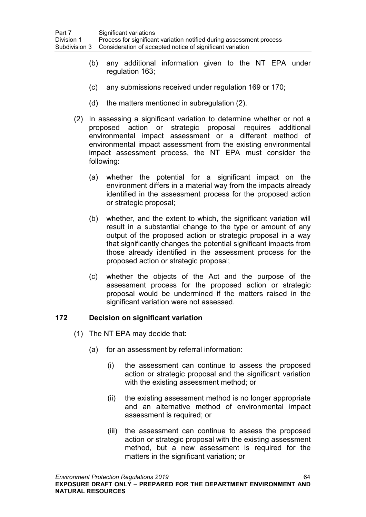- (b) any additional information given to the NT EPA under regulation [163;](#page-69-0)
- (c) any submissions received under regulation [169](#page-72-0) or [170;](#page-72-1)
- (d) the matters mentioned in subregulation (2).
- (2) In assessing a significant variation to determine whether or not a proposed action or strategic proposal requires additional environmental impact assessment or a different method of environmental impact assessment from the existing environmental impact assessment process, the NT EPA must consider the following:
	- (a) whether the potential for a significant impact on the environment differs in a material way from the impacts already identified in the assessment process for the proposed action or strategic proposal;
	- (b) whether, and the extent to which, the significant variation will result in a substantial change to the type or amount of any output of the proposed action or strategic proposal in a way that significantly changes the potential significant impacts from those already identified in the assessment process for the proposed action or strategic proposal;
	- (c) whether the objects of the Act and the purpose of the assessment process for the proposed action or strategic proposal would be undermined if the matters raised in the significant variation were not assessed.

## <span id="page-73-0"></span>**172 Decision on significant variation**

- (1) The NT EPA may decide that:
	- (a) for an assessment by referral information:
		- (i) the assessment can continue to assess the proposed action or strategic proposal and the significant variation with the existing assessment method; or
		- (ii) the existing assessment method is no longer appropriate and an alternative method of environmental impact assessment is required; or
		- (iii) the assessment can continue to assess the proposed action or strategic proposal with the existing assessment method, but a new assessment is required for the matters in the significant variation; or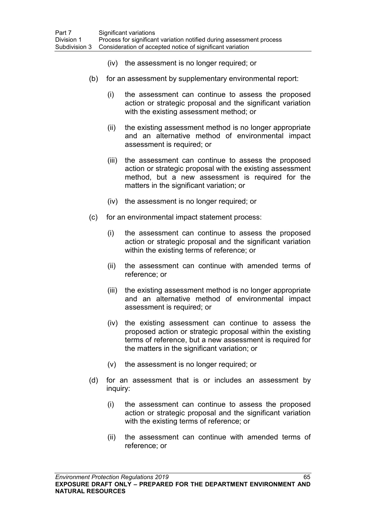- (iv) the assessment is no longer required; or
- (b) for an assessment by supplementary environmental report:
	- (i) the assessment can continue to assess the proposed action or strategic proposal and the significant variation with the existing assessment method; or
	- (ii) the existing assessment method is no longer appropriate and an alternative method of environmental impact assessment is required; or
	- (iii) the assessment can continue to assess the proposed action or strategic proposal with the existing assessment method, but a new assessment is required for the matters in the significant variation; or
	- (iv) the assessment is no longer required; or
- (c) for an environmental impact statement process:
	- (i) the assessment can continue to assess the proposed action or strategic proposal and the significant variation within the existing terms of reference; or
	- (ii) the assessment can continue with amended terms of reference; or
	- (iii) the existing assessment method is no longer appropriate and an alternative method of environmental impact assessment is required; or
	- (iv) the existing assessment can continue to assess the proposed action or strategic proposal within the existing terms of reference, but a new assessment is required for the matters in the significant variation; or
	- (v) the assessment is no longer required; or
- (d) for an assessment that is or includes an assessment by inquiry:
	- (i) the assessment can continue to assess the proposed action or strategic proposal and the significant variation with the existing terms of reference; or
	- (ii) the assessment can continue with amended terms of reference; or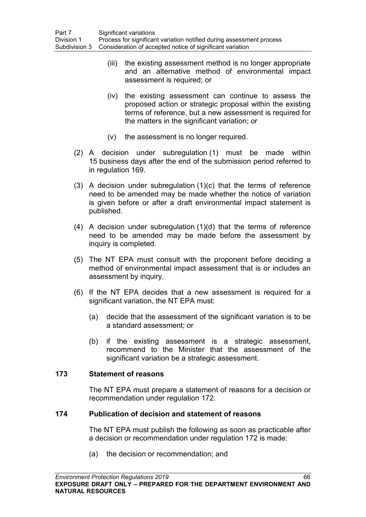- (iii) the existing assessment method is no longer appropriate and an alternative method of environmental impact assessment is required; or
- (iv) the existing assessment can continue to assess the proposed action or strategic proposal within the existing terms of reference, but a new assessment is required for the matters in the significant variation; or
- (v) the assessment is no longer required.
- (2) A decision under subregulation (1) must be made within 15 business days after the end of the submission period referred to in regulation [169.](#page-72-0)
- (3) A decision under subregulation (1)(c) that the terms of reference need to be amended may be made whether the notice of variation is given before or after a draft environmental impact statement is published.
- (4) A decision under subregulation (1)(d) that the terms of reference need to be amended may be made before the assessment by inquiry is completed.
- (5) The NT EPA must consult with the proponent before deciding a method of environmental impact assessment that is or includes an assessment by inquiry.
- (6) If the NT EPA decides that a new assessment is required for a significant variation, the NT EPA must:
	- (a) decide that the assessment of the significant variation is to be a standard assessment; or
	- (b) if the existing assessment is a strategic assessment, recommend to the Minister that the assessment of the significant variation be a strategic assessment.

### **173 Statement of reasons**

The NT EPA must prepare a statement of reasons for a decision or recommendation under regulation [172.](#page-73-0)

### **174 Publication of decision and statement of reasons**

The NT EPA must publish the following as soon as practicable after a decision or recommendation under regulation 172 is made:

(a) the decision or recommendation; and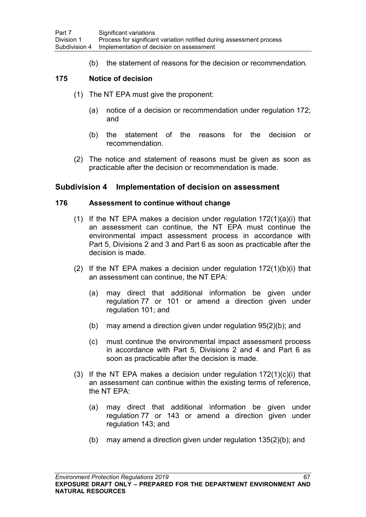(b) the statement of reasons for the decision or recommendation.

## **175 Notice of decision**

- (1) The NT EPA must give the proponent:
	- (a) notice of a decision or recommendation under regulation [172;](#page-73-0) and
	- (b) the statement of the reasons for the decision or recommendation.
- (2) The notice and statement of reasons must be given as soon as practicable after the decision or recommendation is made.

## **Subdivision 4 Implementation of decision on assessment**

#### **176 Assessment to continue without change**

- (1) If the NT EPA makes a decision under regulation  $172(1)(a)(i)$  $172(1)(a)(i)$  that an assessment can continue, the NT EPA must continue the environmental impact assessment process in accordance with Part 5, Divisions 2 and 3 and Part 6 as soon as practicable after the decision is made.
- (2) If the NT EPA makes a decision under regulation [172\(](#page-73-0)1)(b)(i) that an assessment can continue, the NT EPA:
	- (a) may direct that additional information be given under regulation [77](#page-38-0) or [101](#page-49-0) or amend a direction given under regulation [101;](#page-49-0) and
	- (b) may amend a direction given under regulation [95\(](#page-47-0)2)(b); and
	- (c) must continue the environmental impact assessment process in accordance with Part 5, Divisions 2 and 4 and Part 6 as soon as practicable after the decision is made.
- (3) If the NT EPA makes a decision under regulation  $172(1)(c)(i)$  $172(1)(c)(i)$  that an assessment can continue within the existing terms of reference, the NT EPA:
	- (a) may direct that additional information be given under regulation [77](#page-38-0) or [143](#page-62-0) or amend a direction given under regulation [143;](#page-62-0) and
	- (b) may amend a direction given under regulation [135\(](#page-59-0)2)(b); and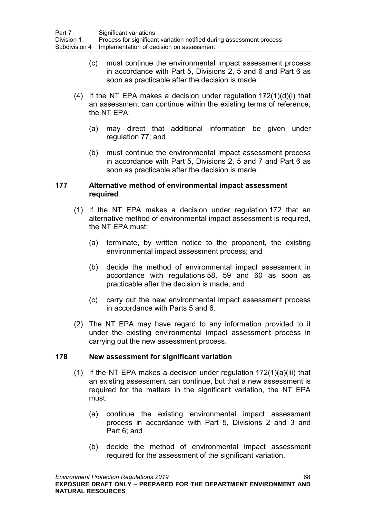- (c) must continue the environmental impact assessment process in accordance with Part 5, Divisions 2, 5 and 6 and Part 6 as soon as practicable after the decision is made.
- (4) If the NT EPA makes a decision under regulation  $172(1)(d)(i)$  $172(1)(d)(i)$  that an assessment can continue within the existing terms of reference, the NT EPA:
	- (a) may direct that additional information be given under regulation [77;](#page-38-0) and
	- (b) must continue the environmental impact assessment process in accordance with Part 5, Divisions 2, 5 and 7 and Part 6 as soon as practicable after the decision is made.

### **177 Alternative method of environmental impact assessment required**

- (1) If the NT EPA makes a decision under regulation [172](#page-73-0) that an alternative method of environmental impact assessment is required, the NT EPA must:
	- (a) terminate, by written notice to the proponent, the existing environmental impact assessment process; and
	- (b) decide the method of environmental impact assessment in accordance with regulations [58,](#page-30-0) [59](#page-31-0) and [60](#page-31-1) as soon as practicable after the decision is made; and
	- (c) carry out the new environmental impact assessment process in accordance with Parts 5 and 6.
- (2) The NT EPA may have regard to any information provided to it under the existing environmental impact assessment process in carrying out the new assessment process.

### **178 New assessment for significant variation**

- (1) If the NT EPA makes a decision under regulation  $172(1)(a)(iii)$  $172(1)(a)(iii)$  that an existing assessment can continue, but that a new assessment is required for the matters in the significant variation, the NT EPA must:
	- (a) continue the existing environmental impact assessment process in accordance with Part 5, Divisions 2 and 3 and Part 6; and
	- (b) decide the method of environmental impact assessment required for the assessment of the significant variation.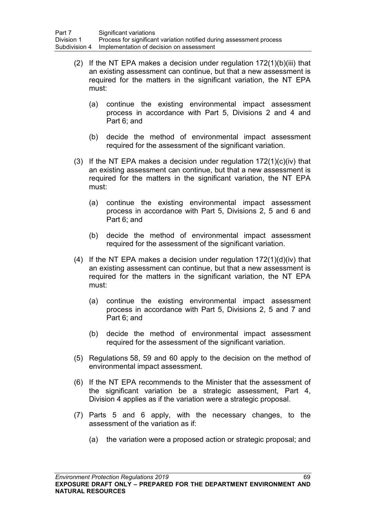- (2) If the NT EPA makes a decision under regulation  $172(1)(b)(iii)$  $172(1)(b)(iii)$  that an existing assessment can continue, but that a new assessment is required for the matters in the significant variation, the NT EPA must:
	- (a) continue the existing environmental impact assessment process in accordance with Part 5, Divisions 2 and 4 and Part 6; and
	- (b) decide the method of environmental impact assessment required for the assessment of the significant variation.
- (3) If the NT EPA makes a decision under regulation  $172(1)(c)(iv)$  $172(1)(c)(iv)$  that an existing assessment can continue, but that a new assessment is required for the matters in the significant variation, the NT EPA must:
	- (a) continue the existing environmental impact assessment process in accordance with Part 5, Divisions 2, 5 and 6 and Part 6; and
	- (b) decide the method of environmental impact assessment required for the assessment of the significant variation.
- (4) If the NT EPA makes a decision under regulation  $172(1)(d)(iv)$  $172(1)(d)(iv)$  that an existing assessment can continue, but that a new assessment is required for the matters in the significant variation, the NT EPA must:
	- (a) continue the existing environmental impact assessment process in accordance with Part 5, Divisions 2, 5 and 7 and Part 6; and
	- (b) decide the method of environmental impact assessment required for the assessment of the significant variation.
- (5) Regulations [58,](#page-30-0) [59](#page-31-0) and [60](#page-31-1) apply to the decision on the method of environmental impact assessment.
- (6) If the NT EPA recommends to the Minister that the assessment of the significant variation be a strategic assessment, Part 4, Division 4 applies as if the variation were a strategic proposal.
- (7) Parts 5 and 6 apply, with the necessary changes, to the assessment of the variation as if:
	- (a) the variation were a proposed action or strategic proposal; and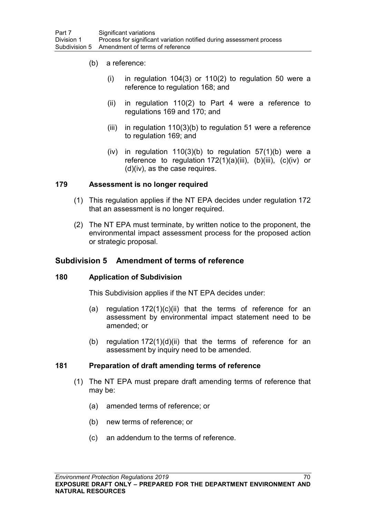- (b) a reference:
	- $(i)$  in regulation 104(3) or 110(2) to regulation 50 were a reference to regulation 168; and
	- (ii) in regulation 110(2) to Part 4 were a reference to regulations 169 and 170; and
	- (iii) in regulation  $110(3)(b)$  to regulation 51 were a reference to regulation 169; and
	- (iv) in regulation  $110(3)(b)$  to regulation  $57(1)(b)$  were a reference to regulation [172\(](#page-73-0)1)(a)(iii), (b)(iii), (c)(iv) or (d)(iv), as the case requires.

## **179 Assessment is no longer required**

- (1) This regulation applies if the NT EPA decides under regulation [172](#page-73-0) that an assessment is no longer required.
- (2) The NT EPA must terminate, by written notice to the proponent, the environmental impact assessment process for the proposed action or strategic proposal.

## **Subdivision 5 Amendment of terms of reference**

### **180 Application of Subdivision**

This Subdivision applies if the NT EPA decides under:

- (a) regulation  $172(1)(c)(ii)$  $172(1)(c)(ii)$  that the terms of reference for an assessment by environmental impact statement need to be amended; or
- (b) regulation [172\(](#page-73-0)1)(d)(ii) that the terms of reference for an assessment by inquiry need to be amended.

### <span id="page-79-0"></span>**181 Preparation of draft amending terms of reference**

- (1) The NT EPA must prepare draft amending terms of reference that may be:
	- (a) amended terms of reference; or
	- (b) new terms of reference; or
	- (c) an addendum to the terms of reference.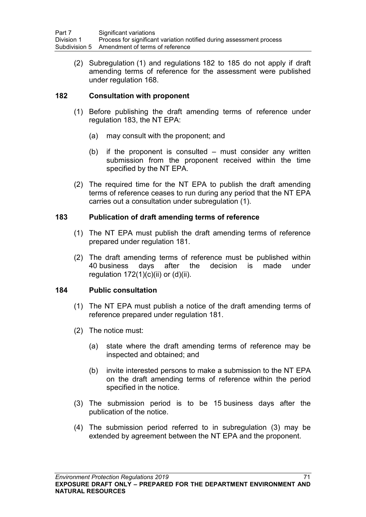(2) Subregulation (1) and regulations [182](#page-80-0) to [185](#page-81-0) do not apply if draft amending terms of reference for the assessment were published under regulation [168.](#page-71-0)

## <span id="page-80-0"></span>**182 Consultation with proponent**

- (1) Before publishing the draft amending terms of reference under regulation [183,](#page-80-1) the NT EPA:
	- (a) may consult with the proponent; and
	- (b) if the proponent is consulted must consider any written submission from the proponent received within the time specified by the NT EPA.
- (2) The required time for the NT EPA to publish the draft amending terms of reference ceases to run during any period that the NT EPA carries out a consultation under subregulation (1).

## <span id="page-80-1"></span>**183 Publication of draft amending terms of reference**

- (1) The NT EPA must publish the draft amending terms of reference prepared under regulation [181.](#page-79-0)
- (2) The draft amending terms of reference must be published within<br>40 business davs after the decision is made under days after the decision is made under regulation  $172(1)(c)(ii)$  $172(1)(c)(ii)$  or  $(d)(ii)$ .

## <span id="page-80-2"></span>**184 Public consultation**

- (1) The NT EPA must publish a notice of the draft amending terms of reference prepared under regulation [181.](#page-79-0)
- (2) The notice must:
	- (a) state where the draft amending terms of reference may be inspected and obtained; and
	- (b) invite interested persons to make a submission to the NT EPA on the draft amending terms of reference within the period specified in the notice.
- (3) The submission period is to be 15 business days after the publication of the notice.
- (4) The submission period referred to in subregulation (3) may be extended by agreement between the NT EPA and the proponent.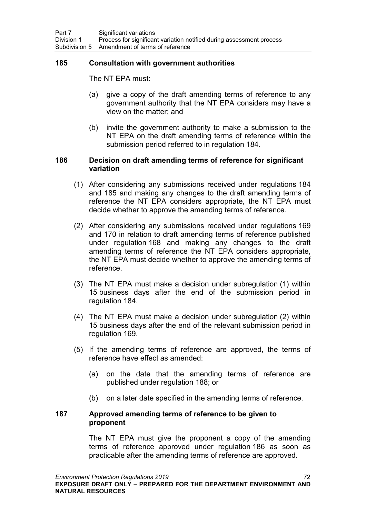### <span id="page-81-0"></span>**185 Consultation with government authorities**

The NT EPA must:

- (a) give a copy of the draft amending terms of reference to any government authority that the NT EPA considers may have a view on the matter; and
- (b) invite the government authority to make a submission to the NT EPA on the draft amending terms of reference within the submission period referred to in regulation [184.](#page-80-2)

### <span id="page-81-1"></span>**186 Decision on draft amending terms of reference for significant variation**

- (1) After considering any submissions received under regulations [184](#page-80-2) and [185](#page-81-0) and making any changes to the draft amending terms of reference the NT EPA considers appropriate, the NT EPA must decide whether to approve the amending terms of reference.
- (2) After considering any submissions received under regulations [169](#page-72-0) and [170](#page-72-1) in relation to draft amending terms of reference published under regulation [168](#page-71-0) and making any changes to the draft amending terms of reference the NT EPA considers appropriate, the NT EPA must decide whether to approve the amending terms of reference.
- (3) The NT EPA must make a decision under subregulation (1) within 15 business days after the end of the submission period in regulation [184.](#page-80-2)
- (4) The NT EPA must make a decision under subregulation (2) within 15 business days after the end of the relevant submission period in regulation [169.](#page-72-0)
- (5) If the amending terms of reference are approved, the terms of reference have effect as amended:
	- (a) on the date that the amending terms of reference are published under regulation [188;](#page-82-0) or
	- (b) on a later date specified in the amending terms of reference.

#### **187 Approved amending terms of reference to be given to proponent**

The NT EPA must give the proponent a copy of the amending terms of reference approved under regulation [186](#page-81-1) as soon as practicable after the amending terms of reference are approved.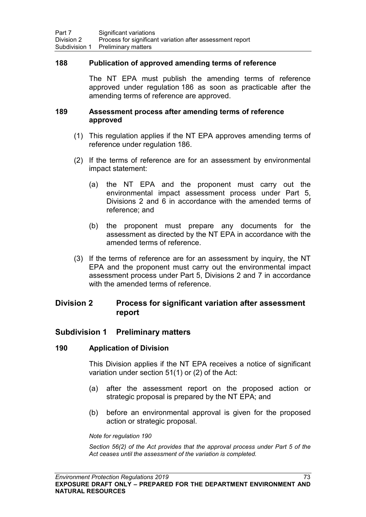#### <span id="page-82-0"></span>**188 Publication of approved amending terms of reference**

The NT EPA must publish the amending terms of reference approved under regulation [186](#page-81-1) as soon as practicable after the amending terms of reference are approved.

#### **189 Assessment process after amending terms of reference approved**

- (1) This regulation applies if the NT EPA approves amending terms of reference under regulation [186.](#page-81-1)
- (2) If the terms of reference are for an assessment by environmental impact statement:
	- (a) the NT EPA and the proponent must carry out the environmental impact assessment process under Part 5, Divisions 2 and 6 in accordance with the amended terms of reference; and
	- (b) the proponent must prepare any documents for the assessment as directed by the NT EPA in accordance with the amended terms of reference.
- (3) If the terms of reference are for an assessment by inquiry, the NT EPA and the proponent must carry out the environmental impact assessment process under Part 5, Divisions 2 and 7 in accordance with the amended terms of reference.

# **Division 2 Process for significant variation after assessment report**

### **Subdivision 1 Preliminary matters**

#### **190 Application of Division**

This Division applies if the NT EPA receives a notice of significant variation under section 51(1) or (2) of the Act:

- (a) after the assessment report on the proposed action or strategic proposal is prepared by the NT EPA; and
- (b) before an environmental approval is given for the proposed action or strategic proposal.

*Note for regulation 190*

*Section 56(2) of the Act provides that the approval process under Part 5 of the Act ceases until the assessment of the variation is completed.*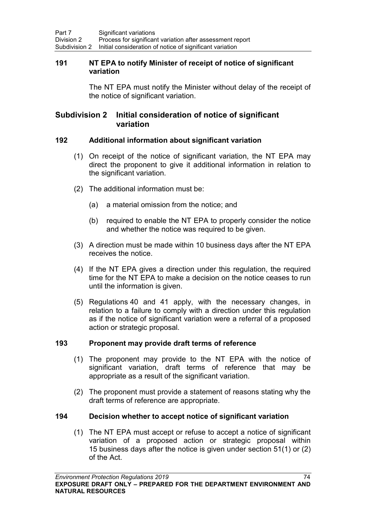### **191 NT EPA to notify Minister of receipt of notice of significant variation**

The NT EPA must notify the Minister without delay of the receipt of the notice of significant variation.

# **Subdivision 2 Initial consideration of notice of significant variation**

## <span id="page-83-1"></span>**192 Additional information about significant variation**

- (1) On receipt of the notice of significant variation, the NT EPA may direct the proponent to give it additional information in relation to the significant variation.
- (2) The additional information must be:
	- (a) a material omission from the notice; and
	- (b) required to enable the NT EPA to properly consider the notice and whether the notice was required to be given.
- (3) A direction must be made within 10 business days after the NT EPA receives the notice.
- (4) If the NT EPA gives a direction under this regulation, the required time for the NT EPA to make a decision on the notice ceases to run until the information is given.
- (5) Regulations [40](#page-24-0) and [41](#page-24-1) apply, with the necessary changes, in relation to a failure to comply with a direction under this regulation as if the notice of significant variation were a referral of a proposed action or strategic proposal.

## <span id="page-83-2"></span>**193 Proponent may provide draft terms of reference**

- (1) The proponent may provide to the NT EPA with the notice of significant variation, draft terms of reference that may be appropriate as a result of the significant variation.
- (2) The proponent must provide a statement of reasons stating why the draft terms of reference are appropriate.

### <span id="page-83-0"></span>**194 Decision whether to accept notice of significant variation**

(1) The NT EPA must accept or refuse to accept a notice of significant variation of a proposed action or strategic proposal within 15 business days after the notice is given under section 51(1) or (2) of the Act.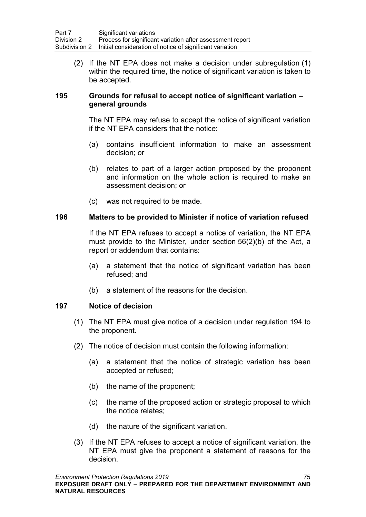(2) If the NT EPA does not make a decision under subregulation (1) within the required time, the notice of significant variation is taken to be accepted.

## **195 Grounds for refusal to accept notice of significant variation – general grounds**

The NT EPA may refuse to accept the notice of significant variation if the NT EPA considers that the notice:

- (a) contains insufficient information to make an assessment decision; or
- (b) relates to part of a larger action proposed by the proponent and information on the whole action is required to make an assessment decision; or
- (c) was not required to be made.

## **196 Matters to be provided to Minister if notice of variation refused**

If the NT EPA refuses to accept a notice of variation, the NT EPA must provide to the Minister, under section 56(2)(b) of the Act, a report or addendum that contains:

- (a) a statement that the notice of significant variation has been refused; and
- (b) a statement of the reasons for the decision.

## **197 Notice of decision**

- (1) The NT EPA must give notice of a decision under regulation [194](#page-83-0) to the proponent.
- (2) The notice of decision must contain the following information:
	- (a) a statement that the notice of strategic variation has been accepted or refused;
	- (b) the name of the proponent;
	- (c) the name of the proposed action or strategic proposal to which the notice relates;
	- (d) the nature of the significant variation.
- (3) If the NT EPA refuses to accept a notice of significant variation, the NT EPA must give the proponent a statement of reasons for the decision.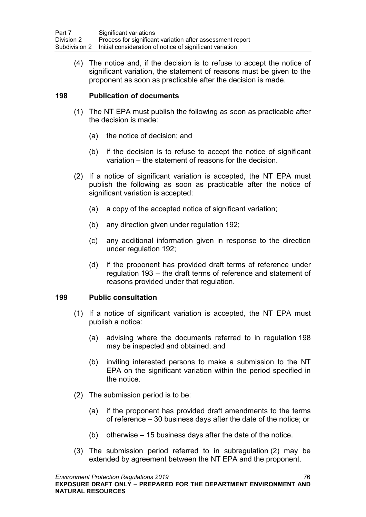(4) The notice and, if the decision is to refuse to accept the notice of significant variation, the statement of reasons must be given to the proponent as soon as practicable after the decision is made.

## **198 Publication of documents**

- (1) The NT EPA must publish the following as soon as practicable after the decision is made:
	- (a) the notice of decision; and
	- (b) if the decision is to refuse to accept the notice of significant variation – the statement of reasons for the decision.
- (2) If a notice of significant variation is accepted, the NT EPA must publish the following as soon as practicable after the notice of significant variation is accepted:
	- (a) a copy of the accepted notice of significant variation;
	- (b) any direction given under regulation [192;](#page-83-1)
	- (c) any additional information given in response to the direction under regulation [192;](#page-83-1)
	- (d) if the proponent has provided draft terms of reference under regulation [193](#page-83-2) – the draft terms of reference and statement of reasons provided under that regulation.

## <span id="page-85-0"></span>**199 Public consultation**

- (1) If a notice of significant variation is accepted, the NT EPA must publish a notice:
	- (a) advising where the documents referred to in regulation 198 may be inspected and obtained; and
	- (b) inviting interested persons to make a submission to the NT EPA on the significant variation within the period specified in the notice.
- (2) The submission period is to be:
	- (a) if the proponent has provided draft amendments to the terms of reference – 30 business days after the date of the notice; or
	- (b) otherwise 15 business days after the date of the notice.
- (3) The submission period referred to in subregulation (2) may be extended by agreement between the NT EPA and the proponent.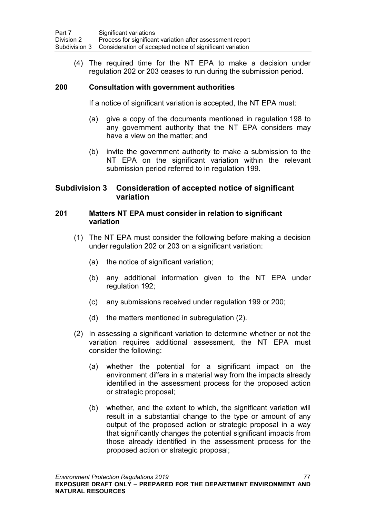(4) The required time for the NT EPA to make a decision under regulation [202](#page-87-0) or [203](#page-87-1) ceases to run during the submission period.

## <span id="page-86-0"></span>**200 Consultation with government authorities**

If a notice of significant variation is accepted, the NT EPA must:

- (a) give a copy of the documents mentioned in regulation 198 to any government authority that the NT EPA considers may have a view on the matter; and
- (b) invite the government authority to make a submission to the NT EPA on the significant variation within the relevant submission period referred to in regulation [199.](#page-85-0)

# **Subdivision 3 Consideration of accepted notice of significant variation**

### **201 Matters NT EPA must consider in relation to significant variation**

- (1) The NT EPA must consider the following before making a decision under regulation [202](#page-87-0) or [203](#page-87-1) on a significant variation:
	- (a) the notice of significant variation;
	- (b) any additional information given to the NT EPA under regulation [192;](#page-83-1)
	- (c) any submissions received under regulation [199](#page-85-0) or [200;](#page-86-0)
	- (d) the matters mentioned in subregulation (2).
- (2) In assessing a significant variation to determine whether or not the variation requires additional assessment, the NT EPA must consider the following:
	- (a) whether the potential for a significant impact on the environment differs in a material way from the impacts already identified in the assessment process for the proposed action or strategic proposal;
	- (b) whether, and the extent to which, the significant variation will result in a substantial change to the type or amount of any output of the proposed action or strategic proposal in a way that significantly changes the potential significant impacts from those already identified in the assessment process for the proposed action or strategic proposal;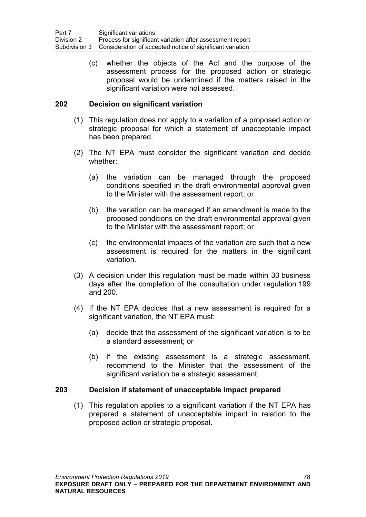(c) whether the objects of the Act and the purpose of the assessment process for the proposed action or strategic proposal would be undermined if the matters raised in the significant variation were not assessed.

## <span id="page-87-0"></span>**202 Decision on significant variation**

- (1) This regulation does not apply to a variation of a proposed action or strategic proposal for which a statement of unacceptable impact has been prepared.
- (2) The NT EPA must consider the significant variation and decide whether:
	- (a) the variation can be managed through the proposed conditions specified in the draft environmental approval given to the Minister with the assessment report; or
	- (b) the variation can be managed if an amendment is made to the proposed conditions on the draft environmental approval given to the Minister with the assessment report; or
	- (c) the environmental impacts of the variation are such that a new assessment is required for the matters in the significant variation.
- (3) A decision under this regulation must be made within 30 business days after the completion of the consultation under regulation [199](#page-85-0) and [200.](#page-86-0)
- (4) If the NT EPA decides that a new assessment is required for a significant variation, the NT EPA must:
	- (a) decide that the assessment of the significant variation is to be a standard assessment; or
	- (b) if the existing assessment is a strategic assessment, recommend to the Minister that the assessment of the significant variation be a strategic assessment.

### <span id="page-87-1"></span>**203 Decision if statement of unacceptable impact prepared**

(1) This regulation applies to a significant variation if the NT EPA has prepared a statement of unacceptable impact in relation to the proposed action or strategic proposal.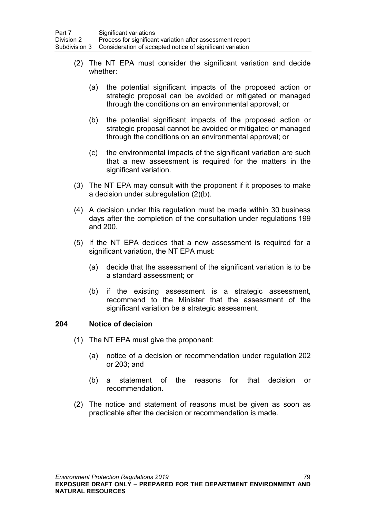- (2) The NT EPA must consider the significant variation and decide whether:
	- (a) the potential significant impacts of the proposed action or strategic proposal can be avoided or mitigated or managed through the conditions on an environmental approval; or
	- (b) the potential significant impacts of the proposed action or strategic proposal cannot be avoided or mitigated or managed through the conditions on an environmental approval; or
	- (c) the environmental impacts of the significant variation are such that a new assessment is required for the matters in the significant variation.
- (3) The NT EPA may consult with the proponent if it proposes to make a decision under subregulation (2)(b).
- (4) A decision under this regulation must be made within 30 business days after the completion of the consultation under regulations [199](#page-85-0) and [200.](#page-86-0)
- (5) If the NT EPA decides that a new assessment is required for a significant variation, the NT EPA must:
	- (a) decide that the assessment of the significant variation is to be a standard assessment; or
	- (b) if the existing assessment is a strategic assessment, recommend to the Minister that the assessment of the significant variation be a strategic assessment.

### **204 Notice of decision**

- (1) The NT EPA must give the proponent:
	- (a) notice of a decision or recommendation under regulation [202](#page-87-0) or [203;](#page-87-1) and
	- (b) a statement of the reasons for that decision or recommendation.
- (2) The notice and statement of reasons must be given as soon as practicable after the decision or recommendation is made.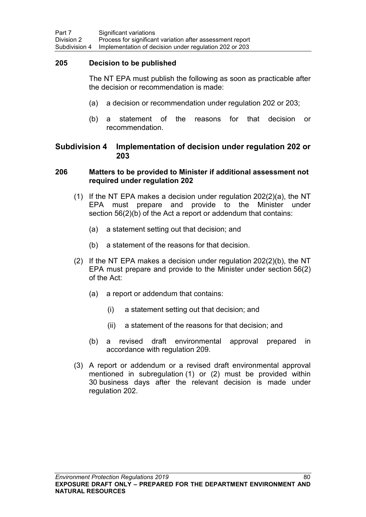### **205 Decision to be published**

The NT EPA must publish the following as soon as practicable after the decision or recommendation is made:

- (a) a decision or recommendation under regulation [202](#page-87-0) or [203;](#page-87-1)
- (b) a statement of the reasons for that decision or recommendation.

## **Subdivision 4 Implementation of decision under regulation 202 or 203**

### <span id="page-89-0"></span>**206 Matters to be provided to Minister if additional assessment not required under regulation 202**

- (1) If the NT EPA makes a decision under regulation [202\(](#page-87-0)2)(a), the NT EPA must prepare and provide to the Minister under section 56(2)(b) of the Act a report or addendum that contains:
	- (a) a statement setting out that decision; and
	- (b) a statement of the reasons for that decision.
- (2) If the NT EPA makes a decision under regulation [202\(](#page-87-0)2)(b), the NT EPA must prepare and provide to the Minister under section 56(2) of the Act:
	- (a) a report or addendum that contains:
		- (i) a statement setting out that decision; and
		- (ii) a statement of the reasons for that decision; and
	- (b) a revised draft environmental approval prepared in accordance with regulation [209.](#page-91-0)
- (3) A report or addendum or a revised draft environmental approval mentioned in subregulation (1) or (2) must be provided within 30 business days after the relevant decision is made under regulation 202.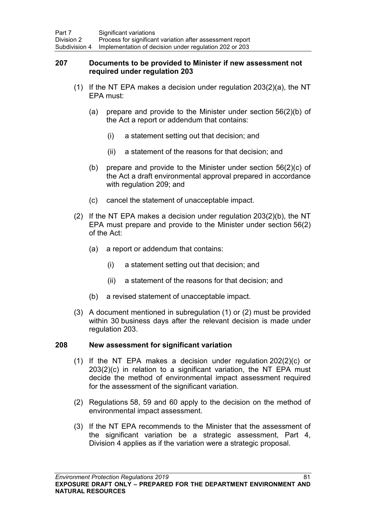### <span id="page-90-0"></span>**207 Documents to be provided to Minister if new assessment not required under regulation [203](#page-87-1)**

- (1) If the NT EPA makes a decision under regulation  $203(2)(a)$  $203(2)(a)$ , the NT EPA must:
	- (a) prepare and provide to the Minister under section 56(2)(b) of the Act a report or addendum that contains:
		- (i) a statement setting out that decision; and
		- (ii) a statement of the reasons for that decision; and
	- (b) prepare and provide to the Minister under section 56(2)(c) of the Act a draft environmental approval prepared in accordance with regulation 209; and
	- (c) cancel the statement of unacceptable impact.
- (2) If the NT EPA makes a decision under regulation [203\(](#page-87-1)2)(b), the NT EPA must prepare and provide to the Minister under section 56(2) of the Act:
	- (a) a report or addendum that contains:
		- (i) a statement setting out that decision; and
		- (ii) a statement of the reasons for that decision; and
	- (b) a revised statement of unacceptable impact.
- (3) A document mentioned in subregulation (1) or (2) must be provided within 30 business days after the relevant decision is made under regulation [203.](#page-87-1)

## **208 New assessment for significant variation**

- (1) If the NT EPA makes a decision under regulation [202\(](#page-87-0)2)(c) or [203\(](#page-87-1)2)(c) in relation to a significant variation, the NT EPA must decide the method of environmental impact assessment required for the assessment of the significant variation.
- (2) Regulations [58,](#page-30-0) [59](#page-31-0) and [60](#page-31-1) apply to the decision on the method of environmental impact assessment.
- (3) If the NT EPA recommends to the Minister that the assessment of the significant variation be a strategic assessment, Part 4, Division 4 applies as if the variation were a strategic proposal.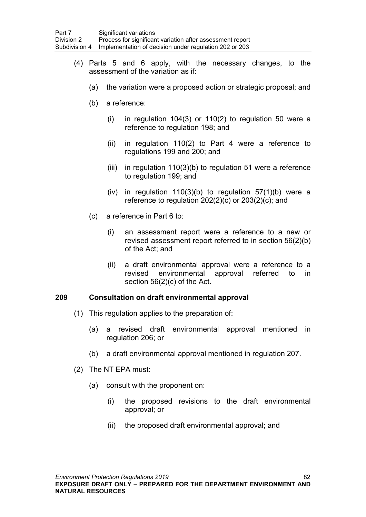- (4) Parts 5 and 6 apply, with the necessary changes, to the assessment of the variation as if:
	- (a) the variation were a proposed action or strategic proposal; and
	- (b) a reference:
		- (i) in regulation 104(3) or 110(2) to regulation 50 were a reference to regulation 198; and
		- (ii) in regulation 110(2) to Part 4 were a reference to regulations 199 and 200; and
		- (iii) in regulation 110(3)(b) to regulation 51 were a reference to regulation 199; and
		- (iv) in regulation  $110(3)(b)$  to regulation  $57(1)(b)$  were a reference to regulation 202(2)(c) or 203(2)(c); and
	- (c) a reference in Part 6 to:
		- (i) an assessment report were a reference to a new or revised assessment report referred to in section 56(2)(b) of the Act; and
		- (ii) a draft environmental approval were a reference to a revised environmental approval referred to in section 56(2)(c) of the Act.

### <span id="page-91-0"></span>**209 Consultation on draft environmental approval**

- (1) This regulation applies to the preparation of:
	- (a) a revised draft environmental approval mentioned in regulation [206;](#page-89-0) or
	- (b) a draft environmental approval mentioned in regulation [207.](#page-90-0)
- (2) The NT EPA must:
	- (a) consult with the proponent on:
		- (i) the proposed revisions to the draft environmental approval; or
		- (ii) the proposed draft environmental approval; and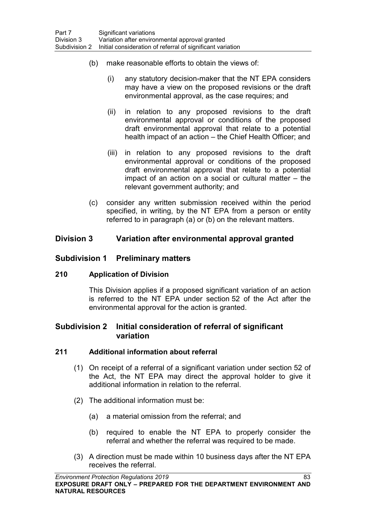- (b) make reasonable efforts to obtain the views of:
	- (i) any statutory decision-maker that the NT EPA considers may have a view on the proposed revisions or the draft environmental approval, as the case requires; and
	- (ii) in relation to any proposed revisions to the draft environmental approval or conditions of the proposed draft environmental approval that relate to a potential health impact of an action – the Chief Health Officer; and
	- (iii) in relation to any proposed revisions to the draft environmental approval or conditions of the proposed draft environmental approval that relate to a potential impact of an action on a social or cultural matter – the relevant government authority; and
- (c) consider any written submission received within the period specified, in writing, by the NT EPA from a person or entity referred to in paragraph (a) or (b) on the relevant matters.

# **Division 3 Variation after environmental approval granted**

# **Subdivision 1 Preliminary matters**

## **210 Application of Division**

This Division applies if a proposed significant variation of an action is referred to the NT EPA under section 52 of the Act after the environmental approval for the action is granted.

# **Subdivision 2 Initial consideration of referral of significant variation**

## <span id="page-92-0"></span>**211 Additional information about referral**

- (1) On receipt of a referral of a significant variation under section 52 of the Act, the NT EPA may direct the approval holder to give it additional information in relation to the referral.
- (2) The additional information must be:
	- (a) a material omission from the referral; and
	- (b) required to enable the NT EPA to properly consider the referral and whether the referral was required to be made.
- (3) A direction must be made within 10 business days after the NT EPA receives the referral.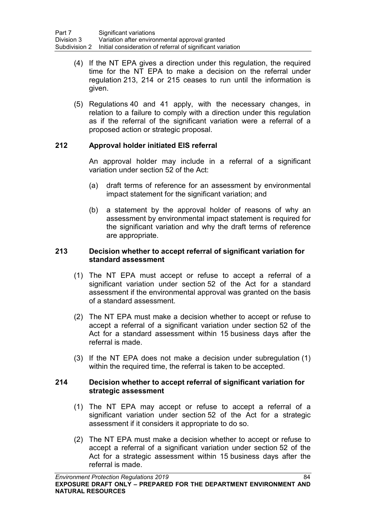- (4) If the NT EPA gives a direction under this regulation, the required time for the NT EPA to make a decision on the referral under regulation [213,](#page-93-0) [214](#page-93-1) or [215](#page-94-0) ceases to run until the information is given.
- (5) Regulations [40](#page-24-0) and [41](#page-24-1) apply, with the necessary changes, in relation to a failure to comply with a direction under this regulation as if the referral of the significant variation were a referral of a proposed action or strategic proposal.

## <span id="page-93-2"></span>**212 Approval holder initiated EIS referral**

An approval holder may include in a referral of a significant variation under section 52 of the Act:

- (a) draft terms of reference for an assessment by environmental impact statement for the significant variation; and
- (b) a statement by the approval holder of reasons of why an assessment by environmental impact statement is required for the significant variation and why the draft terms of reference are appropriate.

## <span id="page-93-0"></span>**213 Decision whether to accept referral of significant variation for standard assessment**

- (1) The NT EPA must accept or refuse to accept a referral of a significant variation under section 52 of the Act for a standard assessment if the environmental approval was granted on the basis of a standard assessment.
- (2) The NT EPA must make a decision whether to accept or refuse to accept a referral of a significant variation under section 52 of the Act for a standard assessment within 15 business days after the referral is made.
- (3) If the NT EPA does not make a decision under subregulation (1) within the required time, the referral is taken to be accepted.

### <span id="page-93-1"></span>**214 Decision whether to accept referral of significant variation for strategic assessment**

- (1) The NT EPA may accept or refuse to accept a referral of a significant variation under section 52 of the Act for a strategic assessment if it considers it appropriate to do so.
- (2) The NT EPA must make a decision whether to accept or refuse to accept a referral of a significant variation under section 52 of the Act for a strategic assessment within 15 business days after the referral is made.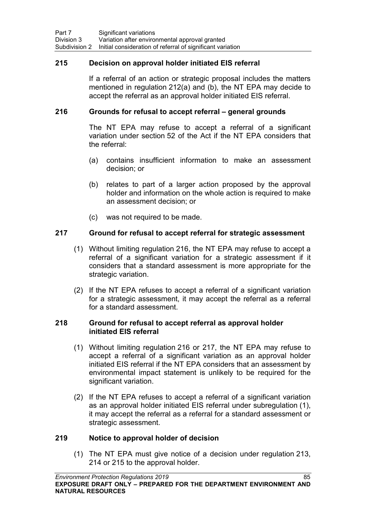## <span id="page-94-0"></span>**215 Decision on approval holder initiated EIS referral**

If a referral of an action or strategic proposal includes the matters mentioned in regulation [212\(](#page-93-2)a) and (b), the NT EPA may decide to accept the referral as an approval holder initiated EIS referral.

### <span id="page-94-1"></span>**216 Grounds for refusal to accept referral – general grounds**

The NT EPA may refuse to accept a referral of a significant variation under section 52 of the Act if the NT EPA considers that the referral:

- (a) contains insufficient information to make an assessment decision; or
- (b) relates to part of a larger action proposed by the approval holder and information on the whole action is required to make an assessment decision; or
- (c) was not required to be made.

## <span id="page-94-2"></span>**217 Ground for refusal to accept referral for strategic assessment**

- (1) Without limiting regulation [216,](#page-94-1) the NT EPA may refuse to accept a referral of a significant variation for a strategic assessment if it considers that a standard assessment is more appropriate for the strategic variation.
- (2) If the NT EPA refuses to accept a referral of a significant variation for a strategic assessment, it may accept the referral as a referral for a standard assessment.

### **218 Ground for refusal to accept referral as approval holder initiated EIS referral**

- (1) Without limiting regulation [216](#page-94-1) or [217,](#page-94-2) the NT EPA may refuse to accept a referral of a significant variation as an approval holder initiated EIS referral if the NT EPA considers that an assessment by environmental impact statement is unlikely to be required for the significant variation.
- (2) If the NT EPA refuses to accept a referral of a significant variation as an approval holder initiated EIS referral under subregulation (1), it may accept the referral as a referral for a standard assessment or strategic assessment.

### **219 Notice to approval holder of decision**

(1) The NT EPA must give notice of a decision under regulation [213,](#page-93-0) [214](#page-93-1) or [215](#page-94-0) to the approval holder.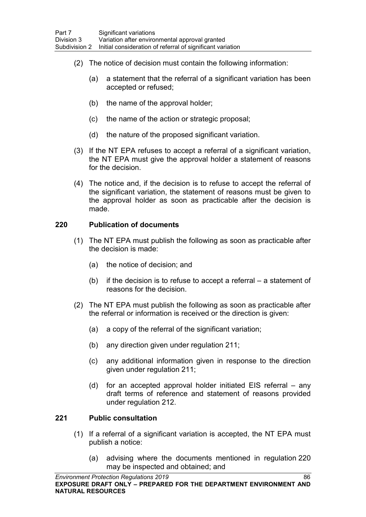- (2) The notice of decision must contain the following information:
	- (a) a statement that the referral of a significant variation has been accepted or refused;
	- (b) the name of the approval holder;
	- (c) the name of the action or strategic proposal;
	- (d) the nature of the proposed significant variation.
- (3) If the NT EPA refuses to accept a referral of a significant variation, the NT EPA must give the approval holder a statement of reasons for the decision.
- (4) The notice and, if the decision is to refuse to accept the referral of the significant variation, the statement of reasons must be given to the approval holder as soon as practicable after the decision is made.

## <span id="page-95-0"></span>**220 Publication of documents**

- (1) The NT EPA must publish the following as soon as practicable after the decision is made:
	- (a) the notice of decision; and
	- (b) if the decision is to refuse to accept a referral a statement of reasons for the decision.
- (2) The NT EPA must publish the following as soon as practicable after the referral or information is received or the direction is given:
	- (a) a copy of the referral of the significant variation;
	- (b) any direction given under regulation [211;](#page-92-0)
	- (c) any additional information given in response to the direction given under regulation [211;](#page-92-0)
	- (d) for an accepted approval holder initiated EIS referral any draft terms of reference and statement of reasons provided under regulation [212.](#page-93-2)

### <span id="page-95-1"></span>**221 Public consultation**

- (1) If a referral of a significant variation is accepted, the NT EPA must publish a notice:
	- (a) advising where the documents mentioned in regulation [220](#page-95-0) may be inspected and obtained; and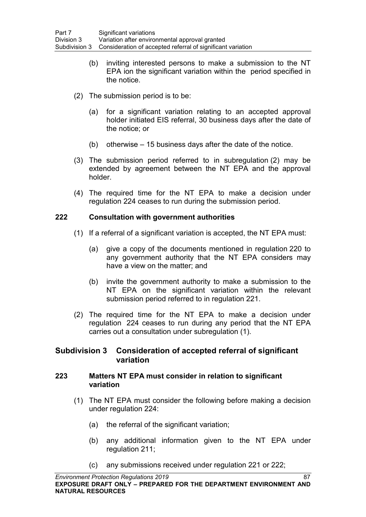- (b) inviting interested persons to make a submission to the NT EPA ion the significant variation within the period specified in the notice.
- (2) The submission period is to be:
	- (a) for a significant variation relating to an accepted approval holder initiated EIS referral, 30 business days after the date of the notice; or
	- (b) otherwise 15 business days after the date of the notice.
- (3) The submission period referred to in subregulation (2) may be extended by agreement between the NT EPA and the approval holder.
- (4) The required time for the NT EPA to make a decision under regulation [224](#page-97-0) ceases to run during the submission period.

## <span id="page-96-0"></span>**222 Consultation with government authorities**

- (1) If a referral of a significant variation is accepted, the NT EPA must:
	- (a) give a copy of the documents mentioned in regulation [220](#page-95-0) to any government authority that the NT EPA considers may have a view on the matter; and
	- (b) invite the government authority to make a submission to the NT EPA on the significant variation within the relevant submission period referred to in regulation [221.](#page-95-1)
- (2) The required time for the NT EPA to make a decision under regulation [224](#page-97-0) ceases to run during any period that the NT EPA carries out a consultation under subregulation (1).

## **Subdivision 3 Consideration of accepted referral of significant variation**

### **223 Matters NT EPA must consider in relation to significant variation**

- (1) The NT EPA must consider the following before making a decision under regulation [224:](#page-97-0)
	- (a) the referral of the significant variation;
	- (b) any additional information given to the NT EPA under regulation [211;](#page-92-0)
	- (c) any submissions received under regulation [221](#page-95-1) or [222;](#page-96-0)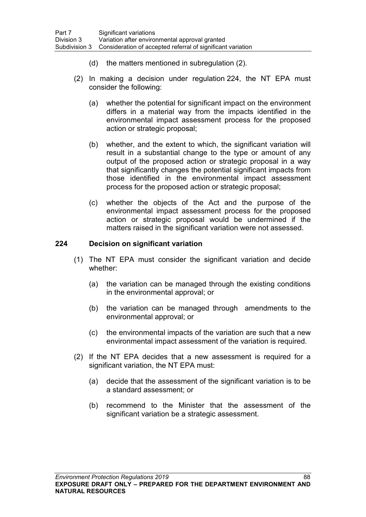- (d) the matters mentioned in subregulation (2).
- (2) In making a decision under regulation [224,](#page-97-0) the NT EPA must consider the following:
	- (a) whether the potential for significant impact on the environment differs in a material way from the impacts identified in the environmental impact assessment process for the proposed action or strategic proposal;
	- (b) whether, and the extent to which, the significant variation will result in a substantial change to the type or amount of any output of the proposed action or strategic proposal in a way that significantly changes the potential significant impacts from those identified in the environmental impact assessment process for the proposed action or strategic proposal;
	- (c) whether the objects of the Act and the purpose of the environmental impact assessment process for the proposed action or strategic proposal would be undermined if the matters raised in the significant variation were not assessed.

## <span id="page-97-0"></span>**224 Decision on significant variation**

- (1) The NT EPA must consider the significant variation and decide whether:
	- (a) the variation can be managed through the existing conditions in the environmental approval; or
	- (b) the variation can be managed through amendments to the environmental approval; or
	- (c) the environmental impacts of the variation are such that a new environmental impact assessment of the variation is required.
- (2) If the NT EPA decides that a new assessment is required for a significant variation, the NT EPA must:
	- (a) decide that the assessment of the significant variation is to be a standard assessment; or
	- (b) recommend to the Minister that the assessment of the significant variation be a strategic assessment.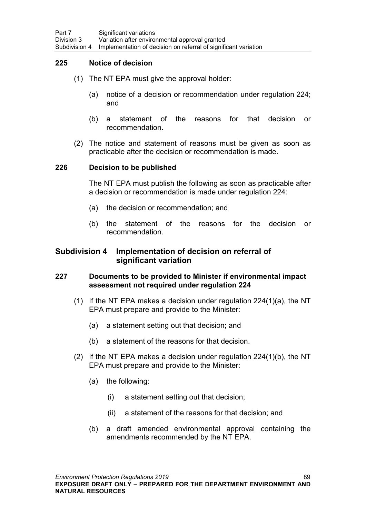## **225 Notice of decision**

- (1) The NT EPA must give the approval holder:
	- (a) notice of a decision or recommendation under regulation [224;](#page-97-0) and
	- (b) a statement of the reasons for that decision or recommendation.
- (2) The notice and statement of reasons must be given as soon as practicable after the decision or recommendation is made.

#### **226 Decision to be published**

The NT EPA must publish the following as soon as practicable after a decision or recommendation is made under regulation 224:

- (a) the decision or recommendation; and
- (b) the statement of the reasons for the decision or recommendation.

### **Subdivision 4 Implementation of decision on referral of significant variation**

## <span id="page-98-0"></span>**227 Documents to be provided to Minister if environmental impact assessment not required under regulation 224**

- (1) If the NT EPA makes a decision under regulation  $224(1)(a)$  $224(1)(a)$ , the NT EPA must prepare and provide to the Minister:
	- (a) a statement setting out that decision; and
	- (b) a statement of the reasons for that decision.
- (2) If the NT EPA makes a decision under regulation [224\(](#page-97-0)1)(b), the NT EPA must prepare and provide to the Minister:
	- (a) the following:
		- (i) a statement setting out that decision;
		- (ii) a statement of the reasons for that decision; and
	- (b) a draft amended environmental approval containing the amendments recommended by the NT EPA.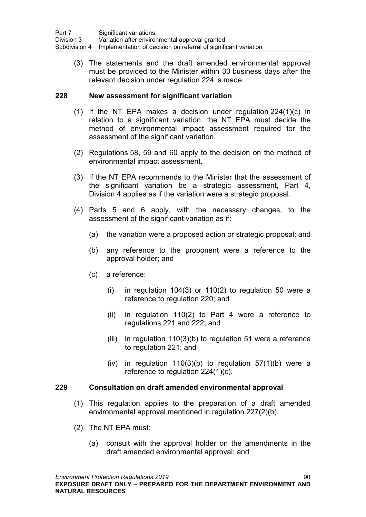(3) The statements and the draft amended environmental approval must be provided to the Minister within 30 business days after the relevant decision under regulation [224](#page-97-0) is made.

## **228 New assessment for significant variation**

- (1) If the NT EPA makes a decision under regulation [224\(](#page-97-0)1)(c) in relation to a significant variation, the NT EPA must decide the method of environmental impact assessment required for the assessment of the significant variation.
- (2) Regulations [58,](#page-30-0) [59](#page-31-0) and [60](#page-31-1) apply to the decision on the method of environmental impact assessment.
- (3) If the NT EPA recommends to the Minister that the assessment of the significant variation be a strategic assessment, Part 4, Division 4 applies as if the variation were a strategic proposal.
- (4) Parts 5 and 6 apply, with the necessary changes, to the assessment of the significant variation as if:
	- (a) the variation were a proposed action or strategic proposal; and
	- (b) any reference to the proponent were a reference to the approval holder; and
	- (c) a reference:
		- (i) in regulation 104(3) or 110(2) to regulation 50 were a reference to regulation 220; and
		- (ii) in regulation 110(2) to Part 4 were a reference to regulations 221 and 222; and
		- $(iii)$  in regulation 110(3)(b) to regulation 51 were a reference to regulation 221; and
		- (iv) in regulation  $110(3)(b)$  to regulation  $57(1)(b)$  were a reference to regulation 224(1)(c).

### **229 Consultation on draft amended environmental approval**

- (1) This regulation applies to the preparation of a draft amended environmental approval mentioned in regulation [227\(](#page-98-0)2)(b).
- (2) The NT EPA must:
	- (a) consult with the approval holder on the amendments in the draft amended environmental approval; and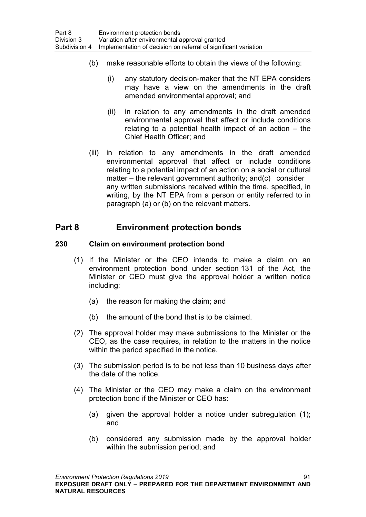- (b) make reasonable efforts to obtain the views of the following:
	- (i) any statutory decision-maker that the NT EPA considers may have a view on the amendments in the draft amended environmental approval; and
	- (ii) in relation to any amendments in the draft amended environmental approval that affect or include conditions relating to a potential health impact of an action – the Chief Health Officer; and
- (iii) in relation to any amendments in the draft amended environmental approval that affect or include conditions relating to a potential impact of an action on a social or cultural matter – the relevant government authority; and(c) consider any written submissions received within the time, specified, in writing, by the NT EPA from a person or entity referred to in paragraph (a) or (b) on the relevant matters.

# **Part 8 Environment protection bonds**

## **230 Claim on environment protection bond**

- (1) If the Minister or the CEO intends to make a claim on an environment protection bond under section 131 of the Act, the Minister or CEO must give the approval holder a written notice including:
	- (a) the reason for making the claim; and
	- (b) the amount of the bond that is to be claimed.
- (2) The approval holder may make submissions to the Minister or the CEO, as the case requires, in relation to the matters in the notice within the period specified in the notice.
- (3) The submission period is to be not less than 10 business days after the date of the notice.
- (4) The Minister or the CEO may make a claim on the environment protection bond if the Minister or CEO has:
	- (a) given the approval holder a notice under subregulation (1); and
	- (b) considered any submission made by the approval holder within the submission period; and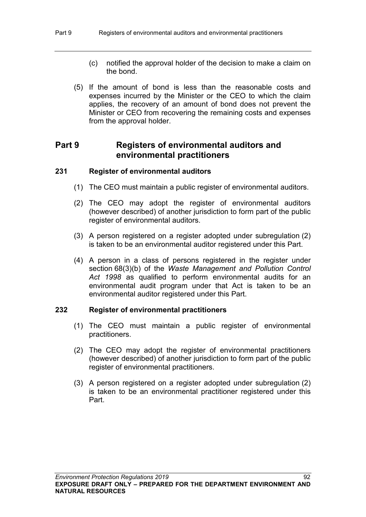- (c) notified the approval holder of the decision to make a claim on the bond.
- (5) If the amount of bond is less than the reasonable costs and expenses incurred by the Minister or the CEO to which the claim applies, the recovery of an amount of bond does not prevent the Minister or CEO from recovering the remaining costs and expenses from the approval holder.

# **Part 9 Registers of environmental auditors and environmental practitioners**

### **231 Register of environmental auditors**

- (1) The CEO must maintain a public register of environmental auditors.
- (2) The CEO may adopt the register of environmental auditors (however described) of another jurisdiction to form part of the public register of environmental auditors.
- (3) A person registered on a register adopted under subregulation (2) is taken to be an environmental auditor registered under this Part.
- (4) A person in a class of persons registered in the register under section 68(3)(b) of the *Waste Management and Pollution Control Act 1998* as qualified to perform environmental audits for an environmental audit program under that Act is taken to be an environmental auditor registered under this Part.

### **232 Register of environmental practitioners**

- (1) The CEO must maintain a public register of environmental practitioners.
- (2) The CEO may adopt the register of environmental practitioners (however described) of another jurisdiction to form part of the public register of environmental practitioners.
- (3) A person registered on a register adopted under subregulation (2) is taken to be an environmental practitioner registered under this Part.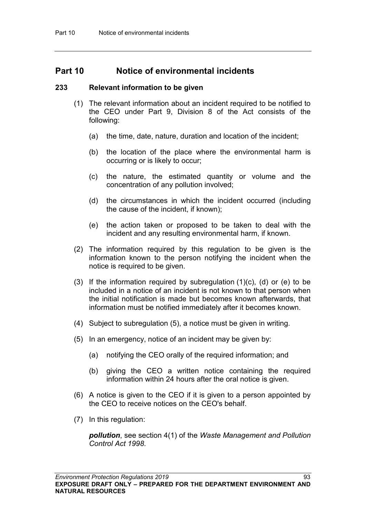# **Part 10 Notice of environmental incidents**

### **233 Relevant information to be given**

- (1) The relevant information about an incident required to be notified to the CEO under Part 9, Division 8 of the Act consists of the following:
	- (a) the time, date, nature, duration and location of the incident;
	- (b) the location of the place where the environmental harm is occurring or is likely to occur;
	- (c) the nature, the estimated quantity or volume and the concentration of any pollution involved;
	- (d) the circumstances in which the incident occurred (including the cause of the incident, if known);
	- (e) the action taken or proposed to be taken to deal with the incident and any resulting environmental harm, if known.
- (2) The information required by this regulation to be given is the information known to the person notifying the incident when the notice is required to be given.
- (3) If the information required by subregulation  $(1)(c)$ ,  $(d)$  or  $(e)$  to be included in a notice of an incident is not known to that person when the initial notification is made but becomes known afterwards, that information must be notified immediately after it becomes known.
- (4) Subject to subregulation (5), a notice must be given in writing.
- (5) In an emergency, notice of an incident may be given by:
	- (a) notifying the CEO orally of the required information; and
	- (b) giving the CEO a written notice containing the required information within 24 hours after the oral notice is given.
- (6) A notice is given to the CEO if it is given to a person appointed by the CEO to receive notices on the CEO's behalf.
- (7) In this regulation:

*pollution*, see section 4(1) of the *Waste Management and Pollution Control Act 1998*.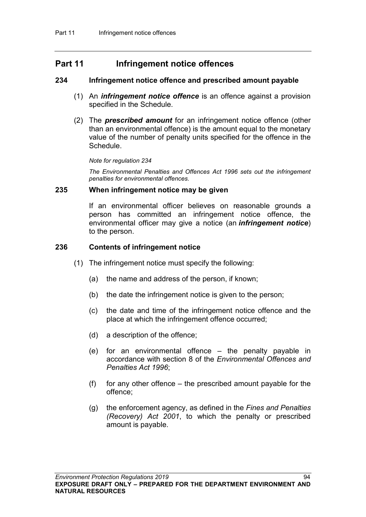# **Part 11 Infringement notice offences**

### **234 Infringement notice offence and prescribed amount payable**

- (1) An *infringement notice offence* is an offence against a provision specified in the Schedule.
- (2) The *prescribed amount* for an infringement notice offence (other than an environmental offence) is the amount equal to the monetary value of the number of penalty units specified for the offence in the Schedule.

#### *Note for regulation 234*

*The Environmental Penalties and Offences Act 1996 sets out the infringement penalties for environmental offences.*

#### **235 When infringement notice may be given**

If an environmental officer believes on reasonable grounds a person has committed an infringement notice offence, the environmental officer may give a notice (an *infringement notice*) to the person.

### **236 Contents of infringement notice**

- (1) The infringement notice must specify the following:
	- (a) the name and address of the person, if known;
	- (b) the date the infringement notice is given to the person;
	- (c) the date and time of the infringement notice offence and the place at which the infringement offence occurred;
	- (d) a description of the offence;
	- (e) for an environmental offence the penalty payable in accordance with section 8 of the *Environmental Offences and Penalties Act 1996*;
	- $(f)$  for any other offence the prescribed amount payable for the offence;
	- (g) the enforcement agency, as defined in the *Fines and Penalties (Recovery) Act 2001*, to which the penalty or prescribed amount is payable.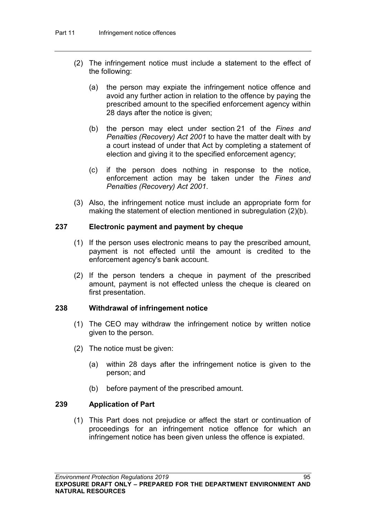- (2) The infringement notice must include a statement to the effect of the following:
	- (a) the person may expiate the infringement notice offence and avoid any further action in relation to the offence by paying the prescribed amount to the specified enforcement agency within 28 days after the notice is given;
	- (b) the person may elect under section 21 of the *Fines and Penalties (Recovery) Act 2001* to have the matter dealt with by a court instead of under that Act by completing a statement of election and giving it to the specified enforcement agency;
	- (c) if the person does nothing in response to the notice, enforcement action may be taken under the *Fines and Penalties (Recovery) Act 2001*.
- (3) Also, the infringement notice must include an appropriate form for making the statement of election mentioned in subregulation (2)(b).

## **237 Electronic payment and payment by cheque**

- (1) If the person uses electronic means to pay the prescribed amount, payment is not effected until the amount is credited to the enforcement agency's bank account.
- (2) If the person tenders a cheque in payment of the prescribed amount, payment is not effected unless the cheque is cleared on first presentation.

### **238 Withdrawal of infringement notice**

- (1) The CEO may withdraw the infringement notice by written notice given to the person.
- (2) The notice must be given:
	- (a) within 28 days after the infringement notice is given to the person; and
	- (b) before payment of the prescribed amount.

### **239 Application of Part**

(1) This Part does not prejudice or affect the start or continuation of proceedings for an infringement notice offence for which an infringement notice has been given unless the offence is expiated.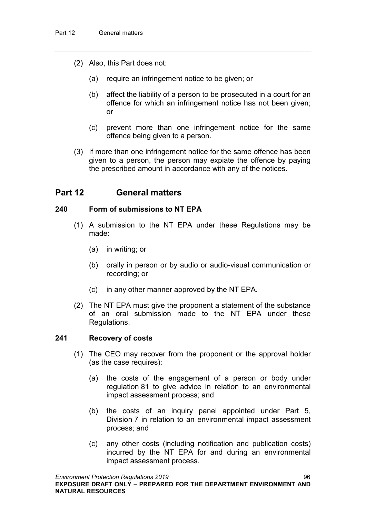- (2) Also, this Part does not:
	- (a) require an infringement notice to be given; or
	- (b) affect the liability of a person to be prosecuted in a court for an offence for which an infringement notice has not been given; or
	- (c) prevent more than one infringement notice for the same offence being given to a person.
- (3) If more than one infringement notice for the same offence has been given to a person, the person may expiate the offence by paying the prescribed amount in accordance with any of the notices.

# **Part 12 General matters**

### **240 Form of submissions to NT EPA**

- (1) A submission to the NT EPA under these Regulations may be made:
	- (a) in writing; or
	- (b) orally in person or by audio or audio-visual communication or recording; or
	- (c) in any other manner approved by the NT EPA.
- (2) The NT EPA must give the proponent a statement of the substance of an oral submission made to the NT EPA under these Regulations.

#### **241 Recovery of costs**

- (1) The CEO may recover from the proponent or the approval holder (as the case requires):
	- (a) the costs of the engagement of a person or body under regulation [81](#page-40-0) to give advice in relation to an environmental impact assessment process; and
	- (b) the costs of an inquiry panel appointed under Part 5, Division 7 in relation to an environmental impact assessment process; and
	- (c) any other costs (including notification and publication costs) incurred by the NT EPA for and during an environmental impact assessment process.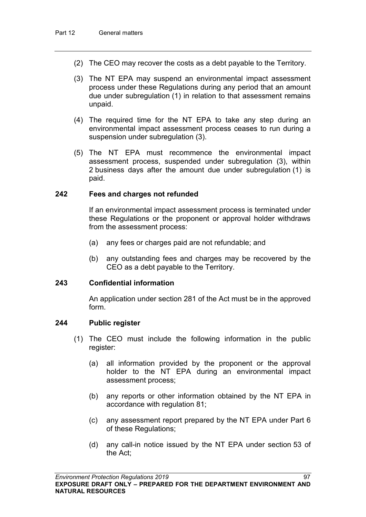- (2) The CEO may recover the costs as a debt payable to the Territory.
- (3) The NT EPA may suspend an environmental impact assessment process under these Regulations during any period that an amount due under subregulation (1) in relation to that assessment remains unpaid.
- (4) The required time for the NT EPA to take any step during an environmental impact assessment process ceases to run during a suspension under subregulation (3).
- (5) The NT EPA must recommence the environmental impact assessment process, suspended under subregulation (3), within 2 business days after the amount due under subregulation (1) is paid.

#### **242 Fees and charges not refunded**

If an environmental impact assessment process is terminated under these Regulations or the proponent or approval holder withdraws from the assessment process:

- (a) any fees or charges paid are not refundable; and
- (b) any outstanding fees and charges may be recovered by the CEO as a debt payable to the Territory.

### **243 Confidential information**

An application under section 281 of the Act must be in the approved form.

#### **244 Public register**

- (1) The CEO must include the following information in the public register:
	- (a) all information provided by the proponent or the approval holder to the NT EPA during an environmental impact assessment process;
	- (b) any reports or other information obtained by the NT EPA in accordance with regulation [81;](#page-40-0)
	- (c) any assessment report prepared by the NT EPA under Part 6 of these Regulations;
	- (d) any call-in notice issued by the NT EPA under section 53 of the Act;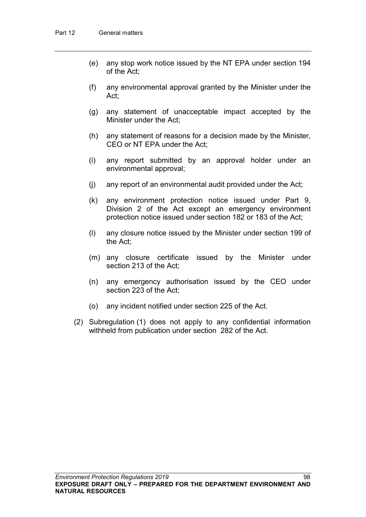- (e) any stop work notice issued by the NT EPA under section 194 of the Act;
- (f) any environmental approval granted by the Minister under the Act;
- (g) any statement of unacceptable impact accepted by the Minister under the Act;
- (h) any statement of reasons for a decision made by the Minister, CEO or NT EPA under the Act;
- (i) any report submitted by an approval holder under an environmental approval;
- (j) any report of an environmental audit provided under the Act;
- (k) any environment protection notice issued under Part 9, Division 2 of the Act except an emergency environment protection notice issued under section 182 or 183 of the Act;
- (l) any closure notice issued by the Minister under section 199 of the Act;
- (m) any closure certificate issued by the Minister under section 213 of the Act;
- (n) any emergency authorisation issued by the CEO under section 223 of the Act;
- (o) any incident notified under section 225 of the Act.
- (2) Subregulation (1) does not apply to any confidential information withheld from publication under section 282 of the Act.